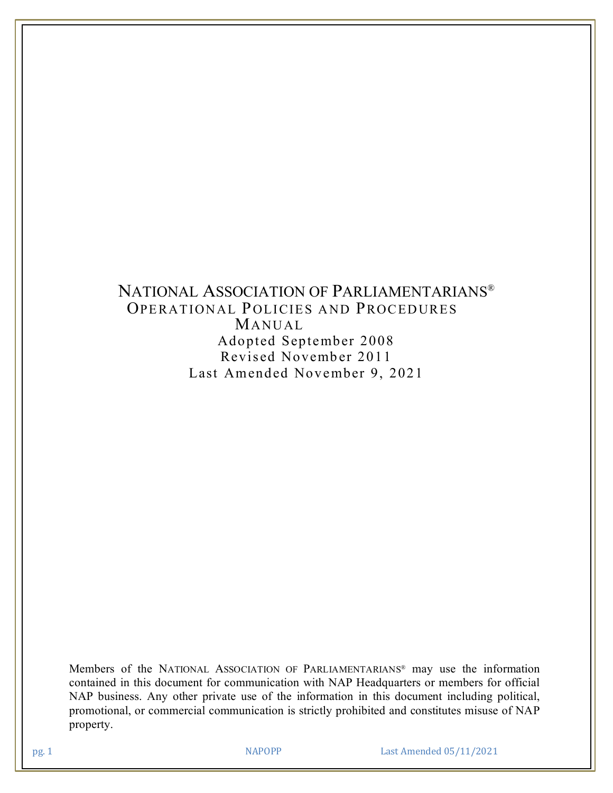# NATIONAL ASSOCIATION OF PARLIAMENTARIANS® OPERATIONAL POLICIES AND PROCEDURES MANUAL Adopted September 2008 Revised November 2011 Last Amended November 9, 2021

Members of the NATIONAL ASSOCIATION OF PARLIAMENTARIANS® may use the information contained in this document for communication with NAP Headquarters or members for official NAP business. Any other private use of the information in this document including political, promotional, or commercial communication is strictly prohibited and constitutes misuse of NAP property.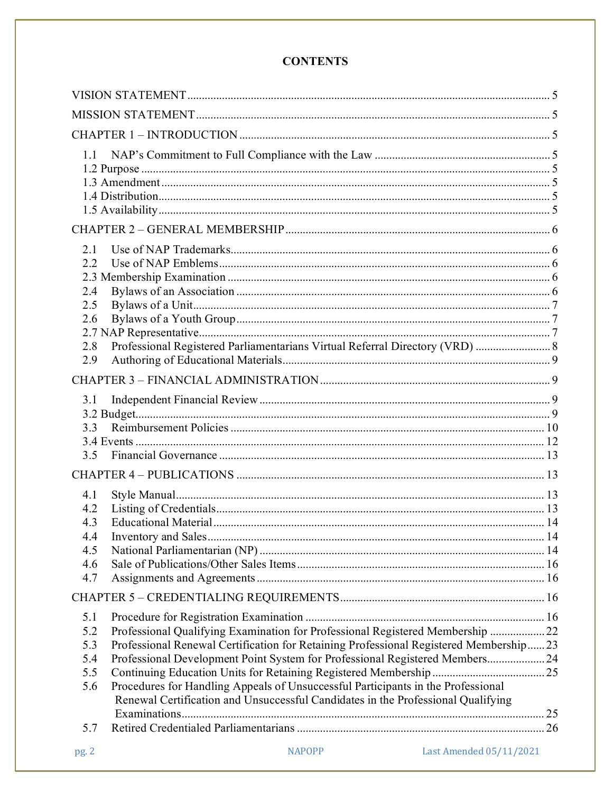# **CONTENTS**

| 1.1                                                                                                                                                                                                                                                                                                                                                                                                                                                                       |  |  |  |  |
|---------------------------------------------------------------------------------------------------------------------------------------------------------------------------------------------------------------------------------------------------------------------------------------------------------------------------------------------------------------------------------------------------------------------------------------------------------------------------|--|--|--|--|
|                                                                                                                                                                                                                                                                                                                                                                                                                                                                           |  |  |  |  |
| 2.1<br>2.2<br>2.4<br>2.5<br>2.6<br>Professional Registered Parliamentarians Virtual Referral Directory (VRD)  8<br>2.8<br>2.9                                                                                                                                                                                                                                                                                                                                             |  |  |  |  |
|                                                                                                                                                                                                                                                                                                                                                                                                                                                                           |  |  |  |  |
| 3.1<br>3.3<br>3.5                                                                                                                                                                                                                                                                                                                                                                                                                                                         |  |  |  |  |
|                                                                                                                                                                                                                                                                                                                                                                                                                                                                           |  |  |  |  |
| 4.1<br>4.2<br>4.3<br>4.4<br>4.5<br>4.6<br>4.7                                                                                                                                                                                                                                                                                                                                                                                                                             |  |  |  |  |
|                                                                                                                                                                                                                                                                                                                                                                                                                                                                           |  |  |  |  |
| 5.1<br>Professional Qualifying Examination for Professional Registered Membership  22<br>5.2<br>5.3<br>Professional Renewal Certification for Retaining Professional Registered Membership 23<br>Professional Development Point System for Professional Registered Members24<br>5.4<br>5.5<br>5.6<br>Procedures for Handling Appeals of Unsuccessful Participants in the Professional<br>Renewal Certification and Unsuccessful Candidates in the Professional Qualifying |  |  |  |  |
| 5.7                                                                                                                                                                                                                                                                                                                                                                                                                                                                       |  |  |  |  |
|                                                                                                                                                                                                                                                                                                                                                                                                                                                                           |  |  |  |  |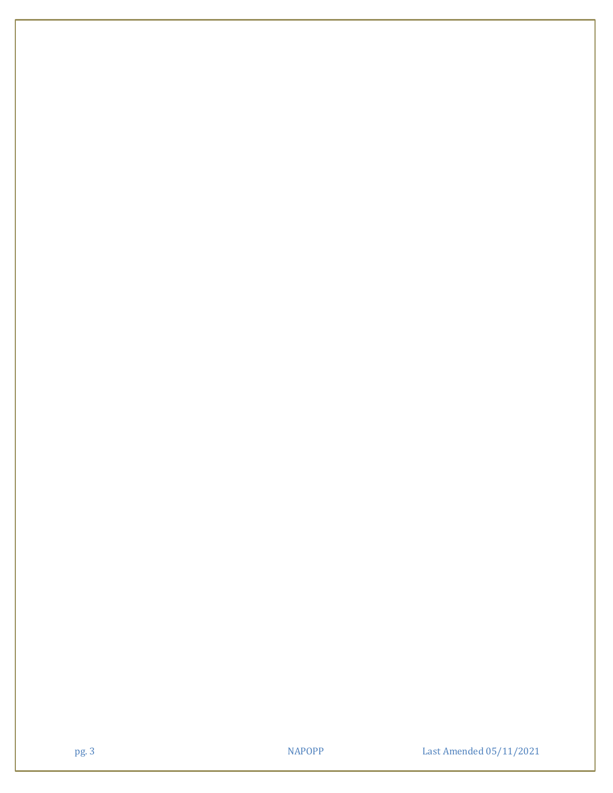pg. 3 NAPOPP Last Amended 05/11/2021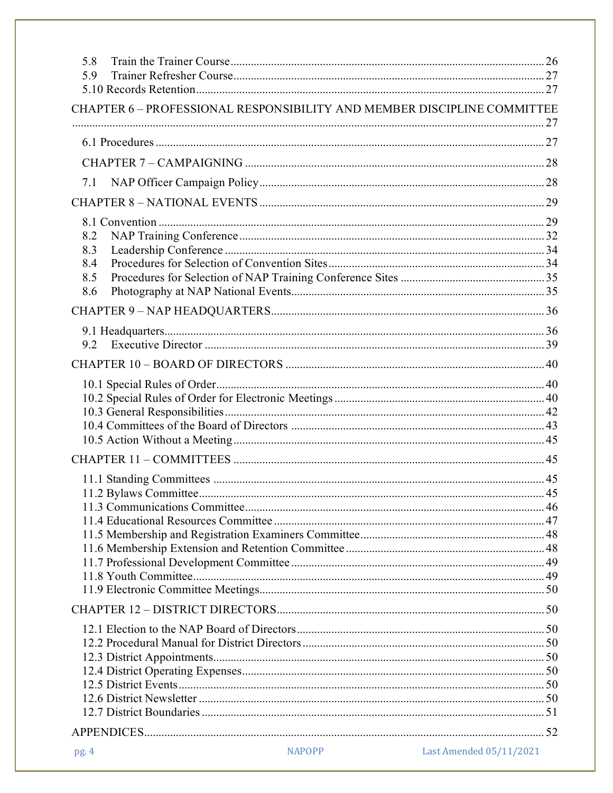| 5.8        |               |                                                                         |
|------------|---------------|-------------------------------------------------------------------------|
| 5.9        |               |                                                                         |
|            |               |                                                                         |
|            |               | CHAPTER 6 - PROFESSIONAL RESPONSIBILITY AND MEMBER DISCIPLINE COMMITTEE |
|            |               |                                                                         |
|            |               |                                                                         |
|            |               |                                                                         |
| 7.1        |               |                                                                         |
|            |               |                                                                         |
|            |               |                                                                         |
| 8.2        |               |                                                                         |
| 8.3        |               |                                                                         |
| 8.4        |               |                                                                         |
| 8.5<br>8.6 |               |                                                                         |
|            |               |                                                                         |
|            |               |                                                                         |
|            |               |                                                                         |
| 9.2        |               |                                                                         |
|            |               |                                                                         |
|            |               |                                                                         |
|            |               |                                                                         |
|            |               |                                                                         |
|            |               |                                                                         |
|            |               |                                                                         |
|            |               |                                                                         |
|            |               |                                                                         |
|            |               |                                                                         |
|            |               |                                                                         |
|            |               |                                                                         |
|            |               |                                                                         |
|            |               |                                                                         |
|            |               |                                                                         |
|            |               |                                                                         |
|            |               |                                                                         |
|            |               |                                                                         |
|            |               |                                                                         |
|            |               |                                                                         |
|            |               |                                                                         |
|            |               |                                                                         |
|            |               |                                                                         |
|            |               |                                                                         |
|            |               |                                                                         |
| pg. 4      | <b>NAPOPP</b> | Last Amended 05/11/2021                                                 |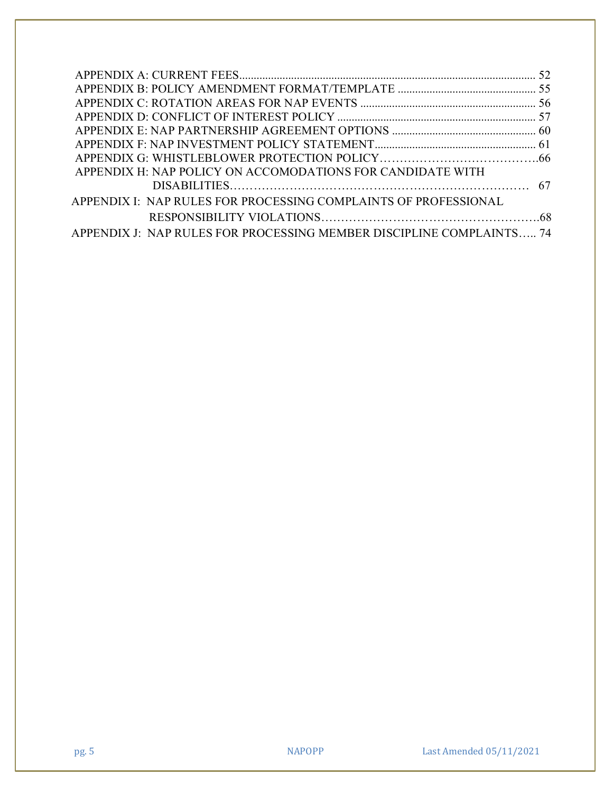| APPENDIX H: NAP POLICY ON ACCOMODATIONS FOR CANDIDATE WITH           |  |
|----------------------------------------------------------------------|--|
|                                                                      |  |
| APPENDIX I: NAP RULES FOR PROCESSING COMPLAINTS OF PROFESSIONAL      |  |
|                                                                      |  |
| APPENDIX J: NAP RULES FOR PROCESSING MEMBER DISCIPLINE COMPLAINTS 74 |  |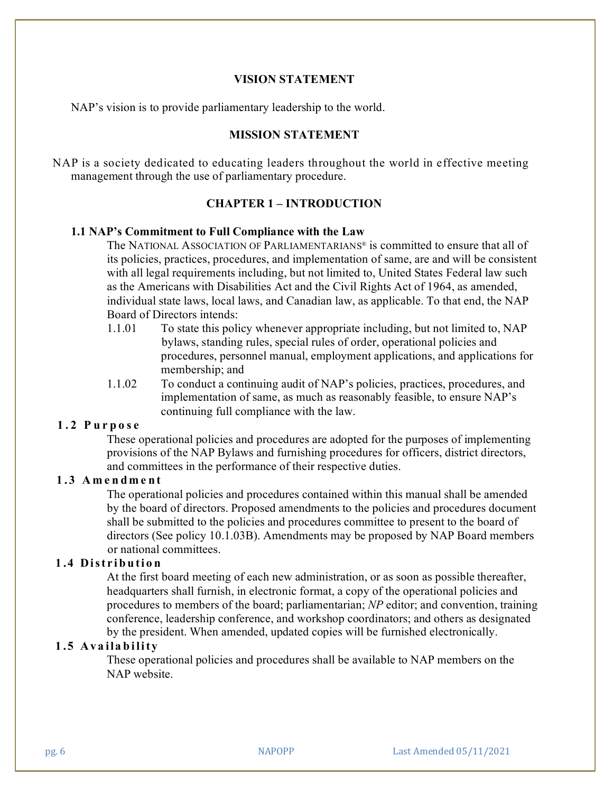#### **VISION STATEMENT**

NAP's vision is to provide parliamentary leadership to the world.

### **MISSION STATEMENT**

NAP is a society dedicated to educating leaders throughout the world in effective meeting management through the use of parliamentary procedure.

### **CHAPTER 1 – INTRODUCTION**

#### **1.1 NAP's Commitment to Full Compliance with the Law**

The NATIONAL ASSOCIATION OF PARLIAMENTARIANS® is committed to ensure that all of its policies, practices, procedures, and implementation of same, are and will be consistent with all legal requirements including, but not limited to, United States Federal law such as the Americans with Disabilities Act and the Civil Rights Act of 1964, as amended, individual state laws, local laws, and Canadian law, as applicable. To that end, the NAP Board of Directors intends:

- 1.1.01 To state this policy whenever appropriate including, but not limited to, NAP bylaws, standing rules, special rules of order, operational policies and procedures, personnel manual, employment applications, and applications for membership; and
- 1.1.02 To conduct a continuing audit of NAP's policies, practices, procedures, and implementation of same, as much as reasonably feasible, to ensure NAP's continuing full compliance with the law.

#### **1.2 Purpose**

These operational policies and procedures are adopted for the purposes of implementing provisions of the NAP Bylaws and furnishing procedures for officers, district directors, and committees in the performance of their respective duties.

#### **1.3 Amendment**

The operational policies and procedures contained within this manual shall be amended by the board of directors. Proposed amendments to the policies and procedures document shall be submitted to the policies and procedures committee to present to the board of directors (See policy 10.1.03B). Amendments may be proposed by NAP Board members or national committees.

### **1.4 Distribution**

At the first board meeting of each new administration, or as soon as possible thereafter, headquarters shall furnish, in electronic format, a copy of the operational policies and procedures to members of the board; parliamentarian; *NP* editor; and convention, training conference, leadership conference, and workshop coordinators; and others as designated by the president. When amended, updated copies will be furnished electronically.

### **1.5 Availability**

These operational policies and procedures shall be available to NAP members on the NAP website.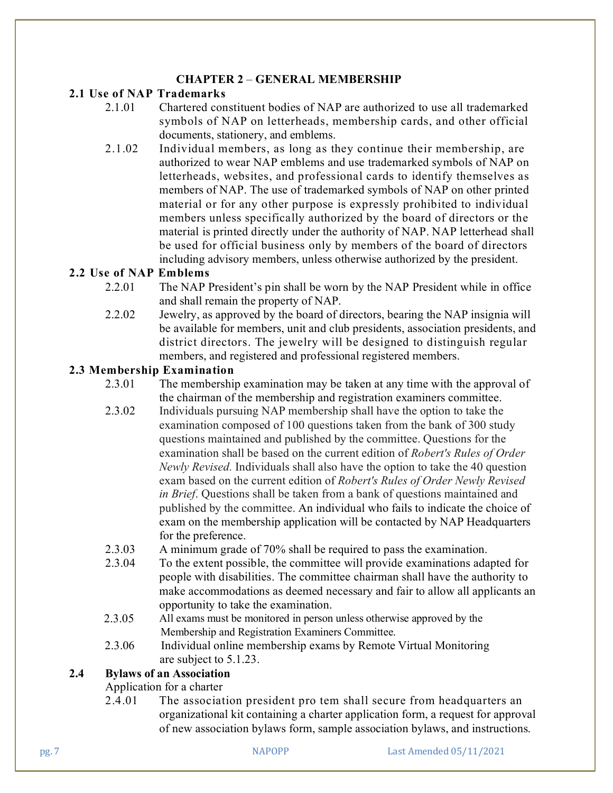## **CHAPTER 2** – **GENERAL MEMBERSHIP**

# **2.1 Use of NAP Trademarks**

- 2.1.01 Chartered constituent bodies of NAP are authorized to use all trademarked symbols of NAP on letterheads, membership cards, and other official documents, stationery, and emblems.
- 2.1.02 Individual members, as long as they continue their membership, are authorized to wear NAP emblems and use trademarked symbols of NAP on letterheads, websites, and professional cards to identify themselves as members of NAP. The use of trademarked symbols of NAP on other printed material or for any other purpose is expressly prohibited to individual members unless specifically authorized by the board of directors or the material is printed directly under the authority of NAP. NAP letterhead shall be used for official business only by members of the board of directors including advisory members, unless otherwise authorized by the president.

# **2.2 Use of NAP Emblems**

- 2.2.01 The NAP President's pin shall be worn by the NAP President while in office and shall remain the property of NAP.
- 2.2.02 Jewelry, as approved by the board of directors, bearing the NAP insignia will be available for members, unit and club presidents, association presidents, and district directors. The jewelry will be designed to distinguish regular members, and registered and professional registered members.

# **2.3 Membership Examination**

- 2.3.01 The membership examination may be taken at any time with the approval of the chairman of the membership and registration examiners committee.
- 2.3.02 Individuals pursuing NAP membership shall have the option to take the examination composed of 100 questions taken from the bank of 300 study questions maintained and published by the committee. Questions for the examination shall be based on the current edition of *Robert's Rules of Order Newly Revised.* Individuals shall also have the option to take the 40 question exam based on the current edition of *Robert's Rules of Order Newly Revised in Brief*. Questions shall be taken from a bank of questions maintained and published by the committee. An individual who fails to indicate the choice of exam on the membership application will be contacted by NAP Headquarters for the preference.
- 2.3.03 A minimum grade of 70% shall be required to pass the examination.
- 2.3.04 To the extent possible, the committee will provide examinations adapted for people with disabilities. The committee chairman shall have the authority to make accommodations as deemed necessary and fair to allow all applicants an opportunity to take the examination.
- 2.3.05 All exams must be monitored in person unless otherwise approved by the Membership and Registration Examiners Committee.
- 2.3.06 Individual online membership exams by Remote Virtual Monitoring are subject to 5.1.23.

# **2.4 Bylaws of an Association**

### Application for a charter

2.4.01 The association president pro tem shall secure from headquarters an organizational kit containing a charter application form, a request for approval of new association bylaws form, sample association bylaws, and instructions.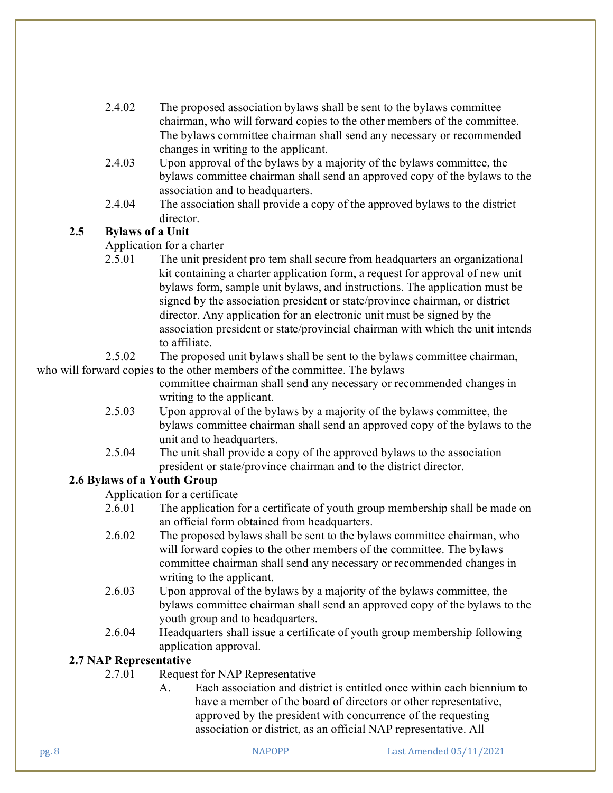- 2.4.02 The proposed association bylaws shall be sent to the bylaws committee chairman, who will forward copies to the other members of the committee. The bylaws committee chairman shall send any necessary or recommended changes in writing to the applicant.
- 2.4.03 Upon approval of the bylaws by a majority of the bylaws committee, the bylaws committee chairman shall send an approved copy of the bylaws to the association and to headquarters.
- 2.4.04 The association shall provide a copy of the approved bylaws to the district director.

# **2.5 Bylaws of a Unit**

Application for a charter

- 2.5.01 The unit president pro tem shall secure from headquarters an organizational kit containing a charter application form, a request for approval of new unit bylaws form, sample unit bylaws, and instructions. The application must be signed by the association president or state/province chairman, or district director. Any application for an electronic unit must be signed by the association president or state/provincial chairman with which the unit intends to affiliate.
- 2.5.02 The proposed unit bylaws shall be sent to the bylaws committee chairman,

who will forward copies to the other members of the committee. The bylaws

committee chairman shall send any necessary or recommended changes in writing to the applicant.

- 2.5.03 Upon approval of the bylaws by a majority of the bylaws committee, the bylaws committee chairman shall send an approved copy of the bylaws to the unit and to headquarters.
- 2.5.04 The unit shall provide a copy of the approved bylaws to the association president or state/province chairman and to the district director.

# **2.6 Bylaws of a Youth Group**

Application for a certificate

- 2.6.01 The application for a certificate of youth group membership shall be made on an official form obtained from headquarters.
- 2.6.02 The proposed bylaws shall be sent to the bylaws committee chairman, who will forward copies to the other members of the committee. The bylaws committee chairman shall send any necessary or recommended changes in writing to the applicant.
- 2.6.03 Upon approval of the bylaws by a majority of the bylaws committee, the bylaws committee chairman shall send an approved copy of the bylaws to the youth group and to headquarters.
- 2.6.04 Headquarters shall issue a certificate of youth group membership following application approval.

# **2.7 NAP Representative**

2.7.01 Request for NAP Representative

A. Each association and district is entitled once within each biennium to have a member of the board of directors or other representative, approved by the president with concurrence of the requesting association or district, as an official NAP representative. All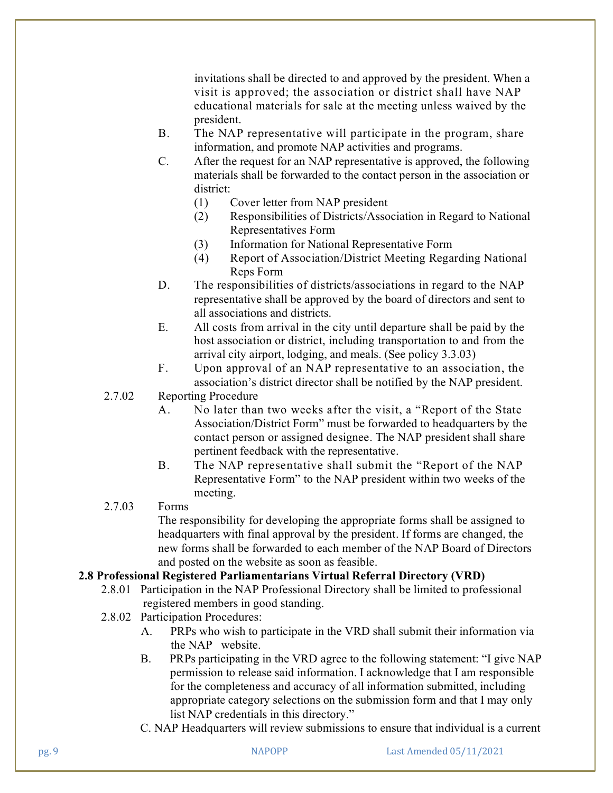invitations shall be directed to and approved by the president. When a visit is approved; the association or district shall have NAP educational materials for sale at the meeting unless waived by the president.

- B. The NAP representative will participate in the program, share information, and promote NAP activities and programs.
- C. After the request for an NAP representative is approved, the following materials shall be forwarded to the contact person in the association or district:
	- (1) Cover letter from NAP president
	- (2) Responsibilities of Districts/Association in Regard to National Representatives Form
	- (3) Information for National Representative Form
	- (4) Report of Association/District Meeting Regarding National Reps Form
- D. The responsibilities of districts/associations in regard to the NAP representative shall be approved by the board of directors and sent to all associations and districts.
- E. All costs from arrival in the city until departure shall be paid by the host association or district, including transportation to and from the arrival city airport, lodging, and meals. (See policy 3.3.03)
- F. Upon approval of an NAP representative to an association, the association's district director shall be notified by the NAP president.

# 2.7.02 Reporting Procedure

- A. No later than two weeks after the visit, a "Report of the State Association/District Form" must be forwarded to headquarters by the contact person or assigned designee. The NAP president shall share pertinent feedback with the representative.
- B. The NAP representative shall submit the "Report of the NAP Representative Form" to the NAP president within two weeks of the meeting.

# 2.7.03 Forms

The responsibility for developing the appropriate forms shall be assigned to headquarters with final approval by the president. If forms are changed, the new forms shall be forwarded to each member of the NAP Board of Directors and posted on the website as soon as feasible.

# **2.8 Professional Registered Parliamentarians Virtual Referral Directory (VRD)**

- 2.8.01 Participation in the NAP Professional Directory shall be limited to professional registered members in good standing.
- 2.8.02 Participation Procedures:
	- A. PRPs who wish to participate in the VRD shall submit their information via the NAP website.
	- B. PRPs participating in the VRD agree to the following statement: "I give NAP permission to release said information. I acknowledge that I am responsible for the completeness and accuracy of all information submitted, including appropriate category selections on the submission form and that I may only list NAP credentials in this directory."
	- C. NAP Headquarters will review submissions to ensure that individual is a current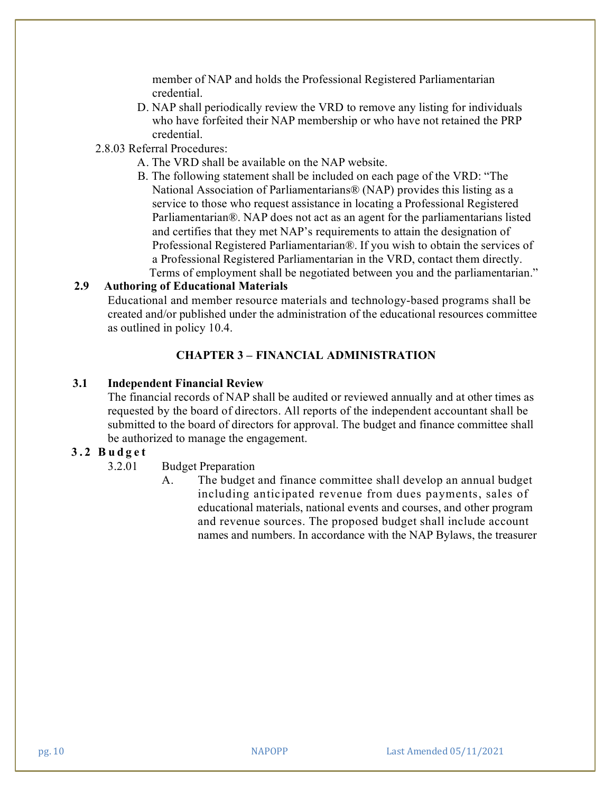member of NAP and holds the Professional Registered Parliamentarian credential.

- D. NAP shall periodically review the VRD to remove any listing for individuals who have forfeited their NAP membership or who have not retained the PRP credential.
- 2.8.03 Referral Procedures:
	- A. The VRD shall be available on the NAP website.
	- B. The following statement shall be included on each page of the VRD: "The National Association of Parliamentarians® (NAP) provides this listing as a service to those who request assistance in locating a Professional Registered Parliamentarian®. NAP does not act as an agent for the parliamentarians listed and certifies that they met NAP's requirements to attain the designation of Professional Registered Parliamentarian®. If you wish to obtain the services of a Professional Registered Parliamentarian in the VRD, contact them directly. Terms of employment shall be negotiated between you and the parliamentarian."

#### **2.9 Authoring of Educational Materials**

Educational and member resource materials and technology-based programs shall be created and/or published under the administration of the educational resources committee as outlined in policy 10.4.

#### **CHAPTER 3 – FINANCIAL ADMINISTRATION**

#### **3.1 Independent Financial Review**

The financial records of NAP shall be audited or reviewed annually and at other times as requested by the board of directors. All reports of the independent accountant shall be submitted to the board of directors for approval. The budget and finance committee shall be authorized to manage the engagement.

### **3.2 Budget**

3.2.01 Budget Preparation

A. The budget and finance committee shall develop an annual budget including anticipated revenue from dues payments, sales of educational materials, national events and courses, and other program and revenue sources. The proposed budget shall include account names and numbers. In accordance with the NAP Bylaws, the treasurer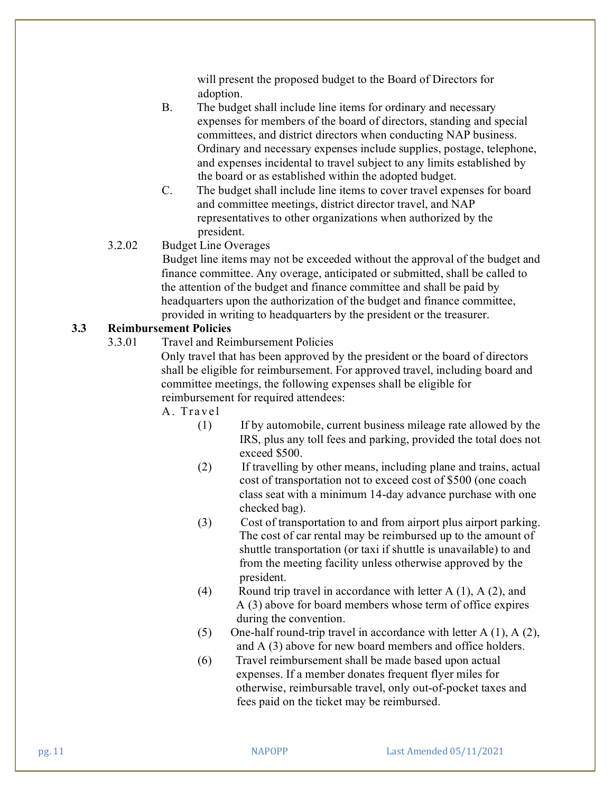will present the proposed budget to the Board of Directors for adoption.

- B. The budget shall include line items for ordinary and necessary expenses for members of the board of directors, standing and special committees, and district directors when conducting NAP business. Ordinary and necessary expenses include supplies, postage, telephone, and expenses incidental to travel subject to any limits established by the board or as established within the adopted budget.
- C. The budget shall include line items to cover travel expenses for board and committee meetings, district director travel, and NAP representatives to other organizations when authorized by the president.

### 3.2.02 Budget Line Overages

Budget line items may not be exceeded without the approval of the budget and finance committee. Any overage, anticipated or submitted, shall be called to the attention of the budget and finance committee and shall be paid by headquarters upon the authorization of the budget and finance committee, provided in writing to headquarters by the president or the treasurer.

# **3.3 Reimbursement Policies**

3.3.01 Travel and Reimbursement Policies

 Only travel that has been approved by the president or the board of directors shall be eligible for reimbursement. For approved travel, including board and committee meetings, the following expenses shall be eligible for reimbursement for required attendees:

- A. Travel
	- (1) If by automobile, current business mileage rate allowed by the IRS, plus any toll fees and parking, provided the total does not exceed \$500.
	- (2) If travelling by other means, including plane and trains, actual cost of transportation not to exceed cost of \$500 (one coach class seat with a minimum 14-day advance purchase with one checked bag).
	- (3) Cost of transportation to and from airport plus airport parking. The cost of car rental may be reimbursed up to the amount of shuttle transportation (or taxi if shuttle is unavailable) to and from the meeting facility unless otherwise approved by the president.
	- (4) Round trip travel in accordance with letter A (1), A (2), and A (3) above for board members whose term of office expires during the convention.
	- (5) One-half round-trip travel in accordance with letter  $A(1)$ ,  $A(2)$ , and A (3) above for new board members and office holders.
	- (6) Travel reimbursement shall be made based upon actual expenses. If a member donates frequent flyer miles for otherwise, reimbursable travel, only out-of-pocket taxes and fees paid on the ticket may be reimbursed.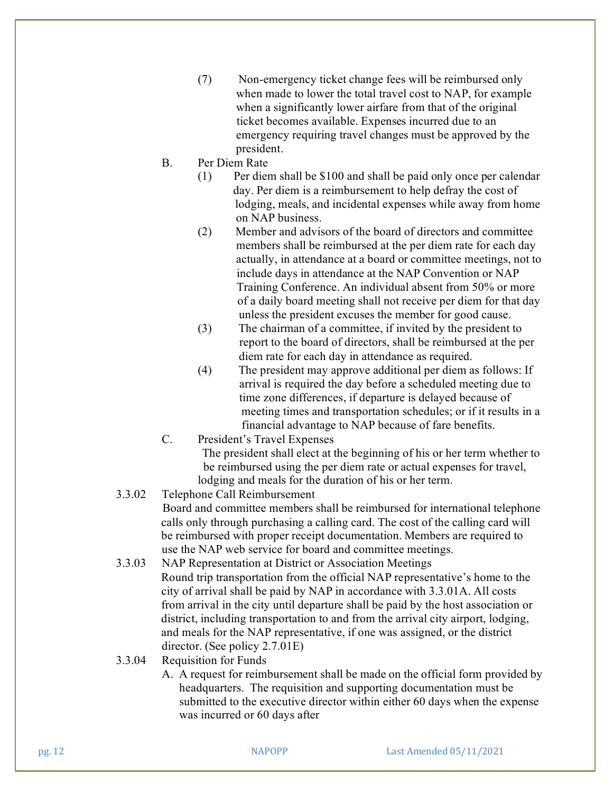- (7) Non-emergency ticket change fees will be reimbursed only when made to lower the total travel cost to NAP, for example when a significantly lower airfare from that of the original ticket becomes available. Expenses incurred due to an emergency requiring travel changes must be approved by the president.
- B. Per Diem Rate
	- (1) Per diem shall be \$100 and shall be paid only once per calendar day. Per diem is a reimbursement to help defray the cost of lodging, meals, and incidental expenses while away from home on NAP business.
	- (2) Member and advisors of the board of directors and committee members shall be reimbursed at the per diem rate for each day actually, in attendance at a board or committee meetings, not to include days in attendance at the NAP Convention or NAP Training Conference. An individual absent from 50% or more of a daily board meeting shall not receive per diem for that day unless the president excuses the member for good cause.
	- (3) The chairman of a committee, if invited by the president to report to the board of directors, shall be reimbursed at the per diem rate for each day in attendance as required.
	- (4) The president may approve additional per diem as follows: If arrival is required the day before a scheduled meeting due to time zone differences, if departure is delayed because of meeting times and transportation schedules; or if it results in a financial advantage to NAP because of fare benefits.
- C. President's Travel Expenses The president shall elect at the beginning of his or her term whether to be reimbursed using the per diem rate or actual expenses for travel, lodging and meals for the duration of his or her term.
- 3.3.02 Telephone Call Reimbursement Board and committee members shall be reimbursed for international telephone calls only through purchasing a calling card. The cost of the calling card will be reimbursed with proper receipt documentation. Members are required to use the NAP web service for board and committee meetings.
- 3.3.03 NAP Representation at District or Association Meetings Round trip transportation from the official NAP representative's home to the city of arrival shall be paid by NAP in accordance with 3.3.01A. All costs from arrival in the city until departure shall be paid by the host association or district, including transportation to and from the arrival city airport, lodging, and meals for the NAP representative, if one was assigned, or the district director. (See policy 2.7.01E)
- 3.3.04 Requisition for Funds
	- A. A request for reimbursement shall be made on the official form provided by headquarters. The requisition and supporting documentation must be submitted to the executive director within either 60 days when the expense was incurred or 60 days after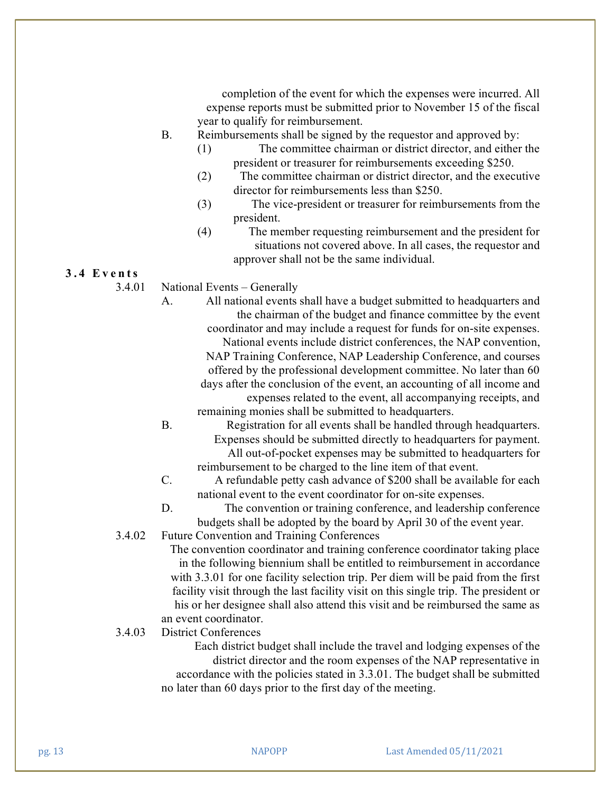completion of the event for which the expenses were incurred. All expense reports must be submitted prior to November 15 of the fiscal year to qualify for reimbursement.

- B. Reimbursements shall be signed by the requestor and approved by:
	- (1) The committee chairman or district director, and either the president or treasurer for reimbursements exceeding \$250.
	- (2) The committee chairman or district director, and the executive director for reimbursements less than \$250.
	- (3) The vice-president or treasurer for reimbursements from the president.
	- (4) The member requesting reimbursement and the president for situations not covered above. In all cases, the requestor and approver shall not be the same individual.

#### **3.4 Events**

3.4.01 National Events – Generally

A. All national events shall have a budget submitted to headquarters and the chairman of the budget and finance committee by the event coordinator and may include a request for funds for on-site expenses. National events include district conferences, the NAP convention, NAP Training Conference, NAP Leadership Conference, and courses offered by the professional development committee. No later than 60

days after the conclusion of the event, an accounting of all income and expenses related to the event, all accompanying receipts, and remaining monies shall be submitted to headquarters.

- 
- B. Registration for all events shall be handled through headquarters. Expenses should be submitted directly to headquarters for payment. All out-of-pocket expenses may be submitted to headquarters for

reimbursement to be charged to the line item of that event.

- C. A refundable petty cash advance of \$200 shall be available for each national event to the event coordinator for on-site expenses.
- D. The convention or training conference, and leadership conference budgets shall be adopted by the board by April 30 of the event year.
- 3.4.02 Future Convention and Training Conferences
	- The convention coordinator and training conference coordinator taking place in the following biennium shall be entitled to reimbursement in accordance with 3.3.01 for one facility selection trip. Per diem will be paid from the first facility visit through the last facility visit on this single trip. The president or his or her designee shall also attend this visit and be reimbursed the same as an event coordinator.

#### 3.4.03 District Conferences

Each district budget shall include the travel and lodging expenses of the district director and the room expenses of the NAP representative in accordance with the policies stated in 3.3.01. The budget shall be submitted no later than 60 days prior to the first day of the meeting.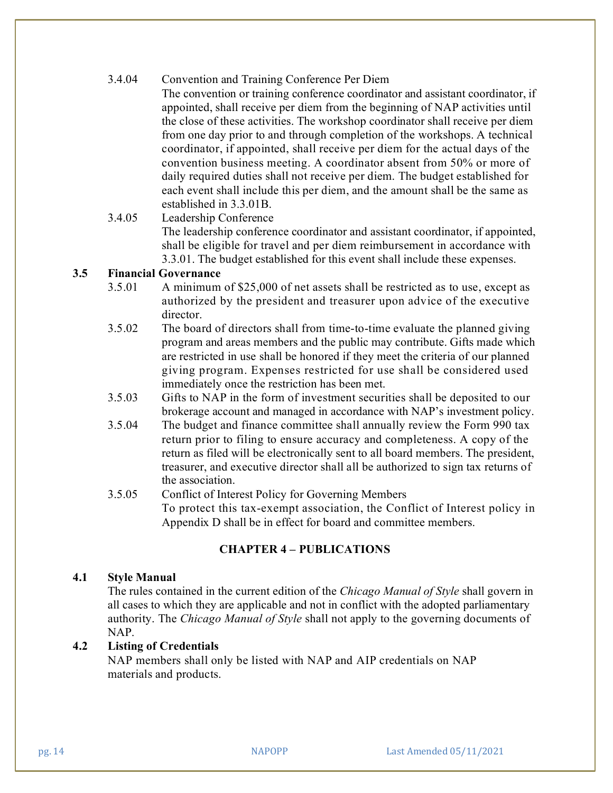#### 3.4.04 Convention and Training Conference Per Diem

The convention or training conference coordinator and assistant coordinator, if appointed, shall receive per diem from the beginning of NAP activities until the close of these activities. The workshop coordinator shall receive per diem from one day prior to and through completion of the workshops. A technical coordinator, if appointed, shall receive per diem for the actual days of the convention business meeting. A coordinator absent from 50% or more of daily required duties shall not receive per diem. The budget established for each event shall include this per diem, and the amount shall be the same as established in 3.3.01B.

### 3.4.05 Leadership Conference The leadership conference coordinator and assistant coordinator, if appointed, shall be eligible for travel and per diem reimbursement in accordance with 3.3.01. The budget established for this event shall include these expenses.

### **3.5 Financial Governance**

- 3.5.01 A minimum of \$25,000 of net assets shall be restricted as to use, except as authorized by the president and treasurer upon advice of the executive director.
- 3.5.02 The board of directors shall from time-to-time evaluate the planned giving program and areas members and the public may contribute. Gifts made which are restricted in use shall be honored if they meet the criteria of our planned giving program. Expenses restricted for use shall be considered used immediately once the restriction has been met.
- 3.5.03 Gifts to NAP in the form of investment securities shall be deposited to our brokerage account and managed in accordance with NAP's investment policy.
- 3.5.04 The budget and finance committee shall annually review the Form 990 tax return prior to filing to ensure accuracy and completeness. A copy of the return as filed will be electronically sent to all board members. The president, treasurer, and executive director shall all be authorized to sign tax returns of the association.

# 3.5.05 Conflict of Interest Policy for Governing Members To protect this tax-exempt association, the Conflict of Interest policy in Appendix D shall be in effect for board and committee members.

# **CHAPTER 4 – PUBLICATIONS**

#### **4.1 Style Manual**

The rules contained in the current edition of the *Chicago Manual of Style* shall govern in all cases to which they are applicable and not in conflict with the adopted parliamentary authority. The *Chicago Manual of Style* shall not apply to the governing documents of NAP.

# **4.2 Listing of Credentials**

NAP members shall only be listed with NAP and AIP credentials on NAP materials and products.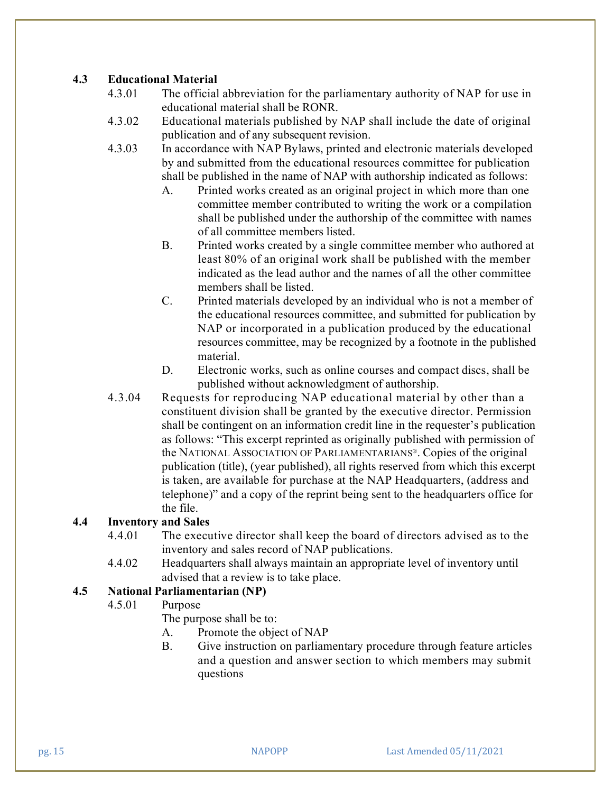# **4.3 Educational Material**

- 4.3.01 The official abbreviation for the parliamentary authority of NAP for use in educational material shall be RONR.
- 4.3.02 Educational materials published by NAP shall include the date of original publication and of any subsequent revision.
- 4.3.03 In accordance with NAP Bylaws, printed and electronic materials developed by and submitted from the educational resources committee for publication shall be published in the name of NAP with authorship indicated as follows:
	- A. Printed works created as an original project in which more than one committee member contributed to writing the work or a compilation shall be published under the authorship of the committee with names of all committee members listed.
	- B. Printed works created by a single committee member who authored at least 80% of an original work shall be published with the member indicated as the lead author and the names of all the other committee members shall be listed.
	- C. Printed materials developed by an individual who is not a member of the educational resources committee, and submitted for publication by NAP or incorporated in a publication produced by the educational resources committee, may be recognized by a footnote in the published material.
	- D. Electronic works, such as online courses and compact discs, shall be published without acknowledgment of authorship.
- 4.3.04 Requests for reproducing NAP educational material by other than a constituent division shall be granted by the executive director. Permission shall be contingent on an information credit line in the requester's publication as follows: "This excerpt reprinted as originally published with permission of the NATIONAL ASSOCIATION OF PARLIAMENTARIANS®. Copies of the original publication (title), (year published), all rights reserved from which this excerpt is taken, are available for purchase at the NAP Headquarters, (address and telephone)" and a copy of the reprint being sent to the headquarters office for the file.

# **4.4 Inventory and Sales**

- 4.4.01 The executive director shall keep the board of directors advised as to the inventory and sales record of NAP publications.
- 4.4.02 Headquarters shall always maintain an appropriate level of inventory until advised that a review is to take place.

# **4.5 National Parliamentarian (NP)**

- 4.5.01 Purpose
	- The purpose shall be to:
	- A. Promote the object of NAP
	- B. Give instruction on parliamentary procedure through feature articles and a question and answer section to which members may submit questions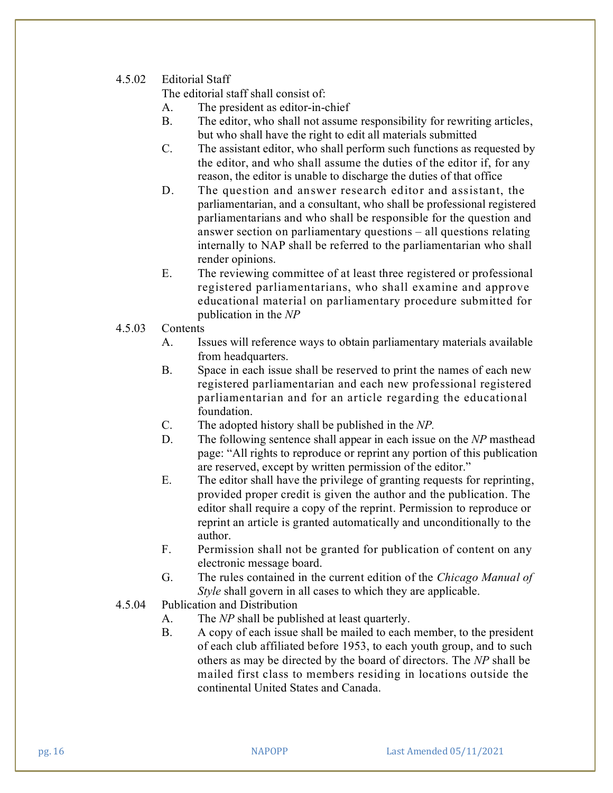### 4.5.02 Editorial Staff

The editorial staff shall consist of:

- A. The president as editor-in-chief
- B. The editor, who shall not assume responsibility for rewriting articles, but who shall have the right to edit all materials submitted
- C. The assistant editor, who shall perform such functions as requested by the editor, and who shall assume the duties of the editor if, for any reason, the editor is unable to discharge the duties of that office
- D. The question and answer research editor and assistant, the parliamentarian, and a consultant, who shall be professional registered parliamentarians and who shall be responsible for the question and answer section on parliamentary questions – all questions relating internally to NAP shall be referred to the parliamentarian who shall render opinions.
- E. The reviewing committee of at least three registered or professional registered parliamentarians, who shall examine and approve educational material on parliamentary procedure submitted for publication in the *NP*
- 4.5.03 Contents
	- A. Issues will reference ways to obtain parliamentary materials available from headquarters.
	- B. Space in each issue shall be reserved to print the names of each new registered parliamentarian and each new professional registered parliamentarian and for an article regarding the educational foundation.
	- C. The adopted history shall be published in the *NP.*
	- D. The following sentence shall appear in each issue on the *NP* masthead page: "All rights to reproduce or reprint any portion of this publication are reserved, except by written permission of the editor."
	- E. The editor shall have the privilege of granting requests for reprinting, provided proper credit is given the author and the publication. The editor shall require a copy of the reprint. Permission to reproduce or reprint an article is granted automatically and unconditionally to the author.
	- F. Permission shall not be granted for publication of content on any electronic message board.
	- G. The rules contained in the current edition of the *Chicago Manual of Style* shall govern in all cases to which they are applicable.
- 4.5.04 Publication and Distribution
	- A. The *NP* shall be published at least quarterly.
	- B. A copy of each issue shall be mailed to each member, to the president of each club affiliated before 1953, to each youth group, and to such others as may be directed by the board of directors. The *NP* shall be mailed first class to members residing in locations outside the continental United States and Canada.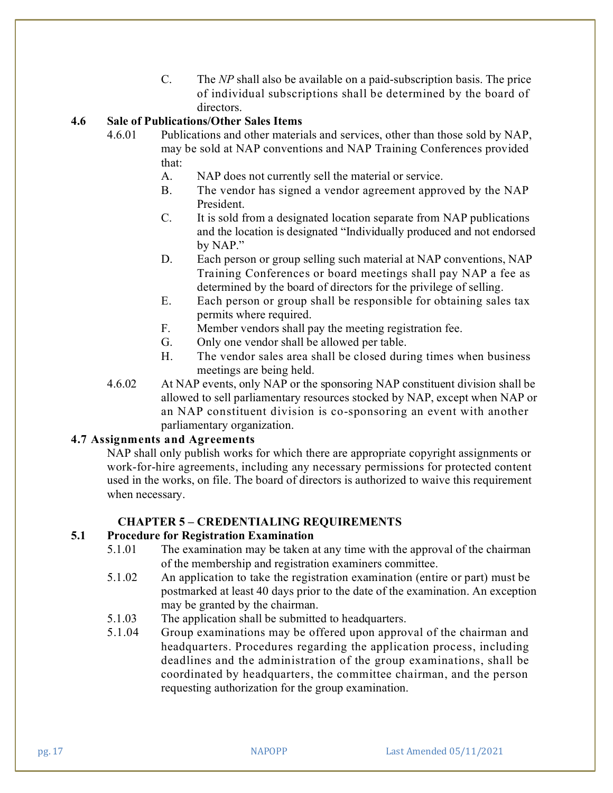C. The *NP* shall also be available on a paid-subscription basis. The price of individual subscriptions shall be determined by the board of directors.

# **4.6 Sale of Publications/Other Sales Items**

- 4.6.01 Publications and other materials and services, other than those sold by NAP, may be sold at NAP conventions and NAP Training Conferences provided that:
	- A. NAP does not currently sell the material or service.
	- B. The vendor has signed a vendor agreement approved by the NAP President.
	- C. It is sold from a designated location separate from NAP publications and the location is designated "Individually produced and not endorsed by NAP."
	- D. Each person or group selling such material at NAP conventions, NAP Training Conferences or board meetings shall pay NAP a fee as determined by the board of directors for the privilege of selling.
	- E. Each person or group shall be responsible for obtaining sales tax permits where required.
	- F. Member vendors shall pay the meeting registration fee.
	- G. Only one vendor shall be allowed per table.
	- H. The vendor sales area shall be closed during times when business meetings are being held.
- 4.6.02 At NAP events, only NAP or the sponsoring NAP constituent division shall be allowed to sell parliamentary resources stocked by NAP, except when NAP or an NAP constituent division is co-sponsoring an event with another parliamentary organization.

# **4.7 Assignments and Agreements**

NAP shall only publish works for which there are appropriate copyright assignments or work-for-hire agreements, including any necessary permissions for protected content used in the works, on file. The board of directors is authorized to waive this requirement when necessary.

### **CHAPTER 5 – CREDENTIALING REQUIREMENTS**

### **5.1 Procedure for Registration Examination**

- 5.1.01 The examination may be taken at any time with the approval of the chairman of the membership and registration examiners committee.
- 5.1.02 An application to take the registration examination (entire or part) must be postmarked at least 40 days prior to the date of the examination. An exception may be granted by the chairman.
- 5.1.03 The application shall be submitted to headquarters.
- 5.1.04 Group examinations may be offered upon approval of the chairman and headquarters. Procedures regarding the application process, including deadlines and the administration of the group examinations, shall be coordinated by headquarters, the committee chairman, and the person requesting authorization for the group examination.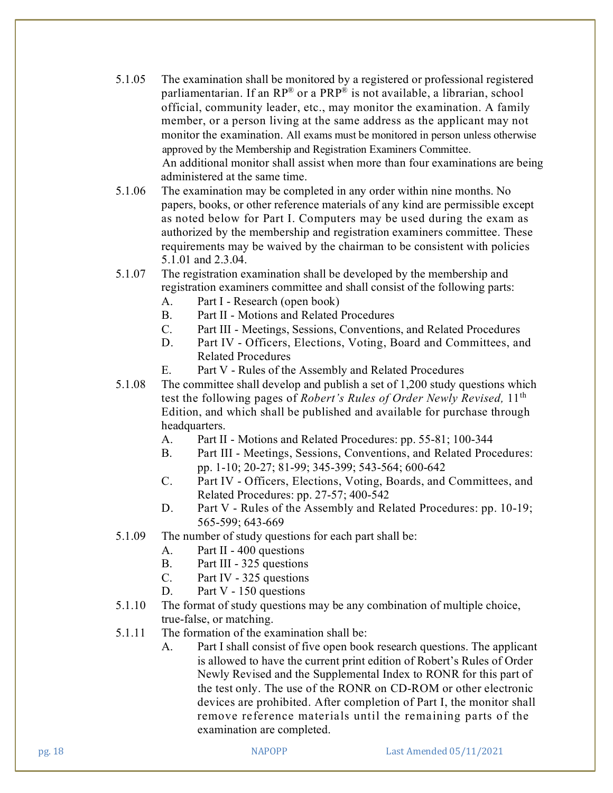- 5.1.05 The examination shall be monitored by a registered or professional registered parliamentarian. If an RP® or a PRP® is not available, a librarian, school official, community leader, etc., may monitor the examination. A family member, or a person living at the same address as the applicant may not monitor the examination. All exams must be monitored in person unless otherwise approved by the Membership and Registration Examiners Committee. An additional monitor shall assist when more than four examinations are being administered at the same time.
- 5.1.06 The examination may be completed in any order within nine months. No papers, books, or other reference materials of any kind are permissible except as noted below for Part I. Computers may be used during the exam as authorized by the membership and registration examiners committee. These requirements may be waived by the chairman to be consistent with policies 5.1.01 and 2.3.04.
- 5.1.07 The registration examination shall be developed by the membership and registration examiners committee and shall consist of the following parts:
	- A. Part I Research (open book)
	- B. Part II Motions and Related Procedures
	- C. Part III Meetings, Sessions, Conventions, and Related Procedures
	- D. Part IV Officers, Elections, Voting, Board and Committees, and Related Procedures
	- E. Part V Rules of the Assembly and Related Procedures
- 5.1.08 The committee shall develop and publish a set of 1,200 study questions which test the following pages of *Robert's Rules of Order Newly Revised,* 11th Edition, and which shall be published and available for purchase through headquarters.
	- A. Part II Motions and Related Procedures: pp. 55-81; 100-344
	- B. Part III Meetings, Sessions, Conventions, and Related Procedures: pp. 1-10; 20-27; 81-99; 345-399; 543-564; 600-642
	- C. Part IV Officers, Elections, Voting, Boards, and Committees, and Related Procedures: pp. 27-57; 400-542
	- D. Part V Rules of the Assembly and Related Procedures: pp. 10-19; 565-599; 643-669
- 5.1.09 The number of study questions for each part shall be:
	- A. Part II 400 questions
	- B. Part III 325 questions
	- C. Part IV 325 questions
	- D. Part V 150 questions
- 5.1.10 The format of study questions may be any combination of multiple choice, true-false, or matching.
- 5.1.11 The formation of the examination shall be:
	- A. Part I shall consist of five open book research questions. The applicant is allowed to have the current print edition of Robert's Rules of Order Newly Revised and the Supplemental Index to RONR for this part of the test only. The use of the RONR on CD-ROM or other electronic devices are prohibited. After completion of Part I, the monitor shall remove reference materials until the remaining parts of the examination are completed.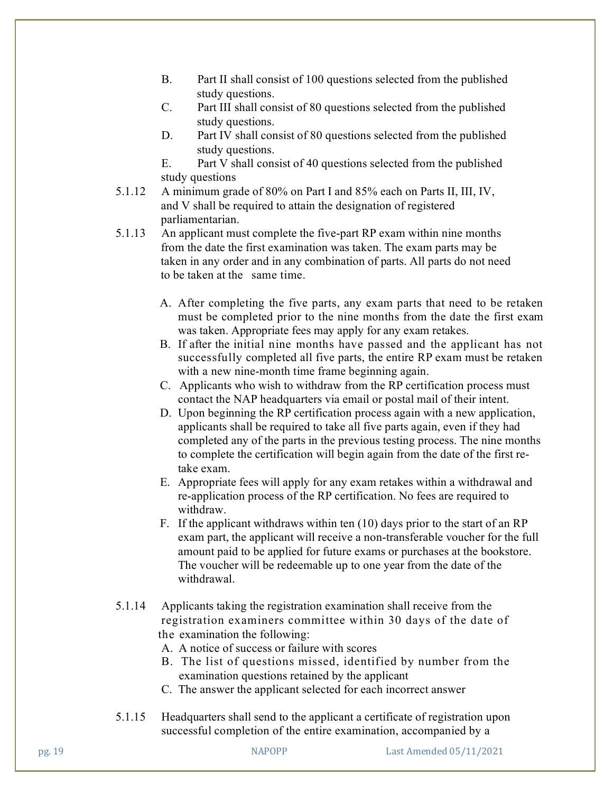- B. Part II shall consist of 100 questions selected from the published study questions.
- C. Part III shall consist of 80 questions selected from the published study questions.
- D. Part IV shall consist of 80 questions selected from the published study questions.
- E. Part V shall consist of 40 questions selected from the published study questions
- 5.1.12 A minimum grade of 80% on Part I and 85% each on Parts II, III, IV, and V shall be required to attain the designation of registered parliamentarian.
- 5.1.13 An applicant must complete the five-part RP exam within nine months from the date the first examination was taken. The exam parts may be taken in any order and in any combination of parts. All parts do not need to be taken at the same time.
	- A. After completing the five parts, any exam parts that need to be retaken must be completed prior to the nine months from the date the first exam was taken. Appropriate fees may apply for any exam retakes.
	- B. If after the initial nine months have passed and the applicant has not successfully completed all five parts, the entire RP exam must be retaken with a new nine-month time frame beginning again.
	- C. Applicants who wish to withdraw from the RP certification process must contact the NAP headquarters via email or postal mail of their intent.
	- D. Upon beginning the RP certification process again with a new application, applicants shall be required to take all five parts again, even if they had completed any of the parts in the previous testing process. The nine months to complete the certification will begin again from the date of the first retake exam.
	- E. Appropriate fees will apply for any exam retakes within a withdrawal and re-application process of the RP certification. No fees are required to withdraw.
	- F. If the applicant withdraws within ten (10) days prior to the start of an RP exam part, the applicant will receive a non-transferable voucher for the full amount paid to be applied for future exams or purchases at the bookstore. The voucher will be redeemable up to one year from the date of the withdrawal.
- 5.1.14 Applicants taking the registration examination shall receive from the registration examiners committee within 30 days of the date of the examination the following:
	- A. A notice of success or failure with scores
	- B. The list of questions missed, identified by number from the examination questions retained by the applicant
	- C. The answer the applicant selected for each incorrect answer
- 5.1.15 Headquarters shall send to the applicant a certificate of registration upon successful completion of the entire examination, accompanied by a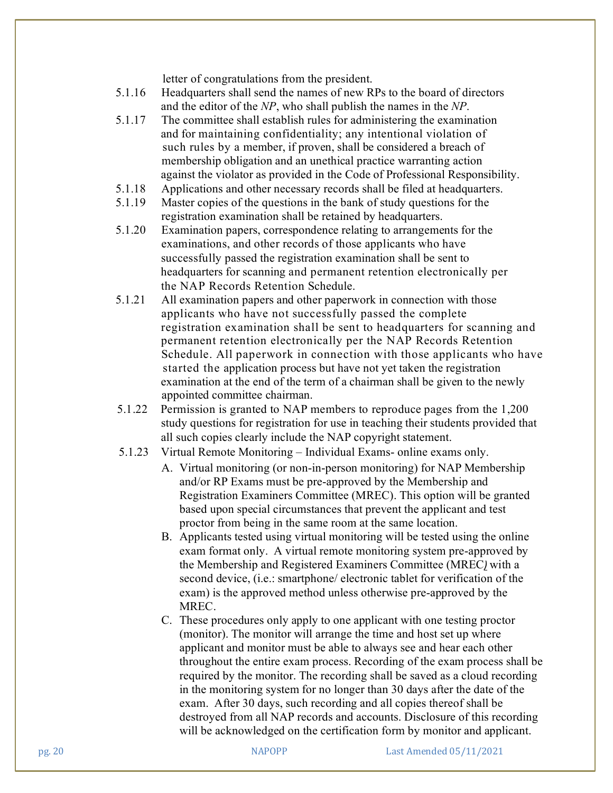letter of congratulations from the president.

- 5.1.16 Headquarters shall send the names of new RPs to the board of directors and the editor of the *NP*, who shall publish the names in the *NP*.
- 5.1.17 The committee shall establish rules for administering the examination and for maintaining confidentiality; any intentional violation of such rules by a member, if proven, shall be considered a breach of membership obligation and an unethical practice warranting action against the violator as provided in the Code of Professional Responsibility.
- 5.1.18 Applications and other necessary records shall be filed at headquarters.
- 5.1.19 Master copies of the questions in the bank of study questions for the registration examination shall be retained by headquarters.
- 5.1.20 Examination papers, correspondence relating to arrangements for the examinations, and other records of those applicants who have successfully passed the registration examination shall be sent to headquarters for scanning and permanent retention electronically per the NAP Records Retention Schedule.
- 5.1.21 All examination papers and other paperwork in connection with those applicants who have not successfully passed the complete registration examination shall be sent to headquarters for scanning and permanent retention electronically per the NAP Records Retention Schedule. All paperwork in connection with those applicants who have started the application process but have not yet taken the registration examination at the end of the term of a chairman shall be given to the newly appointed committee chairman.
- 5.1.22 Permission is granted to NAP members to reproduce pages from the 1,200 study questions for registration for use in teaching their students provided that all such copies clearly include the NAP copyright statement.
- 5.1.23 Virtual Remote Monitoring Individual Exams- online exams only.
	- A. Virtual monitoring (or non-in-person monitoring) for NAP Membership and/or RP Exams must be pre-approved by the Membership and Registration Examiners Committee (MREC). This option will be granted based upon special circumstances that prevent the applicant and test proctor from being in the same room at the same location.
	- B. Applicants tested using virtual monitoring will be tested using the online exam format only. A virtual remote monitoring system pre-approved by the Membership and Registered Examiners Committee (MREC*)* with a second device, (i.e.: smartphone/ electronic tablet for verification of the exam) is the approved method unless otherwise pre-approved by the MREC.
	- C. These procedures only apply to one applicant with one testing proctor (monitor). The monitor will arrange the time and host set up where applicant and monitor must be able to always see and hear each other throughout the entire exam process. Recording of the exam process shall be required by the monitor. The recording shall be saved as a cloud recording in the monitoring system for no longer than 30 days after the date of the exam. After 30 days, such recording and all copies thereof shall be destroyed from all NAP records and accounts. Disclosure of this recording will be acknowledged on the certification form by monitor and applicant.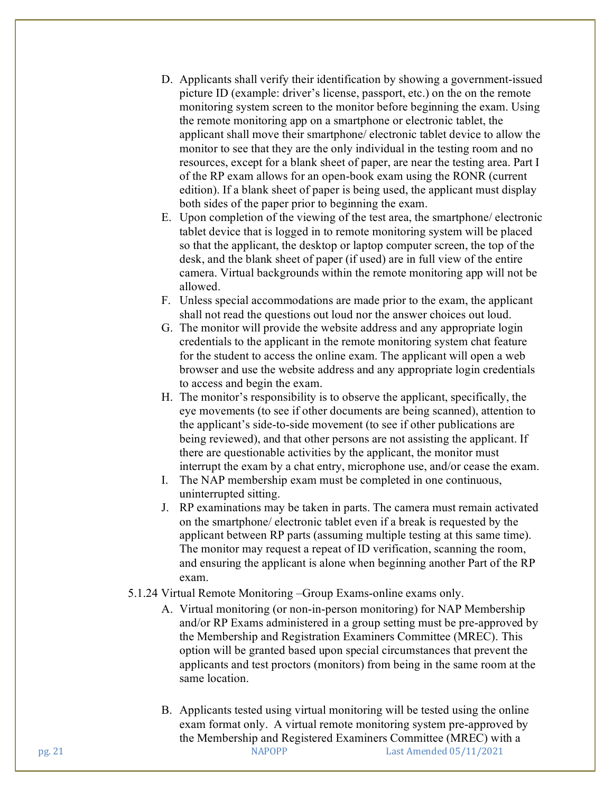- D. Applicants shall verify their identification by showing a government-issued picture ID (example: driver's license, passport, etc.) on the on the remote monitoring system screen to the monitor before beginning the exam. Using the remote monitoring app on a smartphone or electronic tablet, the applicant shall move their smartphone/ electronic tablet device to allow the monitor to see that they are the only individual in the testing room and no resources, except for a blank sheet of paper, are near the testing area. Part I of the RP exam allows for an open-book exam using the RONR (current edition). If a blank sheet of paper is being used, the applicant must display both sides of the paper prior to beginning the exam.
- E. Upon completion of the viewing of the test area, the smartphone/ electronic tablet device that is logged in to remote monitoring system will be placed so that the applicant, the desktop or laptop computer screen, the top of the desk, and the blank sheet of paper (if used) are in full view of the entire camera. Virtual backgrounds within the remote monitoring app will not be allowed.
- F. Unless special accommodations are made prior to the exam, the applicant shall not read the questions out loud nor the answer choices out loud.
- G. The monitor will provide the website address and any appropriate login credentials to the applicant in the remote monitoring system chat feature for the student to access the online exam. The applicant will open a web browser and use the website address and any appropriate login credentials to access and begin the exam.
- H. The monitor's responsibility is to observe the applicant, specifically, the eye movements (to see if other documents are being scanned), attention to the applicant's side-to-side movement (to see if other publications are being reviewed), and that other persons are not assisting the applicant. If there are questionable activities by the applicant, the monitor must interrupt the exam by a chat entry, microphone use, and/or cease the exam.
- I. The NAP membership exam must be completed in one continuous, uninterrupted sitting.
- J. RP examinations may be taken in parts. The camera must remain activated on the smartphone/ electronic tablet even if a break is requested by the applicant between RP parts (assuming multiple testing at this same time). The monitor may request a repeat of ID verification, scanning the room, and ensuring the applicant is alone when beginning another Part of the RP exam.
- 5.1.24 Virtual Remote Monitoring –Group Exams-online exams only.
	- A. Virtual monitoring (or non-in-person monitoring) for NAP Membership and/or RP Exams administered in a group setting must be pre-approved by the Membership and Registration Examiners Committee (MREC). This option will be granted based upon special circumstances that prevent the applicants and test proctors (monitors) from being in the same room at the same location.
- pg. 21 NAPOPP Last Amended 05/11/2021 B. Applicants tested using virtual monitoring will be tested using the online exam format only. A virtual remote monitoring system pre-approved by the Membership and Registered Examiners Committee (MREC) with a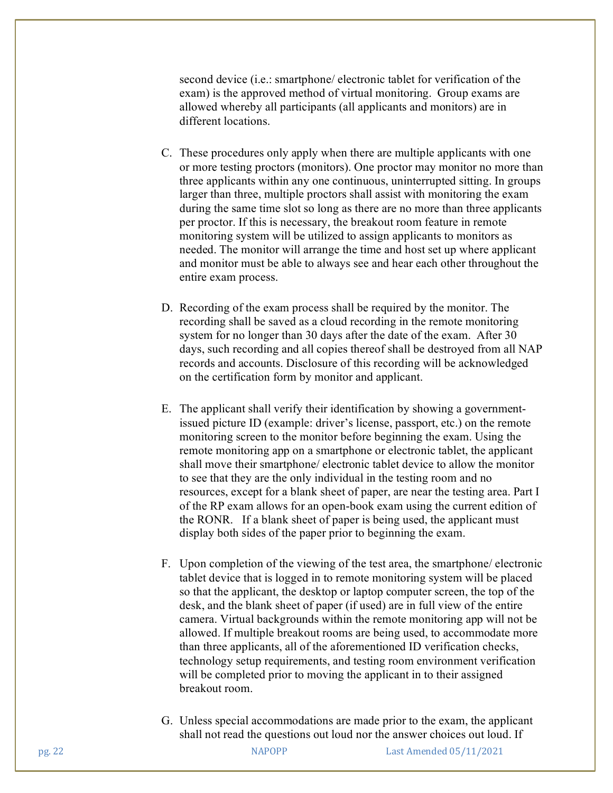second device (i.e.: smartphone/ electronic tablet for verification of the exam) is the approved method of virtual monitoring. Group exams are allowed whereby all participants (all applicants and monitors) are in different locations.

- C. These procedures only apply when there are multiple applicants with one or more testing proctors (monitors). One proctor may monitor no more than three applicants within any one continuous, uninterrupted sitting. In groups larger than three, multiple proctors shall assist with monitoring the exam during the same time slot so long as there are no more than three applicants per proctor. If this is necessary, the breakout room feature in remote monitoring system will be utilized to assign applicants to monitors as needed. The monitor will arrange the time and host set up where applicant and monitor must be able to always see and hear each other throughout the entire exam process.
- D. Recording of the exam process shall be required by the monitor. The recording shall be saved as a cloud recording in the remote monitoring system for no longer than 30 days after the date of the exam. After 30 days, such recording and all copies thereof shall be destroyed from all NAP records and accounts. Disclosure of this recording will be acknowledged on the certification form by monitor and applicant.
- E. The applicant shall verify their identification by showing a governmentissued picture ID (example: driver's license, passport, etc.) on the remote monitoring screen to the monitor before beginning the exam. Using the remote monitoring app on a smartphone or electronic tablet, the applicant shall move their smartphone/ electronic tablet device to allow the monitor to see that they are the only individual in the testing room and no resources, except for a blank sheet of paper, are near the testing area. Part I of the RP exam allows for an open-book exam using the current edition of the RONR.If a blank sheet of paper is being used, the applicant must display both sides of the paper prior to beginning the exam.
- F. Upon completion of the viewing of the test area, the smartphone/ electronic tablet device that is logged in to remote monitoring system will be placed so that the applicant, the desktop or laptop computer screen, the top of the desk, and the blank sheet of paper (if used) are in full view of the entire camera. Virtual backgrounds within the remote monitoring app will not be allowed. If multiple breakout rooms are being used, to accommodate more than three applicants, all of the aforementioned ID verification checks, technology setup requirements, and testing room environment verification will be completed prior to moving the applicant in to their assigned breakout room.
- G. Unless special accommodations are made prior to the exam, the applicant shall not read the questions out loud nor the answer choices out loud. If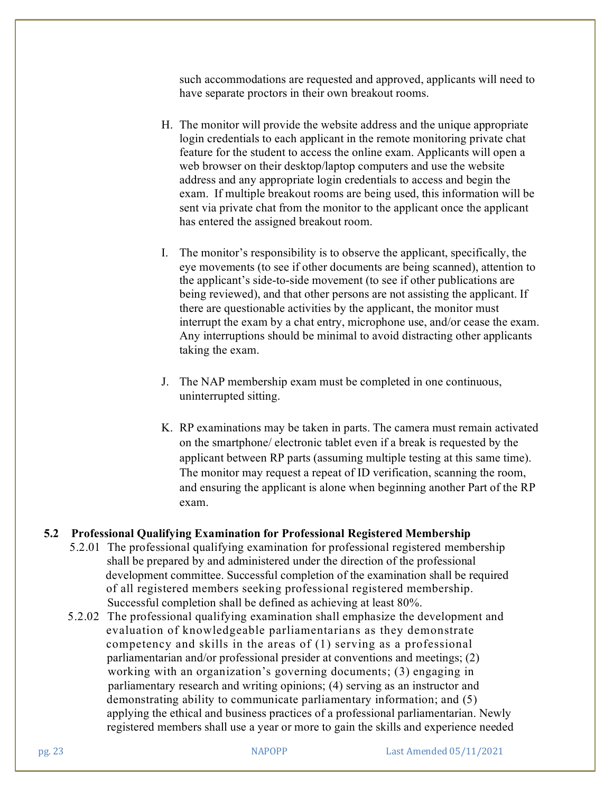such accommodations are requested and approved, applicants will need to have separate proctors in their own breakout rooms.

- H. The monitor will provide the website address and the unique appropriate login credentials to each applicant in the remote monitoring private chat feature for the student to access the online exam. Applicants will open a web browser on their desktop/laptop computers and use the website address and any appropriate login credentials to access and begin the exam. If multiple breakout rooms are being used, this information will be sent via private chat from the monitor to the applicant once the applicant has entered the assigned breakout room.
- I. The monitor's responsibility is to observe the applicant, specifically, the eye movements (to see if other documents are being scanned), attention to the applicant's side-to-side movement (to see if other publications are being reviewed), and that other persons are not assisting the applicant. If there are questionable activities by the applicant, the monitor must interrupt the exam by a chat entry, microphone use, and/or cease the exam. Any interruptions should be minimal to avoid distracting other applicants taking the exam.
- J. The NAP membership exam must be completed in one continuous, uninterrupted sitting.
- K. RP examinations may be taken in parts. The camera must remain activated on the smartphone/ electronic tablet even if a break is requested by the applicant between RP parts (assuming multiple testing at this same time). The monitor may request a repeat of ID verification, scanning the room, and ensuring the applicant is alone when beginning another Part of the RP exam.

### **5.2 Professional Qualifying Examination for Professional Registered Membership**

- 5.2.01 The professional qualifying examination for professional registered membership shall be prepared by and administered under the direction of the professional development committee. Successful completion of the examination shall be required of all registered members seeking professional registered membership. Successful completion shall be defined as achieving at least 80%.
- 5.2.02 The professional qualifying examination shall emphasize the development and evaluation of knowledgeable parliamentarians as they demonstrate competency and skills in the areas of (1) serving as a professional parliamentarian and/or professional presider at conventions and meetings; (2) working with an organization's governing documents; (3) engaging in parliamentary research and writing opinions; (4) serving as an instructor and demonstrating ability to communicate parliamentary information; and (5) applying the ethical and business practices of a professional parliamentarian. Newly registered members shall use a year or more to gain the skills and experience needed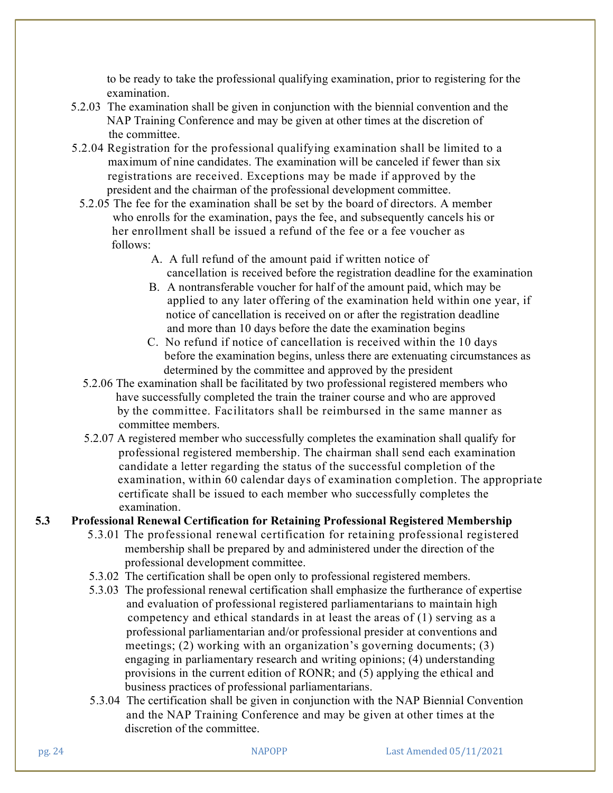to be ready to take the professional qualifying examination, prior to registering for the examination.

- 5.2.03 The examination shall be given in conjunction with the biennial convention and the NAP Training Conference and may be given at other times at the discretion of the committee.
- 5.2.04 Registration for the professional qualifying examination shall be limited to a maximum of nine candidates. The examination will be canceled if fewer than six registrations are received. Exceptions may be made if approved by the president and the chairman of the professional development committee.
	- 5.2.05 The fee for the examination shall be set by the board of directors. A member who enrolls for the examination, pays the fee, and subsequently cancels his or her enrollment shall be issued a refund of the fee or a fee voucher as follows:
		- A. A full refund of the amount paid if written notice of cancellation is received before the registration deadline for the examination
		- B. A nontransferable voucher for half of the amount paid, which may be applied to any later offering of the examination held within one year, if notice of cancellation is received on or after the registration deadline and more than 10 days before the date the examination begins
		- C. No refund if notice of cancellation is received within the 10 days before the examination begins, unless there are extenuating circumstances as determined by the committee and approved by the president
	- 5.2.06 The examination shall be facilitated by two professional registered members who have successfully completed the train the trainer course and who are approved by the committee. Facilitators shall be reimbursed in the same manner as committee members.
	- 5.2.07 A registered member who successfully completes the examination shall qualify for professional registered membership. The chairman shall send each examination candidate a letter regarding the status of the successful completion of the examination, within 60 calendar days of examination completion. The appropriate certificate shall be issued to each member who successfully completes the examination.

#### **5.3 Professional Renewal Certification for Retaining Professional Registered Membership**

- 5.3.01 The professional renewal certification for retaining professional registered membership shall be prepared by and administered under the direction of the professional development committee.
- 5.3.02 The certification shall be open only to professional registered members.
- 5.3.03 The professional renewal certification shall emphasize the furtherance of expertise and evaluation of professional registered parliamentarians to maintain high competency and ethical standards in at least the areas of (1) serving as a professional parliamentarian and/or professional presider at conventions and meetings; (2) working with an organization's governing documents; (3) engaging in parliamentary research and writing opinions; (4) understanding provisions in the current edition of RONR; and (5) applying the ethical and business practices of professional parliamentarians.
- 5.3.04 The certification shall be given in conjunction with the NAP Biennial Convention and the NAP Training Conference and may be given at other times at the discretion of the committee.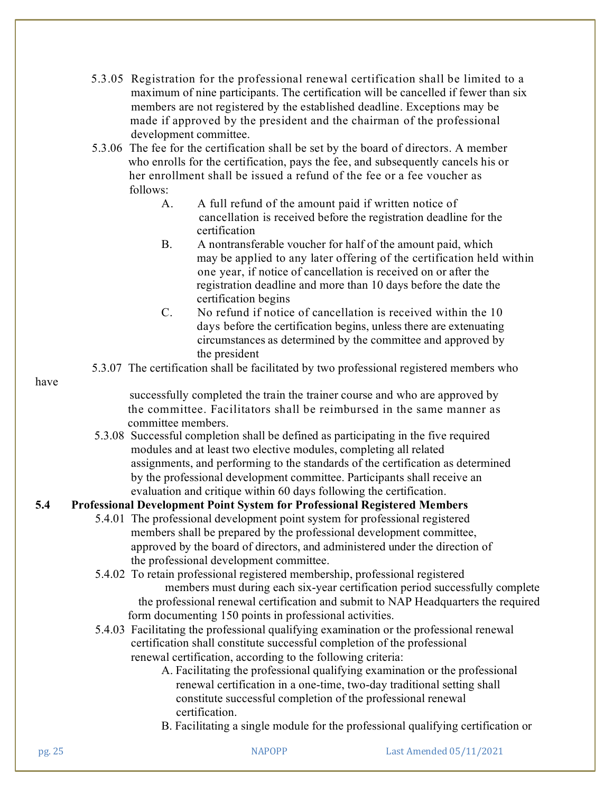- 5.3.05 Registration for the professional renewal certification shall be limited to a maximum of nine participants. The certification will be cancelled if fewer than six members are not registered by the established deadline. Exceptions may be made if approved by the president and the chairman of the professional development committee.
- 5.3.06 The fee for the certification shall be set by the board of directors. A member who enrolls for the certification, pays the fee, and subsequently cancels his or her enrollment shall be issued a refund of the fee or a fee voucher as follows:
	- A. A full refund of the amount paid if written notice of cancellation is received before the registration deadline for the certification
	- B. A nontransferable voucher for half of the amount paid, which may be applied to any later offering of the certification held within one year, if notice of cancellation is received on or after the registration deadline and more than 10 days before the date the certification begins
	- C. No refund if notice of cancellation is received within the 10 days before the certification begins, unless there are extenuating circumstances as determined by the committee and approved by the president
- 5.3.07 The certification shall be facilitated by two professional registered members who

have

 successfully completed the train the trainer course and who are approved by the committee. Facilitators shall be reimbursed in the same manner as committee members.

 5.3.08 Successful completion shall be defined as participating in the five required modules and at least two elective modules, completing all related assignments, and performing to the standards of the certification as determined by the professional development committee. Participants shall receive an evaluation and critique within 60 days following the certification.

# **5.4 Professional Development Point System for Professional Registered Members**

- 5.4.01 The professional development point system for professional registered members shall be prepared by the professional development committee, approved by the board of directors, and administered under the direction of the professional development committee.
- 5.4.02 To retain professional registered membership, professional registered members must during each six-year certification period successfully complete the professional renewal certification and submit to NAP Headquarters the required form documenting 150 points in professional activities.
- 5.4.03 Facilitating the professional qualifying examination or the professional renewal certification shall constitute successful completion of the professional renewal certification, according to the following criteria:
	- A. Facilitating the professional qualifying examination or the professional renewal certification in a one-time, two-day traditional setting shall constitute successful completion of the professional renewal certification.
	- B. Facilitating a single module for the professional qualifying certification or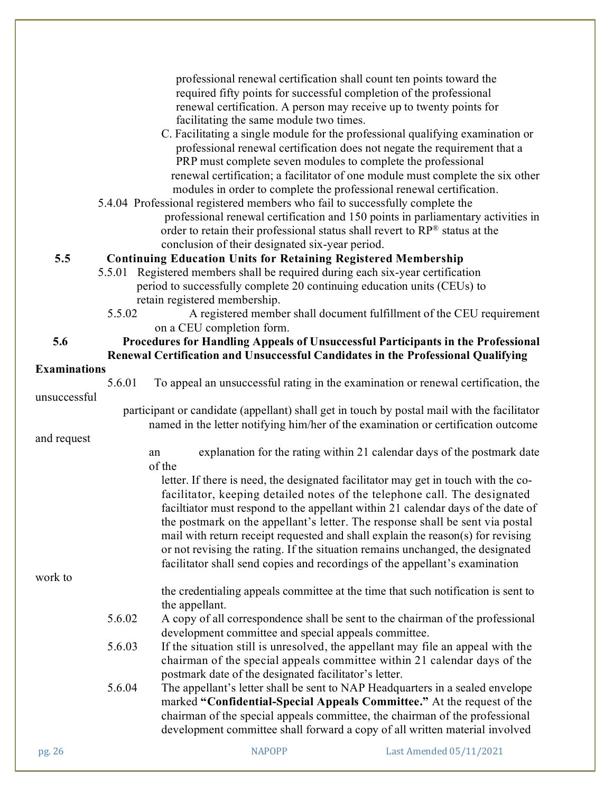|                     |        |                               | facilitating the same module two times.               | professional renewal certification shall count ten points toward the<br>required fifty points for successful completion of the professional<br>renewal certification. A person may receive up to twenty points for<br>C. Facilitating a single module for the professional qualifying examination or<br>professional renewal certification does not negate the requirement that a<br>PRP must complete seven modules to complete the professional<br>renewal certification; a facilitator of one module must complete the six other<br>modules in order to complete the professional renewal certification.<br>5.4.04 Professional registered members who fail to successfully complete the<br>professional renewal certification and 150 points in parliamentary activities in |  |
|---------------------|--------|-------------------------------|-------------------------------------------------------|---------------------------------------------------------------------------------------------------------------------------------------------------------------------------------------------------------------------------------------------------------------------------------------------------------------------------------------------------------------------------------------------------------------------------------------------------------------------------------------------------------------------------------------------------------------------------------------------------------------------------------------------------------------------------------------------------------------------------------------------------------------------------------|--|
|                     |        |                               |                                                       | order to retain their professional status shall revert to $RP^{\circledast}$ status at the                                                                                                                                                                                                                                                                                                                                                                                                                                                                                                                                                                                                                                                                                      |  |
|                     |        |                               | conclusion of their designated six-year period.       |                                                                                                                                                                                                                                                                                                                                                                                                                                                                                                                                                                                                                                                                                                                                                                                 |  |
| 5.5                 |        | retain registered membership. |                                                       | <b>Continuing Education Units for Retaining Registered Membership</b><br>5.5.01 Registered members shall be required during each six-year certification<br>period to successfully complete 20 continuing education units (CEUs) to                                                                                                                                                                                                                                                                                                                                                                                                                                                                                                                                              |  |
|                     | 5.5.02 |                               |                                                       | A registered member shall document fulfillment of the CEU requirement                                                                                                                                                                                                                                                                                                                                                                                                                                                                                                                                                                                                                                                                                                           |  |
|                     |        | on a CEU completion form.     |                                                       |                                                                                                                                                                                                                                                                                                                                                                                                                                                                                                                                                                                                                                                                                                                                                                                 |  |
| 5.6                 |        |                               |                                                       | Procedures for Handling Appeals of Unsuccessful Participants in the Professional                                                                                                                                                                                                                                                                                                                                                                                                                                                                                                                                                                                                                                                                                                |  |
| <b>Examinations</b> |        |                               |                                                       | Renewal Certification and Unsuccessful Candidates in the Professional Qualifying                                                                                                                                                                                                                                                                                                                                                                                                                                                                                                                                                                                                                                                                                                |  |
|                     | 5.6.01 |                               |                                                       | To appeal an unsuccessful rating in the examination or renewal certification, the                                                                                                                                                                                                                                                                                                                                                                                                                                                                                                                                                                                                                                                                                               |  |
| unsuccessful        |        |                               |                                                       |                                                                                                                                                                                                                                                                                                                                                                                                                                                                                                                                                                                                                                                                                                                                                                                 |  |
|                     |        |                               |                                                       | participant or candidate (appellant) shall get in touch by postal mail with the facilitator<br>named in the letter notifying him/her of the examination or certification outcome                                                                                                                                                                                                                                                                                                                                                                                                                                                                                                                                                                                                |  |
| and request         |        |                               |                                                       |                                                                                                                                                                                                                                                                                                                                                                                                                                                                                                                                                                                                                                                                                                                                                                                 |  |
|                     |        | an<br>of the                  |                                                       | explanation for the rating within 21 calendar days of the postmark date                                                                                                                                                                                                                                                                                                                                                                                                                                                                                                                                                                                                                                                                                                         |  |
|                     |        |                               |                                                       | letter. If there is need, the designated facilitator may get in touch with the co-<br>facilitator, keeping detailed notes of the telephone call. The designated<br>faciltiator must respond to the appellant within 21 calendar days of the date of<br>the postmark on the appellant's letter. The response shall be sent via postal<br>mail with return receipt requested and shall explain the reason(s) for revising<br>or not revising the rating. If the situation remains unchanged, the designated<br>facilitator shall send copies and recordings of the appellant's examination                                                                                                                                                                                        |  |
| work to             |        |                               |                                                       |                                                                                                                                                                                                                                                                                                                                                                                                                                                                                                                                                                                                                                                                                                                                                                                 |  |
|                     |        |                               |                                                       | the credentialing appeals committee at the time that such notification is sent to                                                                                                                                                                                                                                                                                                                                                                                                                                                                                                                                                                                                                                                                                               |  |
|                     | 5.6.02 | the appellant.                |                                                       | A copy of all correspondence shall be sent to the chairman of the professional                                                                                                                                                                                                                                                                                                                                                                                                                                                                                                                                                                                                                                                                                                  |  |
|                     | 5.6.03 |                               | postmark date of the designated facilitator's letter. | development committee and special appeals committee.<br>If the situation still is unresolved, the appellant may file an appeal with the<br>chairman of the special appeals committee within 21 calendar days of the                                                                                                                                                                                                                                                                                                                                                                                                                                                                                                                                                             |  |
|                     | 5.6.04 |                               |                                                       | The appellant's letter shall be sent to NAP Headquarters in a sealed envelope<br>marked "Confidential-Special Appeals Committee." At the request of the<br>chairman of the special appeals committee, the chairman of the professional<br>development committee shall forward a copy of all written material involved                                                                                                                                                                                                                                                                                                                                                                                                                                                           |  |
| pg. 26              |        |                               | <b>NAPOPP</b>                                         | <b>Last Amended 05/11/2021</b>                                                                                                                                                                                                                                                                                                                                                                                                                                                                                                                                                                                                                                                                                                                                                  |  |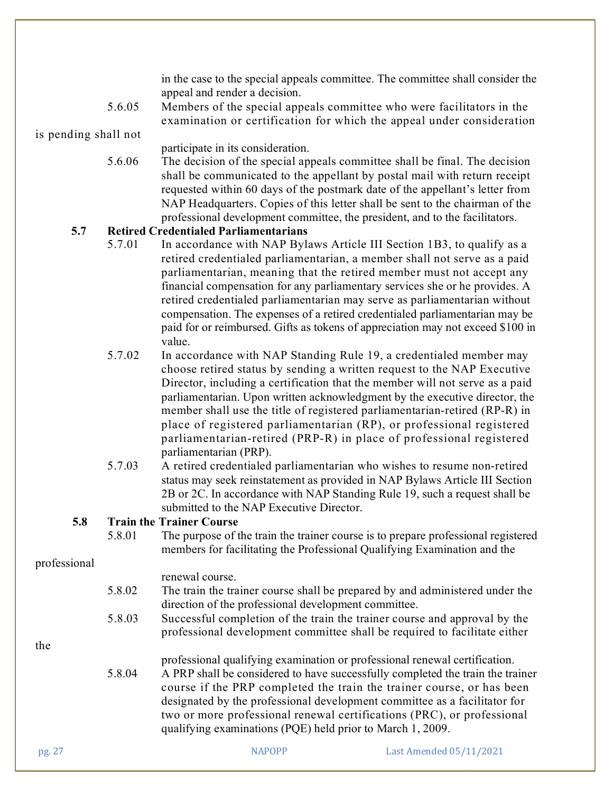in the case to the special appeals committee. The committee shall consider the appeal and render a decision.

5.6.05 Members of the special appeals committee who were facilitators in the examination or certification for which the appeal under consideration

is pending shall not

participate in its consideration.

5.6.06 The decision of the special appeals committee shall be final. The decision shall be communicated to the appellant by postal mail with return receipt requested within 60 days of the postmark date of the appellant's letter from NAP Headquarters. Copies of this letter shall be sent to the chairman of the professional development committee, the president, and to the facilitators.

# **5.7 Retired Credentialed Parliamentarians**

- 5.7.01 In accordance with NAP Bylaws Article III Section 1B3, to qualify as a retired credentialed parliamentarian, a member shall not serve as a paid parliamentarian, meaning that the retired member must not accept any financial compensation for any parliamentary services she or he provides. A retired credentialed parliamentarian may serve as parliamentarian without compensation. The expenses of a retired credentialed parliamentarian may be paid for or reimbursed. Gifts as tokens of appreciation may not exceed \$100 in value.
- 5.7.02 In accordance with NAP Standing Rule 19, a credentialed member may choose retired status by sending a written request to the NAP Executive Director, including a certification that the member will not serve as a paid parliamentarian. Upon written acknowledgment by the executive director, the member shall use the title of registered parliamentarian-retired (RP-R) in place of registered parliamentarian (RP), or professional registered parliamentarian-retired (PRP-R) in place of professional registered parliamentarian (PRP).
- 5.7.03 A retired credentialed parliamentarian who wishes to resume non-retired status may seek reinstatement as provided in NAP Bylaws Article III Section 2B or 2C. In accordance with NAP Standing Rule 19, such a request shall be submitted to the NAP Executive Director.

# **5.8 Train the Trainer Course**

5.8.01 The purpose of the train the trainer course is to prepare professional registered members for facilitating the Professional Qualifying Examination and the

professional

renewal course.

- 5.8.02 The train the trainer course shall be prepared by and administered under the direction of the professional development committee.
- 5.8.03 Successful completion of the train the trainer course and approval by the professional development committee shall be required to facilitate either
- professional qualifying examination or professional renewal certification. 5.8.04 A PRP shall be considered to have successfully completed the train the trainer course if the PRP completed the train the trainer course, or has been designated by the professional development committee as a facilitator for two or more professional renewal certifications (PRC), or professional qualifying examinations (PQE) held prior to March 1, 2009.

the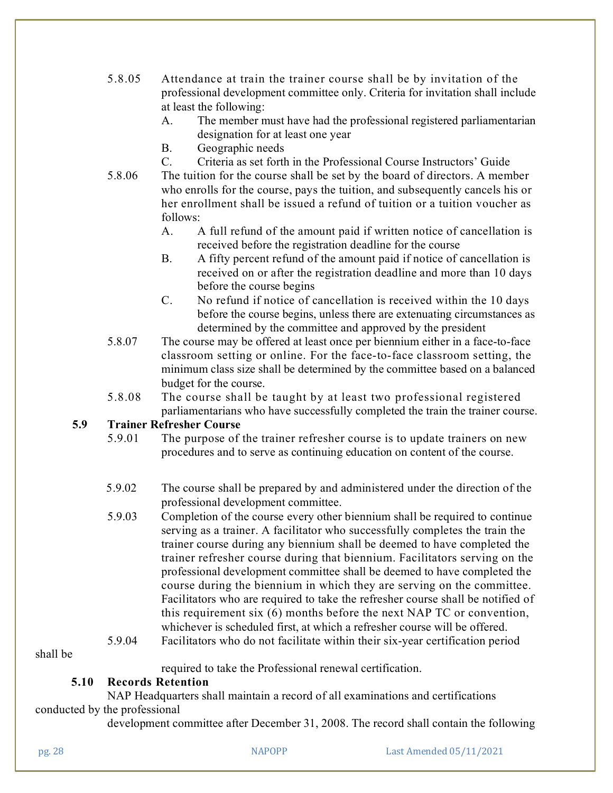- 5.8.05 Attendance at train the trainer course shall be by invitation of the professional development committee only. Criteria for invitation shall include at least the following:
	- A. The member must have had the professional registered parliamentarian designation for at least one year
	- B. Geographic needs
	- C. Criteria as set forth in the Professional Course Instructors' Guide
- 5.8.06 The tuition for the course shall be set by the board of directors. A member who enrolls for the course, pays the tuition, and subsequently cancels his or her enrollment shall be issued a refund of tuition or a tuition voucher as follows:
	- A. A full refund of the amount paid if written notice of cancellation is received before the registration deadline for the course
	- B. A fifty percent refund of the amount paid if notice of cancellation is received on or after the registration deadline and more than 10 days before the course begins
	- C. No refund if notice of cancellation is received within the 10 days before the course begins, unless there are extenuating circumstances as determined by the committee and approved by the president
- 5.8.07 The course may be offered at least once per biennium either in a face-to-face classroom setting or online. For the face-to-face classroom setting, the minimum class size shall be determined by the committee based on a balanced budget for the course.
- 5.8.08 The course shall be taught by at least two professional registered parliamentarians who have successfully completed the train the trainer course.

### **5.9 Trainer Refresher Course**

- 5.9.01 The purpose of the trainer refresher course is to update trainers on new procedures and to serve as continuing education on content of the course.
- 5.9.02 The course shall be prepared by and administered under the direction of the professional development committee.
- 5.9.03 Completion of the course every other biennium shall be required to continue serving as a trainer. A facilitator who successfully completes the train the trainer course during any biennium shall be deemed to have completed the trainer refresher course during that biennium. Facilitators serving on the professional development committee shall be deemed to have completed the course during the biennium in which they are serving on the committee. Facilitators who are required to take the refresher course shall be notified of this requirement six (6) months before the next NAP TC or convention, whichever is scheduled first, at which a refresher course will be offered. 5.9.04 Facilitators who do not facilitate within their six-year certification period

### shall be

required to take the Professional renewal certification.

### **5.10 Records Retention**

NAP Headquarters shall maintain a record of all examinations and certifications conducted by the professional

development committee after December 31, 2008. The record shall contain the following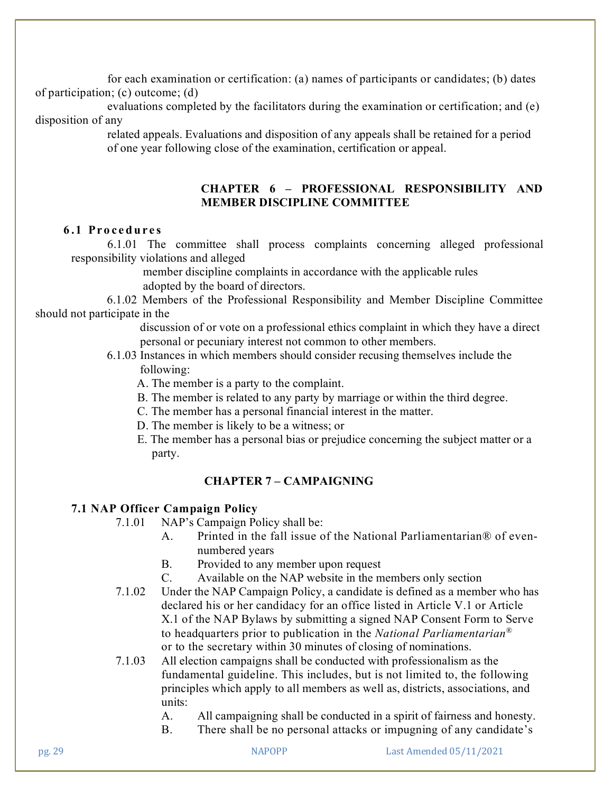for each examination or certification: (a) names of participants or candidates; (b) dates of participation; (c) outcome; (d)

evaluations completed by the facilitators during the examination or certification; and (e) disposition of any

> related appeals. Evaluations and disposition of any appeals shall be retained for a period of one year following close of the examination, certification or appeal.

### **CHAPTER 6 – PROFESSIONAL RESPONSIBILITY AND MEMBER DISCIPLINE COMMITTEE**

### **6.1 Procedures**

6.1.01 The committee shall process complaints concerning alleged professional responsibility violations and alleged

> member discipline complaints in accordance with the applicable rules adopted by the board of directors.

 6.1.02 Members of the Professional Responsibility and Member Discipline Committee should not participate in the

> discussion of or vote on a professional ethics complaint in which they have a direct personal or pecuniary interest not common to other members.

- 6.1.03 Instances in which members should consider recusing themselves include the following:
	- A. The member is a party to the complaint.
	- B. The member is related to any party by marriage or within the third degree.
	- C. The member has a personal financial interest in the matter.
	- D. The member is likely to be a witness; or
	- E. The member has a personal bias or prejudice concerning the subject matter or a party.

# **CHAPTER 7 – CAMPAIGNING**

#### **7.1 NAP Officer Campaign Policy**

- 7.1.01 NAP's Campaign Policy shall be:
	- A. Printed in the fall issue of the National Parliamentarian® of evennumbered years
	- B. Provided to any member upon request
	- C. Available on the NAP website in the members only section
- 7.1.02 Under the NAP Campaign Policy, a candidate is defined as a member who has declared his or her candidacy for an office listed in Article V.1 or Article X.1 of the NAP Bylaws by submitting a signed NAP Consent Form to Serve to headquarters prior to publication in the *National Parliamentarian*® or to the secretary within 30 minutes of closing of nominations.

7.1.03 All election campaigns shall be conducted with professionalism as the fundamental guideline. This includes, but is not limited to, the following principles which apply to all members as well as, districts, associations, and units:

- A. All campaigning shall be conducted in a spirit of fairness and honesty.
- B. There shall be no personal attacks or impugning of any candidate's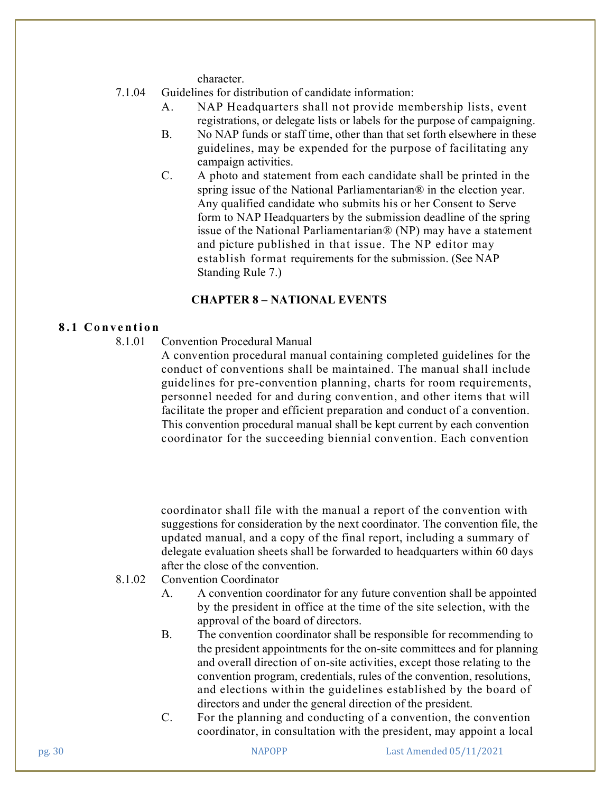character.

- 7.1.04 Guidelines for distribution of candidate information:
	- A. NAP Headquarters shall not provide membership lists, event registrations, or delegate lists or labels for the purpose of campaigning.
	- B. No NAP funds or staff time, other than that set forth elsewhere in these guidelines, may be expended for the purpose of facilitating any campaign activities.
	- C. A photo and statement from each candidate shall be printed in the spring issue of the National Parliamentarian® in the election year. Any qualified candidate who submits his or her Consent to Serve form to NAP Headquarters by the submission deadline of the spring issue of the National Parliamentarian® (NP) may have a statement and picture published in that issue. The NP editor may establish format requirements for the submission. (See NAP Standing Rule 7.)

### **CHAPTER 8 – NATIONAL EVENTS**

### **8.1 Convention**

8.1.01 Convention Procedural Manual

A convention procedural manual containing completed guidelines for the conduct of conventions shall be maintained. The manual shall include guidelines for pre-convention planning, charts for room requirements, personnel needed for and during convention, and other items that will facilitate the proper and efficient preparation and conduct of a convention. This convention procedural manual shall be kept current by each convention coordinator for the succeeding biennial convention. Each convention

 coordinator shall file with the manual a report of the convention with suggestions for consideration by the next coordinator. The convention file, the updated manual, and a copy of the final report, including a summary of delegate evaluation sheets shall be forwarded to headquarters within 60 days after the close of the convention.

- 8.1.02 Convention Coordinator
	- A. A convention coordinator for any future convention shall be appointed by the president in office at the time of the site selection, with the approval of the board of directors.
	- B. The convention coordinator shall be responsible for recommending to the president appointments for the on-site committees and for planning and overall direction of on-site activities, except those relating to the convention program, credentials, rules of the convention, resolutions, and elections within the guidelines established by the board of directors and under the general direction of the president.
	- C. For the planning and conducting of a convention, the convention coordinator, in consultation with the president, may appoint a local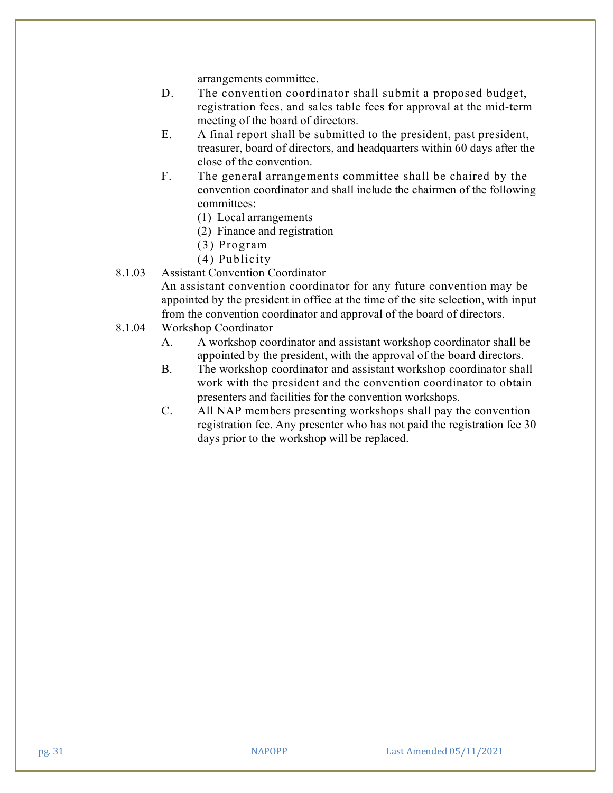arrangements committee.

- D. The convention coordinator shall submit a proposed budget, registration fees, and sales table fees for approval at the mid-term meeting of the board of directors.
- E. A final report shall be submitted to the president, past president, treasurer, board of directors, and headquarters within 60 days after the close of the convention.
- F. The general arrangements committee shall be chaired by the convention coordinator and shall include the chairmen of the following committees:
	- (1) Local arrangements
	- (2) Finance and registration
	- (3) Program
	- (4) Publicity
- 8.1.03 Assistant Convention Coordinator

An assistant convention coordinator for any future convention may be appointed by the president in office at the time of the site selection, with input from the convention coordinator and approval of the board of directors.

- 8.1.04 Workshop Coordinator
	- A. A workshop coordinator and assistant workshop coordinator shall be appointed by the president, with the approval of the board directors.
	- B. The workshop coordinator and assistant workshop coordinator shall work with the president and the convention coordinator to obtain presenters and facilities for the convention workshops.
	- C. All NAP members presenting workshops shall pay the convention registration fee. Any presenter who has not paid the registration fee 30 days prior to the workshop will be replaced.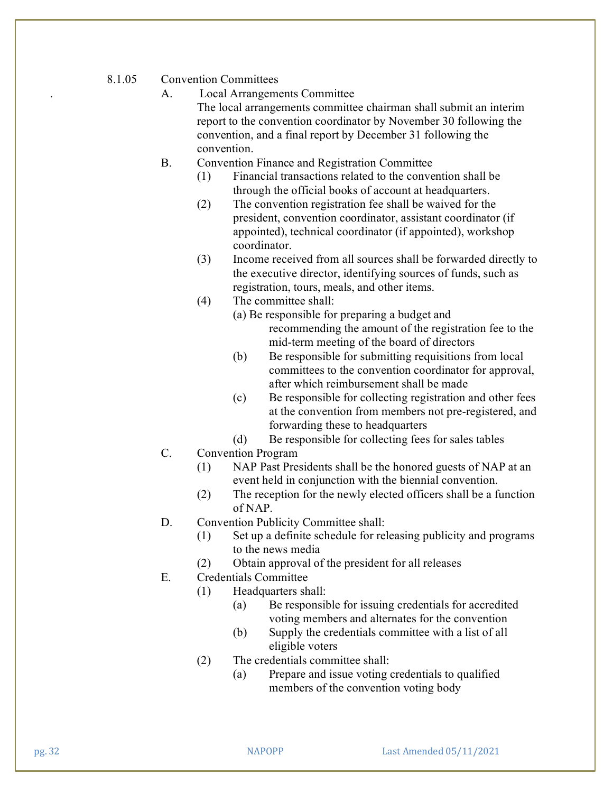- 8.1.05 Convention Committees
	- . A. Local Arrangements Committee
		- The local arrangements committee chairman shall submit an interim report to the convention coordinator by November 30 following the convention, and a final report by December 31 following the convention.
	- B. Convention Finance and Registration Committee
		- (1) Financial transactions related to the convention shall be through the official books of account at headquarters.
		- (2) The convention registration fee shall be waived for the president, convention coordinator, assistant coordinator (if appointed), technical coordinator (if appointed), workshop coordinator.
		- (3) Income received from all sources shall be forwarded directly to the executive director, identifying sources of funds, such as registration, tours, meals, and other items.
		- (4) The committee shall:
			- (a) Be responsible for preparing a budget and recommending the amount of the registration fee to the mid-term meeting of the board of directors
			- (b) Be responsible for submitting requisitions from local committees to the convention coordinator for approval, after which reimbursement shall be made
			- (c) Be responsible for collecting registration and other fees at the convention from members not pre-registered, and forwarding these to headquarters
			- (d) Be responsible for collecting fees for sales tables
	- C. Convention Program
		- (1) NAP Past Presidents shall be the honored guests of NAP at an event held in conjunction with the biennial convention.
		- (2) The reception for the newly elected officers shall be a function of NAP.
	- D. Convention Publicity Committee shall:
		- (1) Set up a definite schedule for releasing publicity and programs to the news media
		- (2) Obtain approval of the president for all releases
	- E. Credentials Committee
		- (1) Headquarters shall:
			- (a) Be responsible for issuing credentials for accredited voting members and alternates for the convention
			- (b) Supply the credentials committee with a list of all eligible voters
			- (2) The credentials committee shall:
				- (a) Prepare and issue voting credentials to qualified members of the convention voting body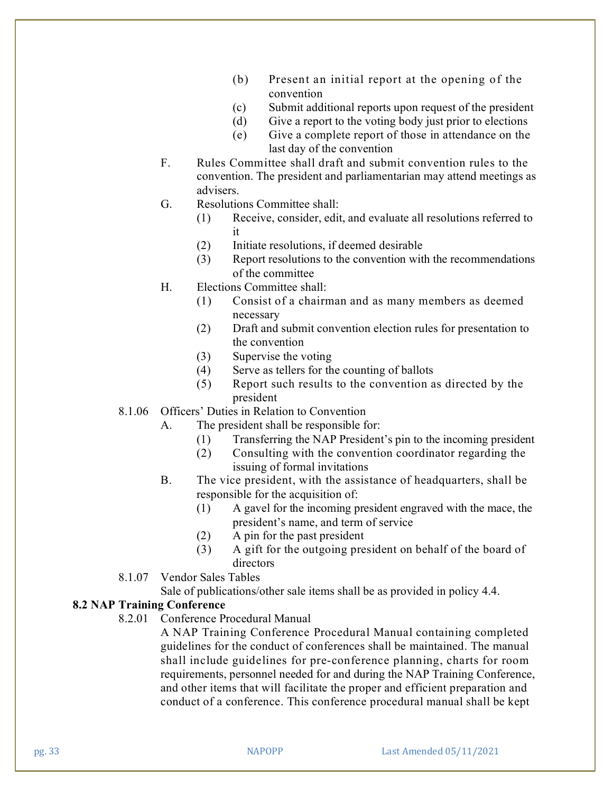- (b) Present an initial report at the opening of the convention
- (c) Submit additional reports upon request of the president
- (d) Give a report to the voting body just prior to elections
- (e) Give a complete report of those in attendance on the last day of the convention
- F. Rules Committee shall draft and submit convention rules to the convention. The president and parliamentarian may attend meetings as advisers.
- G. Resolutions Committee shall:
	- (1) Receive, consider, edit, and evaluate all resolutions referred to it
	- (2) Initiate resolutions, if deemed desirable
	- (3) Report resolutions to the convention with the recommendations of the committee
- H. Elections Committee shall:
	- (1) Consist of a chairman and as many members as deemed necessary
	- (2) Draft and submit convention election rules for presentation to the convention
	- (3) Supervise the voting
	- (4) Serve as tellers for the counting of ballots
	- (5) Report such results to the convention as directed by the president
- 8.1.06 Officers' Duties in Relation to Convention
	- A. The president shall be responsible for:
		- (1) Transferring the NAP President's pin to the incoming president
		- (2) Consulting with the convention coordinator regarding the issuing of formal invitations
	- B. The vice president, with the assistance of headquarters, shall be responsible for the acquisition of:
		- (1) A gavel for the incoming president engraved with the mace, the president's name, and term of service
		- (2) A pin for the past president
		- (3) A gift for the outgoing president on behalf of the board of directors
- 8.1.07 Vendor Sales Tables

Sale of publications/other sale items shall be as provided in policy 4.4.

### **8.2 NAP Training Conference**

8.2.01 Conference Procedural Manual

A NAP Training Conference Procedural Manual containing completed guidelines for the conduct of conferences shall be maintained. The manual shall include guidelines for pre-conference planning, charts for room requirements, personnel needed for and during the NAP Training Conference, and other items that will facilitate the proper and efficient preparation and conduct of a conference. This conference procedural manual shall be kept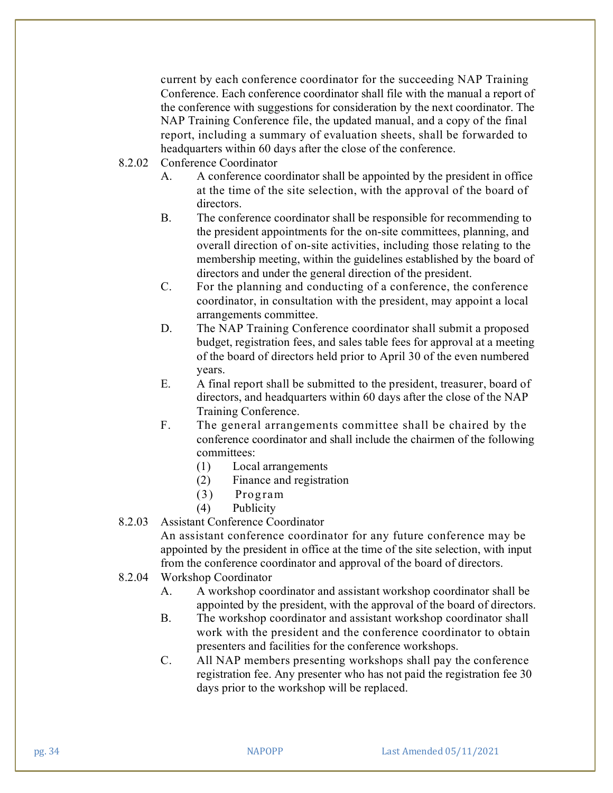current by each conference coordinator for the succeeding NAP Training Conference. Each conference coordinator shall file with the manual a report of the conference with suggestions for consideration by the next coordinator. The NAP Training Conference file, the updated manual, and a copy of the final report, including a summary of evaluation sheets, shall be forwarded to headquarters within 60 days after the close of the conference.

- 8.2.02 Conference Coordinator
	- A. A conference coordinator shall be appointed by the president in office at the time of the site selection, with the approval of the board of directors.
	- B. The conference coordinator shall be responsible for recommending to the president appointments for the on-site committees, planning, and overall direction of on-site activities, including those relating to the membership meeting, within the guidelines established by the board of directors and under the general direction of the president.
	- C. For the planning and conducting of a conference, the conference coordinator, in consultation with the president, may appoint a local arrangements committee.
	- D. The NAP Training Conference coordinator shall submit a proposed budget, registration fees, and sales table fees for approval at a meeting of the board of directors held prior to April 30 of the even numbered years.
	- E. A final report shall be submitted to the president, treasurer, board of directors, and headquarters within 60 days after the close of the NAP Training Conference.
	- F. The general arrangements committee shall be chaired by the conference coordinator and shall include the chairmen of the following committees:
		- (1) Local arrangements
		- (2) Finance and registration
		- (3) Program
		- (4) Publicity
- 8.2.03 Assistant Conference Coordinator

An assistant conference coordinator for any future conference may be appointed by the president in office at the time of the site selection, with input from the conference coordinator and approval of the board of directors.

- 8.2.04 Workshop Coordinator
	- A. A workshop coordinator and assistant workshop coordinator shall be appointed by the president, with the approval of the board of directors.
	- B. The workshop coordinator and assistant workshop coordinator shall work with the president and the conference coordinator to obtain presenters and facilities for the conference workshops.
	- C. All NAP members presenting workshops shall pay the conference registration fee. Any presenter who has not paid the registration fee 30 days prior to the workshop will be replaced.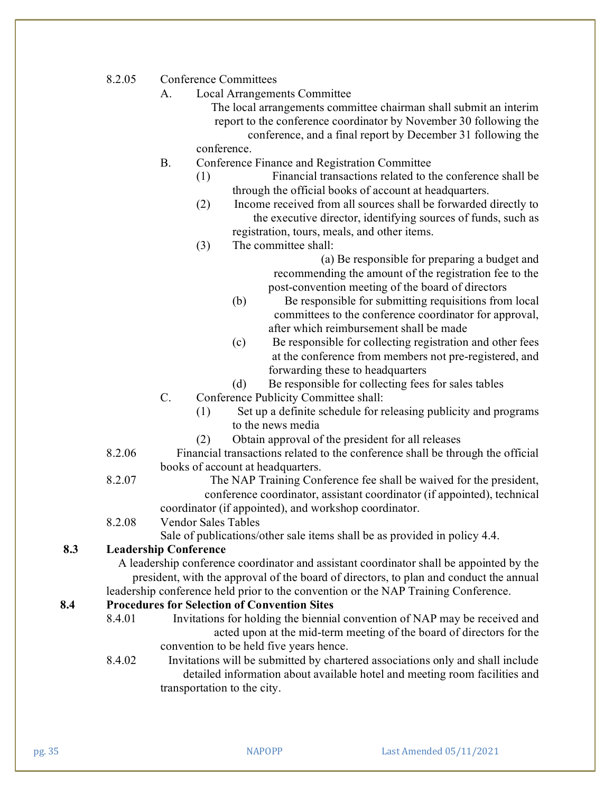- 8.2.05 Conference Committees
	- A. Local Arrangements Committee
		- The local arrangements committee chairman shall submit an interim report to the conference coordinator by November 30 following the conference, and a final report by December 31 following the conference.
	-
	- B. Conference Finance and Registration Committee
		- (1) Financial transactions related to the conference shall be through the official books of account at headquarters.
		- (2) Income received from all sources shall be forwarded directly to the executive director, identifying sources of funds, such as registration, tours, meals, and other items.
		- (3) The committee shall:
			- (a) Be responsible for preparing a budget and recommending the amount of the registration fee to the post-convention meeting of the board of directors
			- (b) Be responsible for submitting requisitions from local committees to the conference coordinator for approval, after which reimbursement shall be made
			- (c) Be responsible for collecting registration and other fees at the conference from members not pre-registered, and forwarding these to headquarters
			- (d) Be responsible for collecting fees for sales tables
	- C. Conference Publicity Committee shall:
		- (1) Set up a definite schedule for releasing publicity and programs to the news media
		- (2) Obtain approval of the president for all releases
- 8.2.06 Financial transactions related to the conference shall be through the official books of account at headquarters.
- 8.2.07 The NAP Training Conference fee shall be waived for the president, conference coordinator, assistant coordinator (if appointed), technical coordinator (if appointed), and workshop coordinator.
- 8.2.08 Vendor Sales Tables

Sale of publications/other sale items shall be as provided in policy 4.4.

### **8.3 Leadership Conference**

A leadership conference coordinator and assistant coordinator shall be appointed by the president, with the approval of the board of directors, to plan and conduct the annual leadership conference held prior to the convention or the NAP Training Conference.

#### **8.4 Procedures for Selection of Convention Sites**

- 8.4.01 Invitations for holding the biennial convention of NAP may be received and acted upon at the mid-term meeting of the board of directors for the convention to be held five years hence.
- 8.4.02 Invitations will be submitted by chartered associations only and shall include detailed information about available hotel and meeting room facilities and transportation to the city.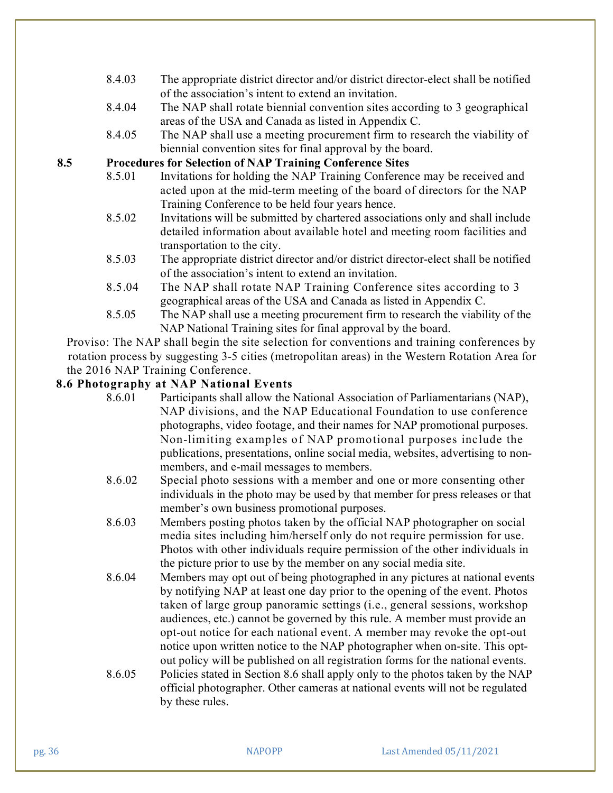- 8.4.03 The appropriate district director and/or district director-elect shall be notified of the association's intent to extend an invitation.
- 8.4.04 The NAP shall rotate biennial convention sites according to 3 geographical areas of the USA and Canada as listed in Appendix C.
- 8.4.05 The NAP shall use a meeting procurement firm to research the viability of biennial convention sites for final approval by the board.

#### **8.5 Procedures for Selection of NAP Training Conference Sites**

- 8.5.01 Invitations for holding the NAP Training Conference may be received and acted upon at the mid-term meeting of the board of directors for the NAP Training Conference to be held four years hence.
- 8.5.02 Invitations will be submitted by chartered associations only and shall include detailed information about available hotel and meeting room facilities and transportation to the city.
- 8.5.03 The appropriate district director and/or district director-elect shall be notified of the association's intent to extend an invitation.
- 8.5.04 The NAP shall rotate NAP Training Conference sites according to 3 geographical areas of the USA and Canada as listed in Appendix C.
- 8.5.05 The NAP shall use a meeting procurement firm to research the viability of the NAP National Training sites for final approval by the board.

 Proviso: The NAP shall begin the site selection for conventions and training conferences by rotation process by suggesting 3-5 cities (metropolitan areas) in the Western Rotation Area for the 2016 NAP Training Conference.

#### **8.6 Photography at NAP National Events**

- 8.6.01 Participants shall allow the National Association of Parliamentarians (NAP), NAP divisions, and the NAP Educational Foundation to use conference photographs, video footage, and their names for NAP promotional purposes. Non-limiting examples of NAP promotional purposes include the publications, presentations, online social media, websites, advertising to nonmembers, and e-mail messages to members.
- 8.6.02 Special photo sessions with a member and one or more consenting other individuals in the photo may be used by that member for press releases or that member's own business promotional purposes.
- 8.6.03 Members posting photos taken by the official NAP photographer on social media sites including him/herself only do not require permission for use. Photos with other individuals require permission of the other individuals in the picture prior to use by the member on any social media site.
- 8.6.04 Members may opt out of being photographed in any pictures at national events by notifying NAP at least one day prior to the opening of the event. Photos taken of large group panoramic settings (i.e., general sessions, workshop audiences, etc.) cannot be governed by this rule. A member must provide an opt-out notice for each national event. A member may revoke the opt-out notice upon written notice to the NAP photographer when on-site. This optout policy will be published on all registration forms for the national events.
- 8.6.05 Policies stated in Section 8.6 shall apply only to the photos taken by the NAP official photographer. Other cameras at national events will not be regulated by these rules.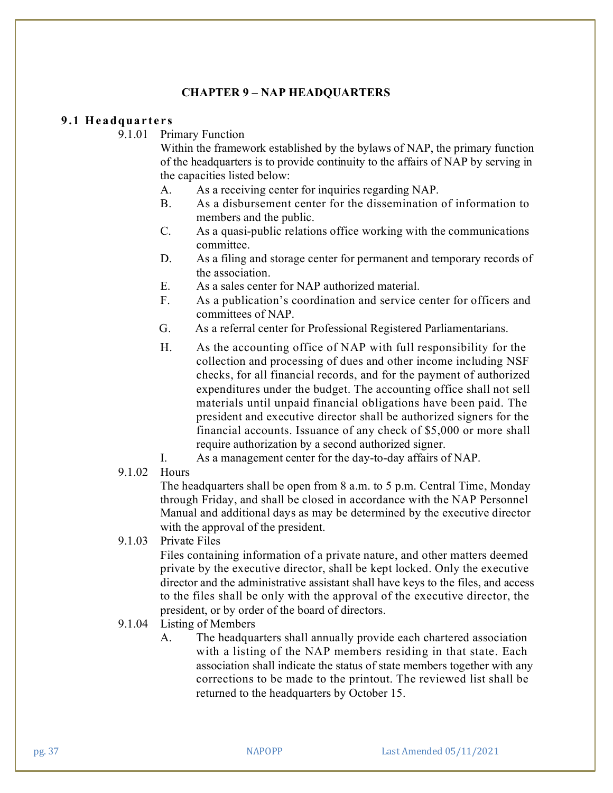#### **CHAPTER 9 – NAP HEADQUARTERS**

#### **9.1 Headquarters**

9.1.01 Primary Function

Within the framework established by the bylaws of NAP, the primary function of the headquarters is to provide continuity to the affairs of NAP by serving in the capacities listed below:

- A. As a receiving center for inquiries regarding NAP.
- B. As a disbursement center for the dissemination of information to members and the public.
- C. As a quasi-public relations office working with the communications committee.
- D. As a filing and storage center for permanent and temporary records of the association.
- E. As a sales center for NAP authorized material.
- F. As a publication's coordination and service center for officers and committees of NAP.
- G. As a referral center for Professional Registered Parliamentarians.
- H. As the accounting office of NAP with full responsibility for the collection and processing of dues and other income including NSF checks, for all financial records, and for the payment of authorized expenditures under the budget. The accounting office shall not sell materials until unpaid financial obligations have been paid. The president and executive director shall be authorized signers for the financial accounts. Issuance of any check of \$5,000 or more shall require authorization by a second authorized signer.
- I. As a management center for the day-to-day affairs of NAP.

#### 9.1.02 Hours

The headquarters shall be open from 8 a.m. to 5 p.m. Central Time, Monday through Friday, and shall be closed in accordance with the NAP Personnel Manual and additional days as may be determined by the executive director with the approval of the president.

#### 9.1.03 Private Files

Files containing information of a private nature, and other matters deemed private by the executive director, shall be kept locked. Only the executive director and the administrative assistant shall have keys to the files, and access to the files shall be only with the approval of the executive director, the president, or by order of the board of directors.

- 9.1.04 Listing of Members
	- A. The headquarters shall annually provide each chartered association with a listing of the NAP members residing in that state. Each association shall indicate the status of state members together with any corrections to be made to the printout. The reviewed list shall be returned to the headquarters by October 15.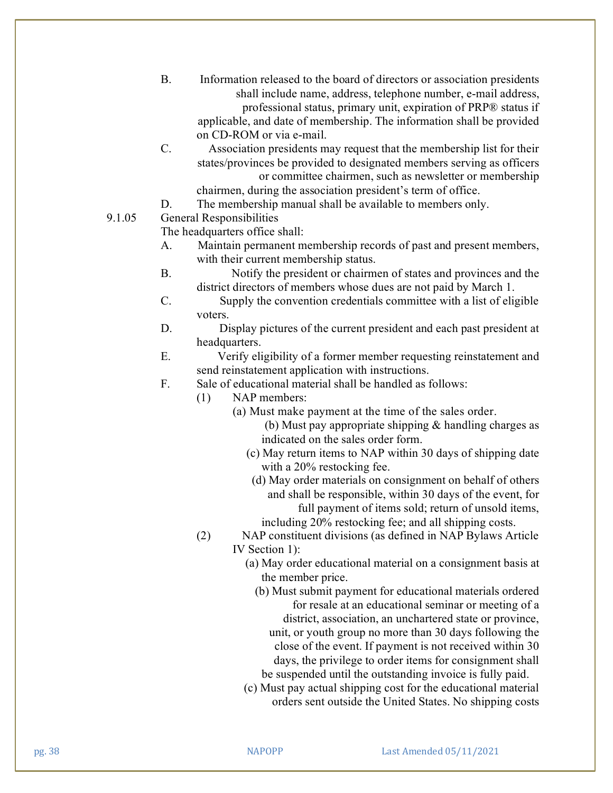- B. Information released to the board of directors or association presidents shall include name, address, telephone number, e-mail address, professional status, primary unit, expiration of PRP® status if applicable, and date of membership. The information shall be provided on CD-ROM or via e-mail.
- C. Association presidents may request that the membership list for their states/provinces be provided to designated members serving as officers or committee chairmen, such as newsletter or membership chairmen, during the association president's term of office.
- D. The membership manual shall be available to members only.
- 9.1.05 General Responsibilities

The headquarters office shall:

- A. Maintain permanent membership records of past and present members, with their current membership status.
- B. Notify the president or chairmen of states and provinces and the district directors of members whose dues are not paid by March 1.
- C. Supply the convention credentials committee with a list of eligible voters.
- D. Display pictures of the current president and each past president at headquarters.

E. Verify eligibility of a former member requesting reinstatement and send reinstatement application with instructions.

- F. Sale of educational material shall be handled as follows:
	- (1) NAP members:
		- (a) Must make payment at the time of the sales order.
			- (b) Must pay appropriate shipping & handling charges as indicated on the sales order form.
			- (c) May return items to NAP within 30 days of shipping date with a 20% restocking fee.
				- (d) May order materials on consignment on behalf of others and shall be responsible, within 30 days of the event, for full payment of items sold; return of unsold items, including 20% restocking fee; and all shipping costs.
	- (2) NAP constituent divisions (as defined in NAP Bylaws Article IV Section 1):
		- (a) May order educational material on a consignment basis at the member price.
			- (b) Must submit payment for educational materials ordered for resale at an educational seminar or meeting of a district, association, an unchartered state or province, unit, or youth group no more than 30 days following the close of the event. If payment is not received within 30 days, the privilege to order items for consignment shall be suspended until the outstanding invoice is fully paid.
		- (c) Must pay actual shipping cost for the educational material orders sent outside the United States. No shipping costs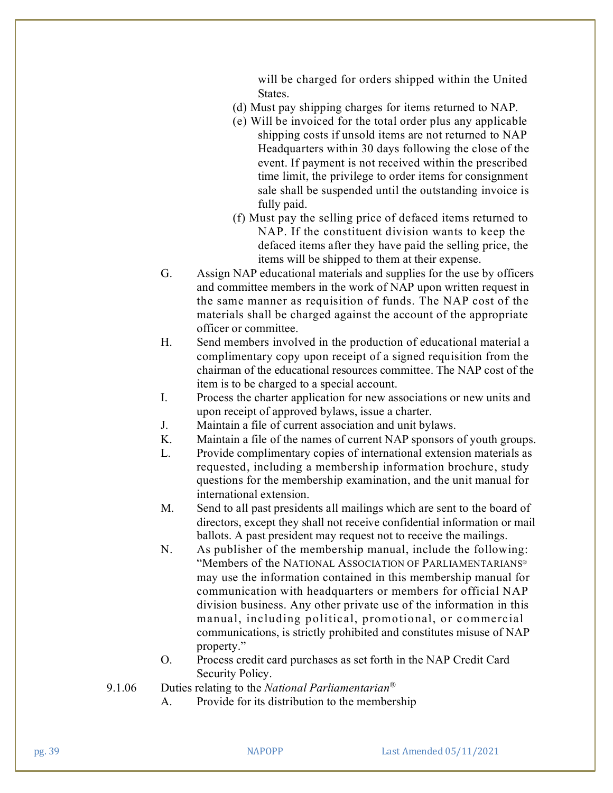will be charged for orders shipped within the United States.

- (d) Must pay shipping charges for items returned to NAP.
- (e) Will be invoiced for the total order plus any applicable shipping costs if unsold items are not returned to NAP Headquarters within 30 days following the close of the event. If payment is not received within the prescribed time limit, the privilege to order items for consignment sale shall be suspended until the outstanding invoice is fully paid.
- (f) Must pay the selling price of defaced items returned to NAP. If the constituent division wants to keep the defaced items after they have paid the selling price, the items will be shipped to them at their expense.
- G. Assign NAP educational materials and supplies for the use by officers and committee members in the work of NAP upon written request in the same manner as requisition of funds. The NAP cost of the materials shall be charged against the account of the appropriate officer or committee.
- H. Send members involved in the production of educational material a complimentary copy upon receipt of a signed requisition from the chairman of the educational resources committee. The NAP cost of the item is to be charged to a special account.
- I. Process the charter application for new associations or new units and upon receipt of approved bylaws, issue a charter.
- J. Maintain a file of current association and unit bylaws.
- K. Maintain a file of the names of current NAP sponsors of youth groups.
- L. Provide complimentary copies of international extension materials as requested, including a membership information brochure, study questions for the membership examination, and the unit manual for international extension.
- M. Send to all past presidents all mailings which are sent to the board of directors, except they shall not receive confidential information or mail ballots. A past president may request not to receive the mailings.
- N. As publisher of the membership manual, include the following: "Members of the NATIONAL ASSOCIATION OF PARLIAMENTARIANS® may use the information contained in this membership manual for communication with headquarters or members for official NAP division business. Any other private use of the information in this manual, including political, promotional, or commercial communications, is strictly prohibited and constitutes misuse of NAP property."
- O. Process credit card purchases as set forth in the NAP Credit Card Security Policy.
- 9.1.06 Duties relating to the *National Parliamentarian*®
	- A. Provide for its distribution to the membership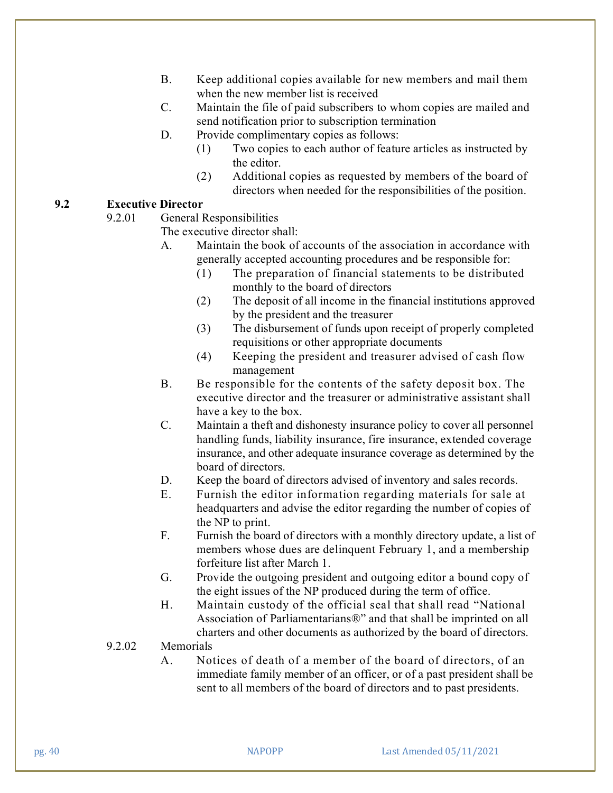- B. Keep additional copies available for new members and mail them when the new member list is received
- C. Maintain the file of paid subscribers to whom copies are mailed and send notification prior to subscription termination
- D. Provide complimentary copies as follows:
	- (1) Two copies to each author of feature articles as instructed by the editor.
	- (2) Additional copies as requested by members of the board of directors when needed for the responsibilities of the position.

# **9.2 Executive Director**

9.2.01 General Responsibilities

The executive director shall:

- A. Maintain the book of accounts of the association in accordance with generally accepted accounting procedures and be responsible for:
	- (1) The preparation of financial statements to be distributed monthly to the board of directors
	- (2) The deposit of all income in the financial institutions approved by the president and the treasurer
	- (3) The disbursement of funds upon receipt of properly completed requisitions or other appropriate documents
	- (4) Keeping the president and treasurer advised of cash flow management
- B. Be responsible for the contents of the safety deposit box. The executive director and the treasurer or administrative assistant shall have a key to the box.
- C. Maintain a theft and dishonesty insurance policy to cover all personnel handling funds, liability insurance, fire insurance, extended coverage insurance, and other adequate insurance coverage as determined by the board of directors.
- D. Keep the board of directors advised of inventory and sales records.
- E. Furnish the editor information regarding materials for sale at headquarters and advise the editor regarding the number of copies of the NP to print.
- F. Furnish the board of directors with a monthly directory update, a list of members whose dues are delinquent February 1, and a membership forfeiture list after March 1.
- G. Provide the outgoing president and outgoing editor a bound copy of the eight issues of the NP produced during the term of office.
- H. Maintain custody of the official seal that shall read "National Association of Parliamentarians®" and that shall be imprinted on all charters and other documents as authorized by the board of directors.

9.2.02 Memorials

A. Notices of death of a member of the board of directors, of an immediate family member of an officer, or of a past president shall be sent to all members of the board of directors and to past presidents.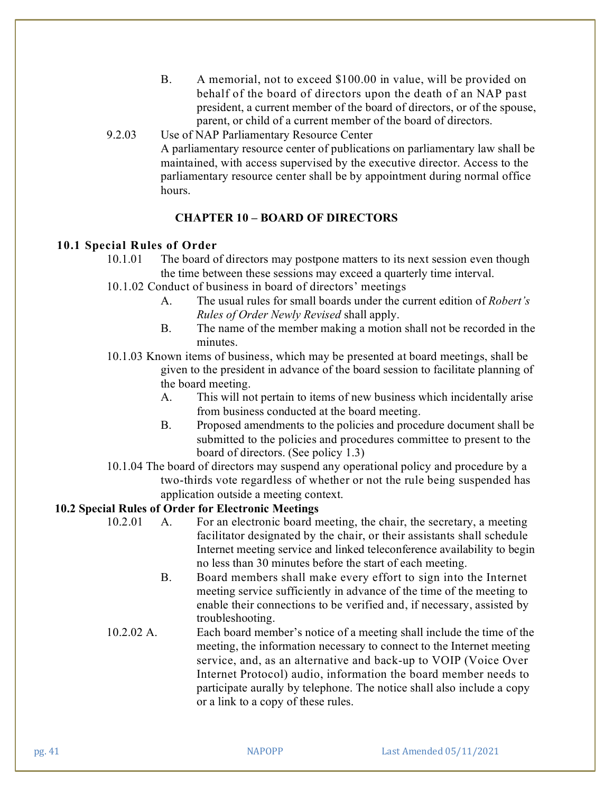- B. A memorial, not to exceed \$100.00 in value, will be provided on behalf of the board of directors upon the death of an NAP past president, a current member of the board of directors, or of the spouse, parent, or child of a current member of the board of directors.
- 9.2.03 Use of NAP Parliamentary Resource Center A parliamentary resource center of publications on parliamentary law shall be maintained, with access supervised by the executive director. Access to the parliamentary resource center shall be by appointment during normal office hours.

# **CHAPTER 10 – BOARD OF DIRECTORS**

### **10.1 Special Rules of Order**

- 10.1.01 The board of directors may postpone matters to its next session even though the time between these sessions may exceed a quarterly time interval.
- 10.1.02 Conduct of business in board of directors' meetings
	- A. The usual rules for small boards under the current edition of *Robert's Rules of Order Newly Revised* shall apply.
	- B. The name of the member making a motion shall not be recorded in the minutes.
- 10.1.03 Known items of business, which may be presented at board meetings, shall be given to the president in advance of the board session to facilitate planning of the board meeting.
	- A. This will not pertain to items of new business which incidentally arise from business conducted at the board meeting.
	- B. Proposed amendments to the policies and procedure document shall be submitted to the policies and procedures committee to present to the board of directors. (See policy 1.3)
- 10.1.04 The board of directors may suspend any operational policy and procedure by a two-thirds vote regardless of whether or not the rule being suspended has application outside a meeting context.

### **10.2 Special Rules of Order for Electronic Meetings**

- 10.2.01 A. For an electronic board meeting, the chair, the secretary, a meeting facilitator designated by the chair, or their assistants shall schedule Internet meeting service and linked teleconference availability to begin no less than 30 minutes before the start of each meeting.
	- B. Board members shall make every effort to sign into the Internet meeting service sufficiently in advance of the time of the meeting to enable their connections to be verified and, if necessary, assisted by troubleshooting.
- 10.2.02 A. Each board member's notice of a meeting shall include the time of the meeting, the information necessary to connect to the Internet meeting service, and, as an alternative and back-up to VOIP (Voice Over Internet Protocol) audio, information the board member needs to participate aurally by telephone. The notice shall also include a copy or a link to a copy of these rules.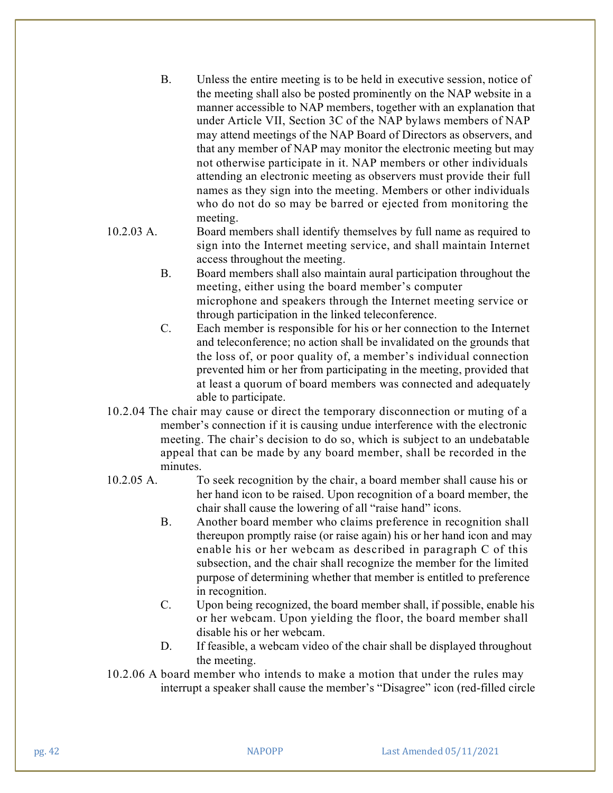- B. Unless the entire meeting is to be held in executive session, notice of the meeting shall also be posted prominently on the NAP website in a manner accessible to NAP members, together with an explanation that under Article VII, Section 3C of the NAP bylaws members of NAP may attend meetings of the NAP Board of Directors as observers, and that any member of NAP may monitor the electronic meeting but may not otherwise participate in it. NAP members or other individuals attending an electronic meeting as observers must provide their full names as they sign into the meeting. Members or other individuals who do not do so may be barred or ejected from monitoring the meeting.
- 10.2.03 A. Board members shall identify themselves by full name as required to sign into the Internet meeting service, and shall maintain Internet access throughout the meeting.
	- B. Board members shall also maintain aural participation throughout the meeting, either using the board member's computer microphone and speakers through the Internet meeting service or through participation in the linked teleconference.
	- C. Each member is responsible for his or her connection to the Internet and teleconference; no action shall be invalidated on the grounds that the loss of, or poor quality of, a member's individual connection prevented him or her from participating in the meeting, provided that at least a quorum of board members was connected and adequately able to participate.
- 10.2.04 The chair may cause or direct the temporary disconnection or muting of a member's connection if it is causing undue interference with the electronic meeting. The chair's decision to do so, which is subject to an undebatable appeal that can be made by any board member, shall be recorded in the minutes.
- 10.2.05 A. To seek recognition by the chair, a board member shall cause his or her hand icon to be raised. Upon recognition of a board member, the chair shall cause the lowering of all "raise hand" icons.
	- B. Another board member who claims preference in recognition shall thereupon promptly raise (or raise again) his or her hand icon and may enable his or her webcam as described in paragraph C of this subsection, and the chair shall recognize the member for the limited purpose of determining whether that member is entitled to preference in recognition.
	- C. Upon being recognized, the board member shall, if possible, enable his or her webcam. Upon yielding the floor, the board member shall disable his or her webcam.
	- D. If feasible, a webcam video of the chair shall be displayed throughout the meeting.
- 10.2.06 A board member who intends to make a motion that under the rules may interrupt a speaker shall cause the member's "Disagree" icon (red-filled circle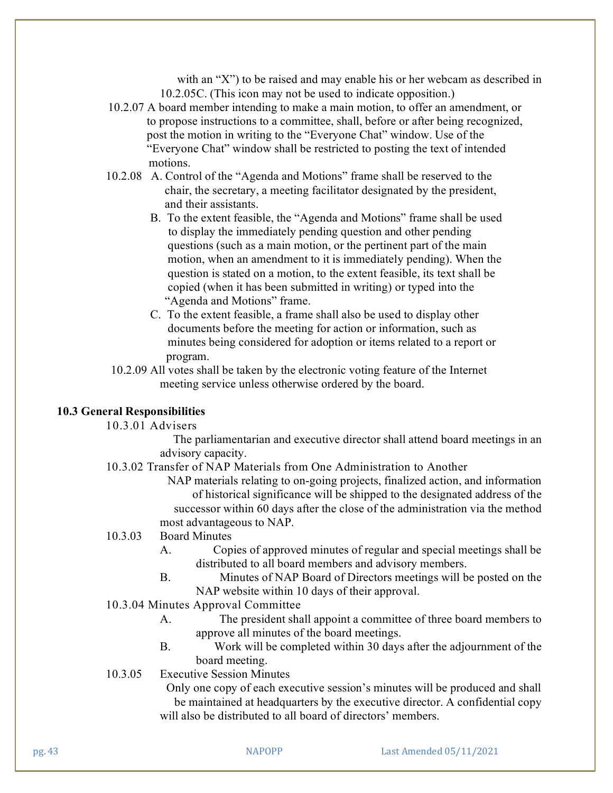with an "X") to be raised and may enable his or her webcam as described in 10.2.05C. (This icon may not be used to indicate opposition.)

- 10.2.07 A board member intending to make a main motion, to offer an amendment, or to propose instructions to a committee, shall, before or after being recognized, post the motion in writing to the "Everyone Chat" window. Use of the "Everyone Chat" window shall be restricted to posting the text of intended motions.
- 10.2.08 A. Control of the "Agenda and Motions" frame shall be reserved to the chair, the secretary, a meeting facilitator designated by the president, and their assistants.
	- B. To the extent feasible, the "Agenda and Motions" frame shall be used to display the immediately pending question and other pending questions (such as a main motion, or the pertinent part of the main motion, when an amendment to it is immediately pending). When the question is stated on a motion, to the extent feasible, its text shall be copied (when it has been submitted in writing) or typed into the "Agenda and Motions" frame.
	- C. To the extent feasible, a frame shall also be used to display other documents before the meeting for action or information, such as minutes being considered for adoption or items related to a report or program.
- 10.2.09 All votes shall be taken by the electronic voting feature of the Internet meeting service unless otherwise ordered by the board.

#### **10.3 General Responsibilities**

10.3.01 Advisers

The parliamentarian and executive director shall attend board meetings in an advisory capacity.

10.3.02 Transfer of NAP Materials from One Administration to Another

NAP materials relating to on-going projects, finalized action, and information of historical significance will be shipped to the designated address of the successor within 60 days after the close of the administration via the method most advantageous to NAP.

- 10.3.03 Board Minutes
	- A. Copies of approved minutes of regular and special meetings shall be distributed to all board members and advisory members.
	- B. Minutes of NAP Board of Directors meetings will be posted on the NAP website within 10 days of their approval.
- 10.3.04 Minutes Approval Committee
	- A. The president shall appoint a committee of three board members to approve all minutes of the board meetings.
	- B. Work will be completed within 30 days after the adjournment of the board meeting.
- 10.3.05 Executive Session Minutes

Only one copy of each executive session's minutes will be produced and shall be maintained at headquarters by the executive director. A confidential copy will also be distributed to all board of directors' members.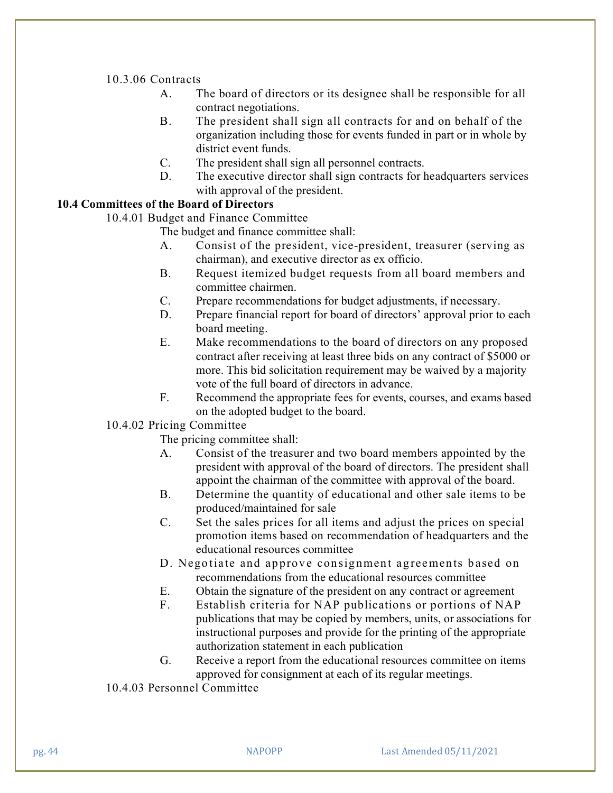### 10.3.06 Contracts

- A. The board of directors or its designee shall be responsible for all contract negotiations.
- B. The president shall sign all contracts for and on behalf of the organization including those for events funded in part or in whole by district event funds.
- C. The president shall sign all personnel contracts.
- D. The executive director shall sign contracts for headquarters services with approval of the president.

# **10.4 Committees of the Board of Directors**

10.4.01 Budget and Finance Committee

The budget and finance committee shall:

- A. Consist of the president, vice-president, treasurer (serving as chairman), and executive director as ex officio.
- B. Request itemized budget requests from all board members and committee chairmen.
- C. Prepare recommendations for budget adjustments, if necessary.
- D. Prepare financial report for board of directors' approval prior to each board meeting.
- E. Make recommendations to the board of directors on any proposed contract after receiving at least three bids on any contract of \$5000 or more. This bid solicitation requirement may be waived by a majority vote of the full board of directors in advance.
- F. Recommend the appropriate fees for events, courses, and exams based on the adopted budget to the board.

### 10.4.02 Pricing Committee

The pricing committee shall:

- A. Consist of the treasurer and two board members appointed by the president with approval of the board of directors. The president shall appoint the chairman of the committee with approval of the board.
- B. Determine the quantity of educational and other sale items to be produced/maintained for sale
- C. Set the sales prices for all items and adjust the prices on special promotion items based on recommendation of headquarters and the educational resources committee
- D. Negotiate and approve consignment agreements based on recommendations from the educational resources committee
- E. Obtain the signature of the president on any contract or agreement
- F. Establish criteria for NAP publications or portions of NAP publications that may be copied by members, units, or associations for instructional purposes and provide for the printing of the appropriate authorization statement in each publication
- G. Receive a report from the educational resources committee on items approved for consignment at each of its regular meetings.

10.4.03 Personnel Committee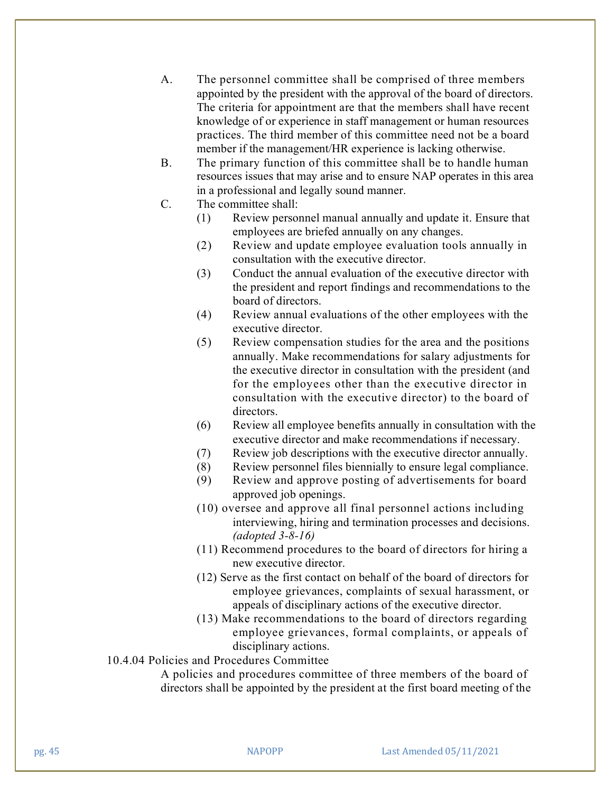- A. The personnel committee shall be comprised of three members appointed by the president with the approval of the board of directors. The criteria for appointment are that the members shall have recent knowledge of or experience in staff management or human resources practices. The third member of this committee need not be a board member if the management/HR experience is lacking otherwise.
- B. The primary function of this committee shall be to handle human resources issues that may arise and to ensure NAP operates in this area in a professional and legally sound manner.
- C. The committee shall:
	- (1) Review personnel manual annually and update it. Ensure that employees are briefed annually on any changes.
	- (2) Review and update employee evaluation tools annually in consultation with the executive director.
	- (3) Conduct the annual evaluation of the executive director with the president and report findings and recommendations to the board of directors.
	- (4) Review annual evaluations of the other employees with the executive director.
	- (5) Review compensation studies for the area and the positions annually. Make recommendations for salary adjustments for the executive director in consultation with the president (and for the employees other than the executive director in consultation with the executive director) to the board of directors.
	- (6) Review all employee benefits annually in consultation with the executive director and make recommendations if necessary.
	- (7) Review job descriptions with the executive director annually.
	- (8) Review personnel files biennially to ensure legal compliance.
	- (9) Review and approve posting of advertisements for board approved job openings.
	- (10) oversee and approve all final personnel actions including interviewing, hiring and termination processes and decisions. *(adopted 3-8-16)*
	- (11) Recommend procedures to the board of directors for hiring a new executive director.
	- (12) Serve as the first contact on behalf of the board of directors for employee grievances, complaints of sexual harassment, or appeals of disciplinary actions of the executive director.
	- (13) Make recommendations to the board of directors regarding employee grievances, formal complaints, or appeals of disciplinary actions.
- 10.4.04 Policies and Procedures Committee

A policies and procedures committee of three members of the board of directors shall be appointed by the president at the first board meeting of the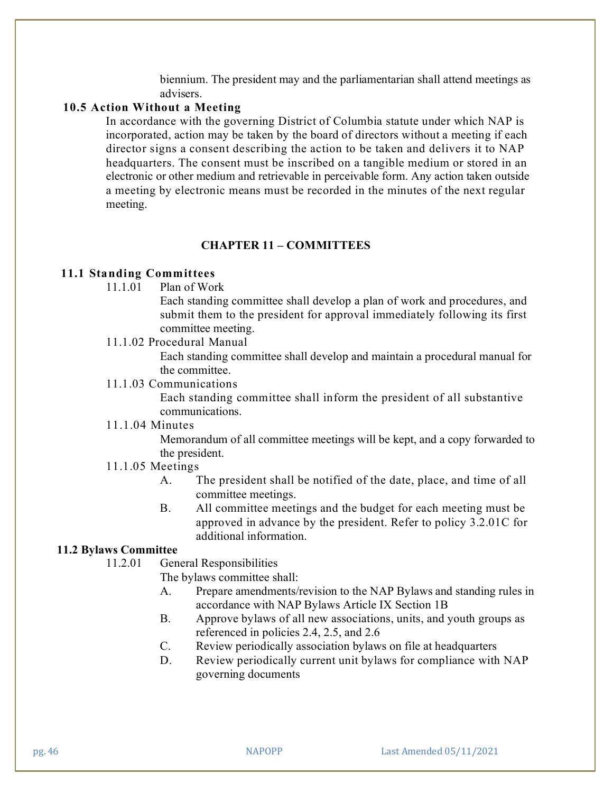biennium. The president may and the parliamentarian shall attend meetings as advisers.

#### **10.5 Action Without a Meeting**

In accordance with the governing District of Columbia statute under which NAP is incorporated, action may be taken by the board of directors without a meeting if each director signs a consent describing the action to be taken and delivers it to NAP headquarters. The consent must be inscribed on a tangible medium or stored in an electronic or other medium and retrievable in perceivable form. Any action taken outside a meeting by electronic means must be recorded in the minutes of the next regular meeting.

#### **CHAPTER 11 – COMMITTEES**

#### **11.1 Standing Committees**

11.1.01 Plan of Work

Each standing committee shall develop a plan of work and procedures, and submit them to the president for approval immediately following its first committee meeting.

11.1.02 Procedural Manual

Each standing committee shall develop and maintain a procedural manual for the committee.

11.1.03 Communications

Each standing committee shall inform the president of all substantive communications.

11.1.04 Minutes

Memorandum of all committee meetings will be kept, and a copy forwarded to the president.

- 11.1.05 Meetings
	- A. The president shall be notified of the date, place, and time of all committee meetings.
	- B. All committee meetings and the budget for each meeting must be approved in advance by the president. Refer to policy 3.2.01C for additional information.

#### **11.2 Bylaws Committee**

11.2.01 General Responsibilities

The bylaws committee shall:

- A. Prepare amendments/revision to the NAP Bylaws and standing rules in accordance with NAP Bylaws Article IX Section 1B
- B. Approve bylaws of all new associations, units, and youth groups as referenced in policies 2.4, 2.5, and 2.6
- C. Review periodically association bylaws on file at headquarters
- D. Review periodically current unit bylaws for compliance with NAP governing documents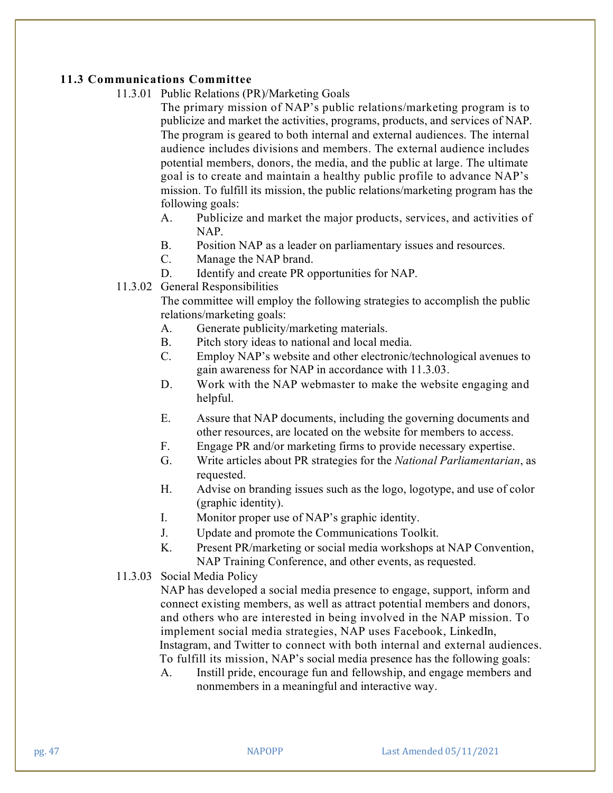# **11.3 Communications Committee**

11.3.01 Public Relations (PR)/Marketing Goals

The primary mission of NAP's public relations/marketing program is to publicize and market the activities, programs, products, and services of NAP. The program is geared to both internal and external audiences. The internal audience includes divisions and members. The external audience includes potential members, donors, the media, and the public at large. The ultimate goal is to create and maintain a healthy public profile to advance NAP's mission. To fulfill its mission, the public relations/marketing program has the following goals:

- A. Publicize and market the major products, services, and activities of NAP.
- B. Position NAP as a leader on parliamentary issues and resources.
- C. Manage the NAP brand.
- D. Identify and create PR opportunities for NAP.
- 11.3.02 General Responsibilities

The committee will employ the following strategies to accomplish the public relations/marketing goals:

- A. Generate publicity/marketing materials.
- B. Pitch story ideas to national and local media.
- C. Employ NAP's website and other electronic/technological avenues to gain awareness for NAP in accordance with 11.3.03.
- D. Work with the NAP webmaster to make the website engaging and helpful.
- E. Assure that NAP documents, including the governing documents and other resources, are located on the website for members to access.
- F. Engage PR and/or marketing firms to provide necessary expertise.
- G. Write articles about PR strategies for the *National Parliamentarian*, as requested.
- H. Advise on branding issues such as the logo, logotype, and use of color (graphic identity).
- I. Monitor proper use of NAP's graphic identity.
- J. Update and promote the Communications Toolkit.
- K. Present PR/marketing or social media workshops at NAP Convention, NAP Training Conference, and other events, as requested.
- 11.3.03 Social Media Policy

NAP has developed a social media presence to engage, support, inform and connect existing members, as well as attract potential members and donors, and others who are interested in being involved in the NAP mission. To implement social media strategies, NAP uses Facebook, LinkedIn, Instagram, and Twitter to connect with both internal and external audiences. To fulfill its mission, NAP's social media presence has the following goals:

A. Instill pride, encourage fun and fellowship, and engage members and nonmembers in a meaningful and interactive way.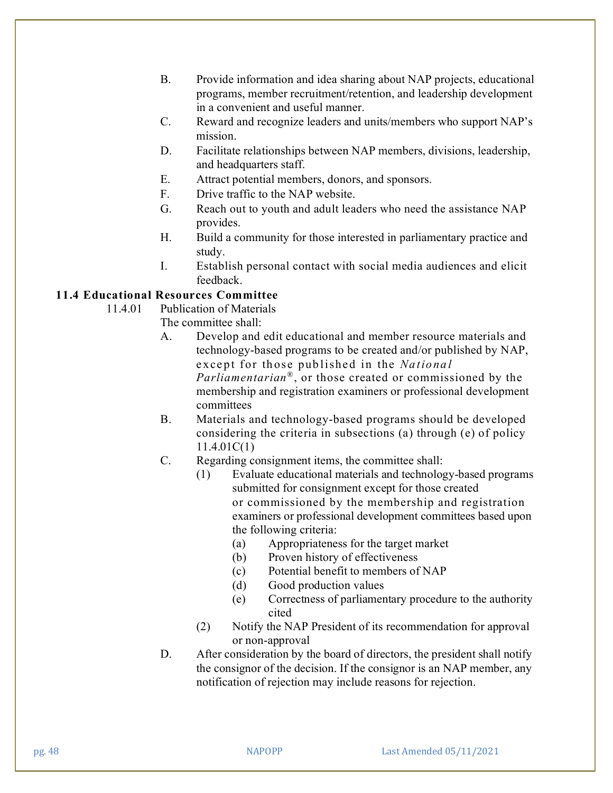- B. Provide information and idea sharing about NAP projects, educational programs, member recruitment/retention, and leadership development in a convenient and useful manner.
- C. Reward and recognize leaders and units/members who support NAP's mission.
- D. Facilitate relationships between NAP members, divisions, leadership, and headquarters staff.
- E. Attract potential members, donors, and sponsors.
- F. Drive traffic to the NAP website.
- G. Reach out to youth and adult leaders who need the assistance NAP provides.
- H. Build a community for those interested in parliamentary practice and study.
- I. Establish personal contact with social media audiences and elicit feedback.

#### **11.4 Educational Resources Committee**

11.4.01 Publication of Materials

The committee shall:

- A. Develop and edit educational and member resource materials and technology-based programs to be created and/or published by NAP, except for those published in the *National Parliamentarian*®, or those created or commissioned by the membership and registration examiners or professional development committees
- B. Materials and technology-based programs should be developed considering the criteria in subsections (a) through (e) of policy 11.4.01C(1)
- C. Regarding consignment items, the committee shall:
	- (1) Evaluate educational materials and technology-based programs submitted for consignment except for those created or commissioned by the membership and registration examiners or professional development committees based upon the following criteria:
		- (a) Appropriateness for the target market
		- (b) Proven history of effectiveness
		- (c) Potential benefit to members of NAP
		- (d) Good production values
		- (e) Correctness of parliamentary procedure to the authority cited
	- (2) Notify the NAP President of its recommendation for approval or non-approval
- D. After consideration by the board of directors, the president shall notify the consignor of the decision. If the consignor is an NAP member, any notification of rejection may include reasons for rejection.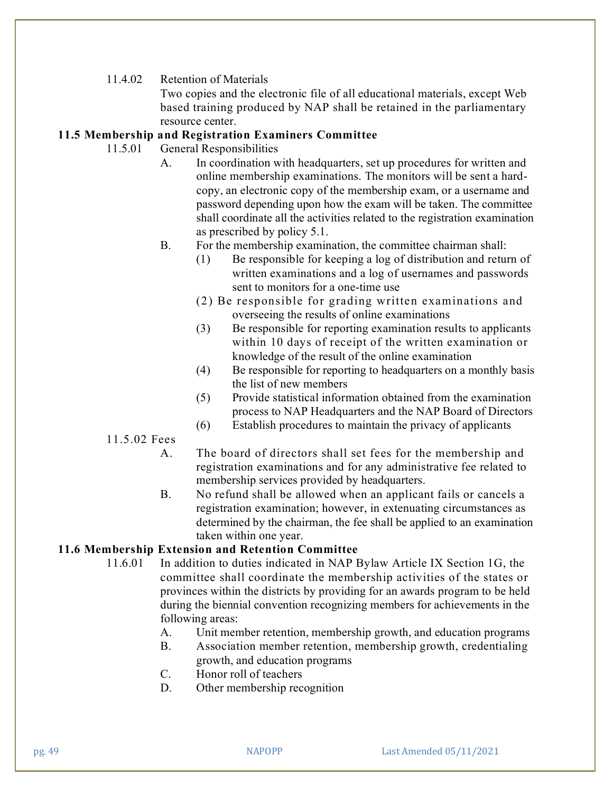11.4.02 Retention of Materials

Two copies and the electronic file of all educational materials, except Web based training produced by NAP shall be retained in the parliamentary resource center.

## **11.5 Membership and Registration Examiners Committee**

- 11.5.01 General Responsibilities
	- A. In coordination with headquarters, set up procedures for written and online membership examinations. The monitors will be sent a hardcopy, an electronic copy of the membership exam, or a username and password depending upon how the exam will be taken. The committee shall coordinate all the activities related to the registration examination as prescribed by policy 5.1.
	- B. For the membership examination, the committee chairman shall:
		- (1) Be responsible for keeping a log of distribution and return of written examinations and a log of usernames and passwords sent to monitors for a one-time use
		- (2) Be responsible for grading written examinations and overseeing the results of online examinations
		- (3) Be responsible for reporting examination results to applicants within 10 days of receipt of the written examination or knowledge of the result of the online examination
		- (4) Be responsible for reporting to headquarters on a monthly basis the list of new members
		- (5) Provide statistical information obtained from the examination process to NAP Headquarters and the NAP Board of Directors
		- (6) Establish procedures to maintain the privacy of applicants
- 11.5.02 Fees
	- A. The board of directors shall set fees for the membership and registration examinations and for any administrative fee related to membership services provided by headquarters.
	- B. No refund shall be allowed when an applicant fails or cancels a registration examination; however, in extenuating circumstances as determined by the chairman, the fee shall be applied to an examination taken within one year.

#### **11.6 Membership Extension and Retention Committee**

- 11.6.01 In addition to duties indicated in NAP Bylaw Article IX Section 1G, the committee shall coordinate the membership activities of the states or provinces within the districts by providing for an awards program to be held during the biennial convention recognizing members for achievements in the following areas:
	- A. Unit member retention, membership growth, and education programs
	- B. Association member retention, membership growth, credentialing growth, and education programs
	- C. Honor roll of teachers
	- D. Other membership recognition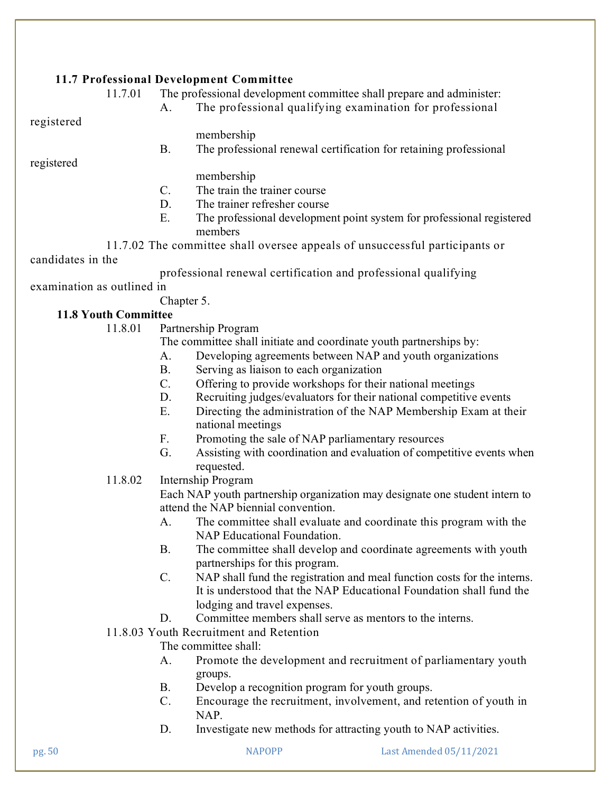# **11.7 Professional Development Committee**

- 11.7.01 The professional development committee shall prepare and administer:
	- A. The professional qualifying examination for professional

registered

- membership
- B. The professional renewal certification for retaining professional

registered

#### membership

- C. The train the trainer course
- D. The trainer refresher course
- E. The professional development point system for professional registered members
- 11.7.02 The committee shall oversee appeals of unsuccessful participants or

candidates in the

professional renewal certification and professional qualifying

examination as outlined in

Chapter 5.

# **11.8 Youth Committee**

#### 11.8.01 Partnership Program

The committee shall initiate and coordinate youth partnerships by:

- A. Developing agreements between NAP and youth organizations
- B. Serving as liaison to each organization
- C. Offering to provide workshops for their national meetings
- D. Recruiting judges/evaluators for their national competitive events
- E. Directing the administration of the NAP Membership Exam at their national meetings
- F. Promoting the sale of NAP parliamentary resources
- G. Assisting with coordination and evaluation of competitive events when requested.
- 11.8.02 Internship Program

Each NAP youth partnership organization may designate one student intern to attend the NAP biennial convention.

- A. The committee shall evaluate and coordinate this program with the NAP Educational Foundation.
- B. The committee shall develop and coordinate agreements with youth partnerships for this program.
- C. NAP shall fund the registration and meal function costs for the interns. It is understood that the NAP Educational Foundation shall fund the lodging and travel expenses.
- D. Committee members shall serve as mentors to the interns.
- 11.8.03 Youth Recruitment and Retention

The committee shall:

- A. Promote the development and recruitment of parliamentary youth groups.
- B. Develop a recognition program for youth groups.
- C. Encourage the recruitment, involvement, and retention of youth in NAP.
- D. Investigate new methods for attracting youth to NAP activities.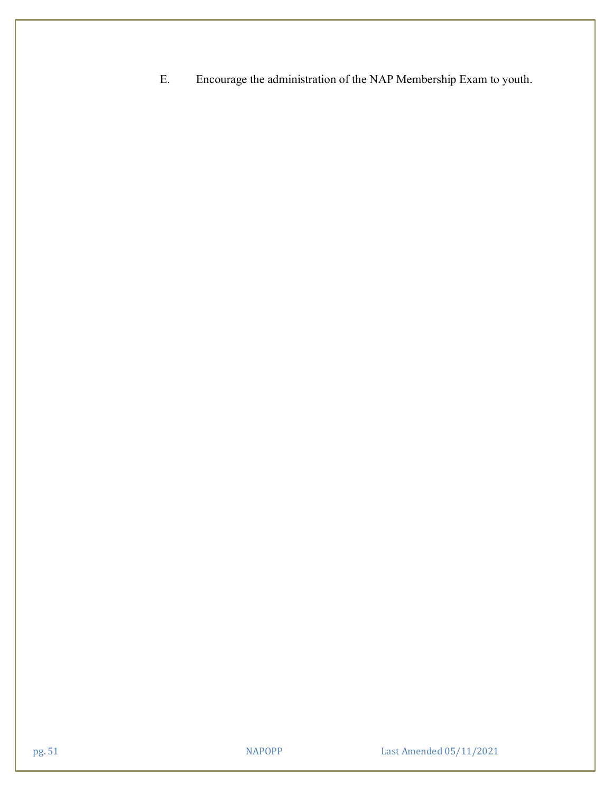E. Encourage the administration of the NAP Membership Exam to youth.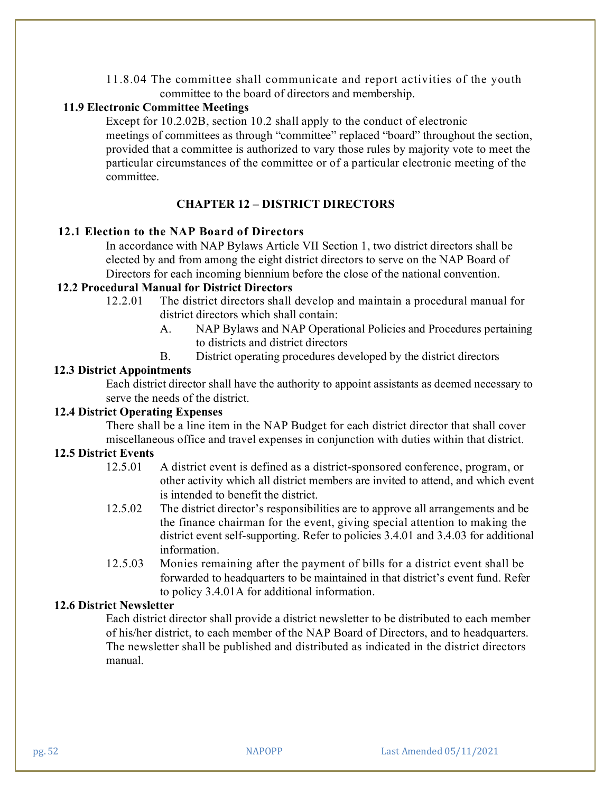11.8.04 The committee shall communicate and report activities of the youth committee to the board of directors and membership.

#### **11.9 Electronic Committee Meetings**

Except for 10.2.02B, section 10.2 shall apply to the conduct of electronic meetings of committees as through "committee" replaced "board" throughout the section, provided that a committee is authorized to vary those rules by majority vote to meet the particular circumstances of the committee or of a particular electronic meeting of the committee.

#### **CHAPTER 12 – DISTRICT DIRECTORS**

### **12.1 Election to the NAP Board of Directors**

In accordance with NAP Bylaws Article VII Section 1, two district directors shall be elected by and from among the eight district directors to serve on the NAP Board of Directors for each incoming biennium before the close of the national convention.

#### **12.2 Procedural Manual for District Directors**

- 12.2.01 The district directors shall develop and maintain a procedural manual for district directors which shall contain:
	- A. NAP Bylaws and NAP Operational Policies and Procedures pertaining to districts and district directors
	- B. District operating procedures developed by the district directors

#### **12.3 District Appointments**

Each district director shall have the authority to appoint assistants as deemed necessary to serve the needs of the district.

#### **12.4 District Operating Expenses**

There shall be a line item in the NAP Budget for each district director that shall cover miscellaneous office and travel expenses in conjunction with duties within that district.

### **12.5 District Events**

- 12.5.01 A district event is defined as a district-sponsored conference, program, or other activity which all district members are invited to attend, and which event is intended to benefit the district.
- 12.5.02 The district director's responsibilities are to approve all arrangements and be the finance chairman for the event, giving special attention to making the district event self-supporting. Refer to policies 3.4.01 and 3.4.03 for additional information.
- 12.5.03 Monies remaining after the payment of bills for a district event shall be forwarded to headquarters to be maintained in that district's event fund. Refer to policy 3.4.01A for additional information.

#### **12.6 District Newsletter**

Each district director shall provide a district newsletter to be distributed to each member of his/her district, to each member of the NAP Board of Directors, and to headquarters. The newsletter shall be published and distributed as indicated in the district directors manual.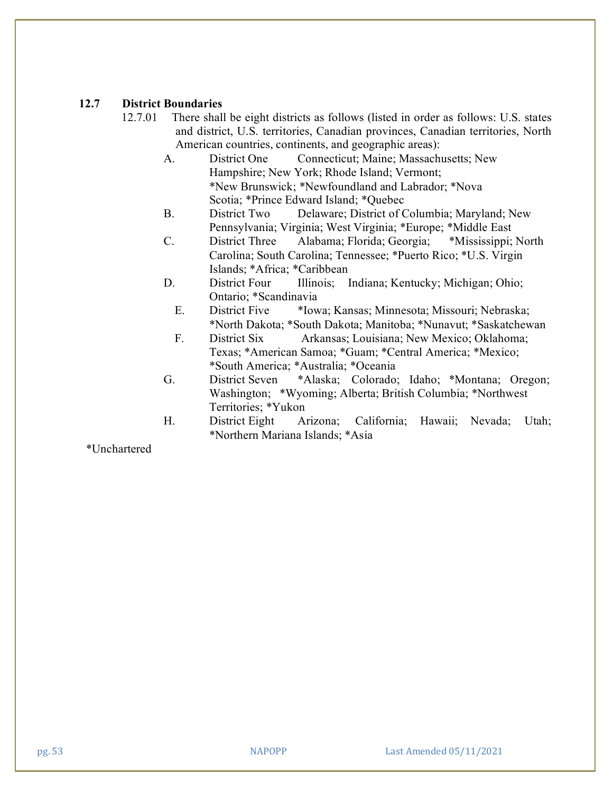## **12.7 District Boundaries**

- 12.7.01 There shall be eight districts as follows (listed in order as follows: U.S. states and district, U.S. territories, Canadian provinces, Canadian territories, North American countries, continents, and geographic areas):
	- A. District One Connecticut; Maine; Massachusetts; New Hampshire; New York; Rhode Island; Vermont; \*New Brunswick; \*Newfoundland and Labrador; \*Nova Scotia; \*Prince Edward Island; \*Quebec
	- B. District Two Delaware; District of Columbia; Maryland; New Pennsylvania; Virginia; West Virginia; \*Europe; \*Middle East
	- C. District Three Alabama; Florida; Georgia; \*Mississippi; North Carolina; South Carolina; Tennessee; \*Puerto Rico; \*U.S. Virgin Islands; \*Africa; \*Caribbean
	- D. District Four Illinois; Indiana; Kentucky; Michigan; Ohio; Ontario; \*Scandinavia
		- E. District Five \*Iowa; Kansas; Minnesota; Missouri; Nebraska; \*North Dakota; \*South Dakota; Manitoba; \*Nunavut; \*Saskatchewan
		- F. District Six Arkansas; Louisiana; New Mexico; Oklahoma; Texas; \*American Samoa; \*Guam; \*Central America; \*Mexico; \*South America; \*Australia; \*Oceania
	- G. District Seven \*Alaska; Colorado; Idaho; \*Montana; Oregon; Washington; \*Wyoming; Alberta; British Columbia; \*Northwest Territories; \*Yukon
	- H. District Eight Arizona; California; Hawaii; Nevada; Utah; \*Northern Mariana Islands; \*Asia

\*Unchartered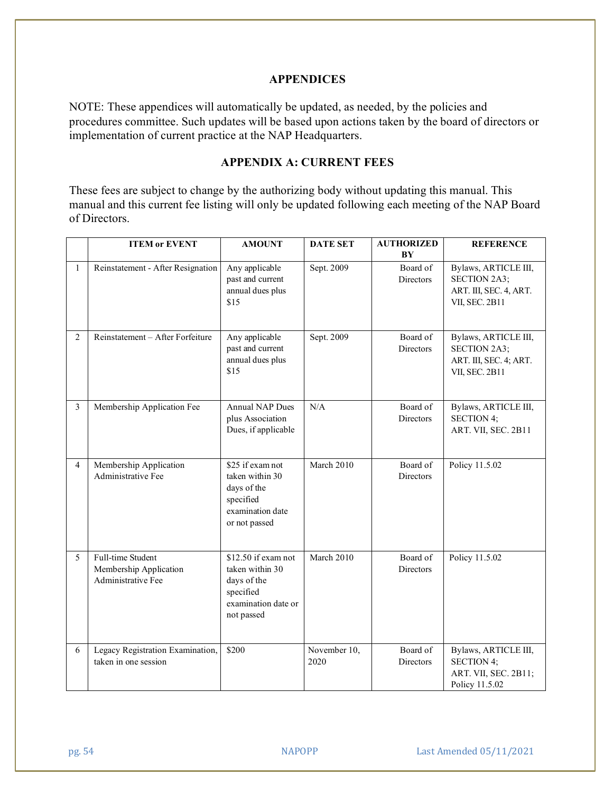#### **APPENDICES**

NOTE: These appendices will automatically be updated, as needed, by the policies and procedures committee. Such updates will be based upon actions taken by the board of directors or implementation of current practice at the NAP Headquarters.

#### **APPENDIX A: CURRENT FEES**

These fees are subject to change by the authorizing body without updating this manual. This manual and this current fee listing will only be updated following each meeting of the NAP Board of Directors.

|                | <b>ITEM or EVENT</b>                                              | <b>AMOUNT</b>                                                                                           | <b>DATE SET</b>      | <b>AUTHORIZED</b><br>BY      | <b>REFERENCE</b>                                                                        |
|----------------|-------------------------------------------------------------------|---------------------------------------------------------------------------------------------------------|----------------------|------------------------------|-----------------------------------------------------------------------------------------|
| $\mathbf{1}$   | Reinstatement - After Resignation                                 | Any applicable<br>past and current<br>annual dues plus<br>\$15                                          | Sept. 2009           | Board of<br><b>Directors</b> | Bylaws, ARTICLE III,<br><b>SECTION 2A3;</b><br>ART. III, SEC. 4, ART.<br>VII, SEC. 2B11 |
| $\overline{c}$ | Reinstatement - After Forfeiture                                  | Any applicable<br>past and current<br>annual dues plus<br>\$15                                          | Sept. 2009           | Board of<br>Directors        | Bylaws, ARTICLE III,<br><b>SECTION 2A3;</b><br>ART. III, SEC. 4; ART.<br>VII, SEC. 2B11 |
| 3              | Membership Application Fee                                        | <b>Annual NAP Dues</b><br>plus Association<br>Dues, if applicable                                       | N/A                  | Board of<br>Directors        | Bylaws, ARTICLE III,<br><b>SECTION 4;</b><br>ART. VII, SEC. 2B11                        |
| $\overline{4}$ | Membership Application<br>Administrative Fee                      | \$25 if exam not<br>taken within 30<br>days of the<br>specified<br>examination date<br>or not passed    | March 2010           | Board of<br>Directors        | Policy 11.5.02                                                                          |
| 5              | Full-time Student<br>Membership Application<br>Administrative Fee | \$12.50 if exam not<br>taken within 30<br>days of the<br>specified<br>examination date or<br>not passed | March 2010           | Board of<br><b>Directors</b> | Policy 11.5.02                                                                          |
| 6              | Legacy Registration Examination,<br>taken in one session          | \$200                                                                                                   | November 10,<br>2020 | Board of<br>Directors        | Bylaws, ARTICLE III,<br><b>SECTION 4;</b><br>ART. VII, SEC. 2B11;<br>Policy 11.5.02     |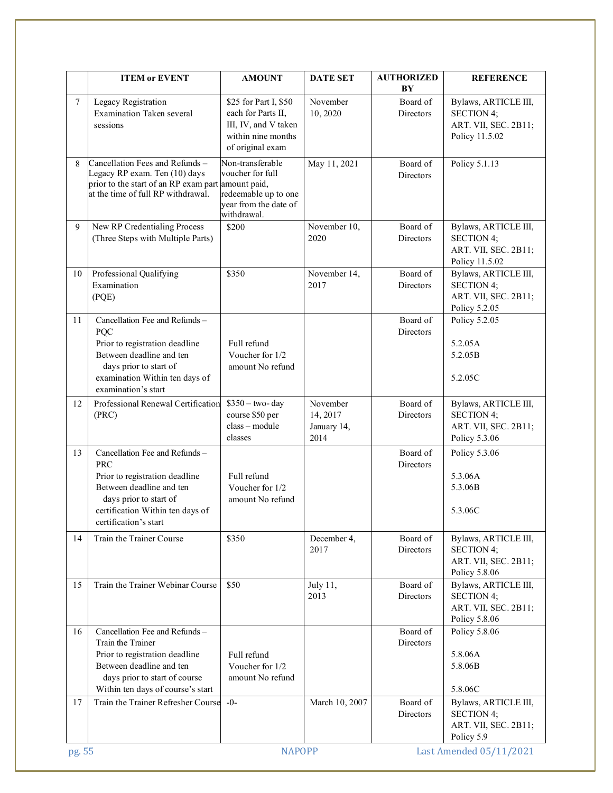|                 | <b>ITEM or EVENT</b>                                                                                                                                                                      | <b>AMOUNT</b>                                                                                                        | <b>DATE SET</b>                               | <b>AUTHORIZED</b><br>BY | <b>REFERENCE</b>                                                                    |
|-----------------|-------------------------------------------------------------------------------------------------------------------------------------------------------------------------------------------|----------------------------------------------------------------------------------------------------------------------|-----------------------------------------------|-------------------------|-------------------------------------------------------------------------------------|
| $7\phantom{.0}$ | Legacy Registration<br><b>Examination Taken several</b><br>sessions                                                                                                                       | \$25 for Part I, \$50<br>each for Parts II,<br>III, IV, and V taken<br>within nine months<br>of original exam        | November<br>Board of<br>10, 2020<br>Directors |                         | Bylaws, ARTICLE III,<br><b>SECTION 4;</b><br>ART. VII, SEC. 2B11;<br>Policy 11.5.02 |
| 8               | Cancellation Fees and Refunds -<br>Legacy RP exam. Ten (10) days<br>prior to the start of an RP exam part<br>at the time of full RP withdrawal.                                           | Non-transferable<br>voucher for full<br>amount paid,<br>redeemable up to one<br>year from the date of<br>withdrawal. | May 11, 2021                                  | Board of<br>Directors   | Policy 5.1.13                                                                       |
| 9               | New RP Credentialing Process<br>(Three Steps with Multiple Parts)                                                                                                                         | \$200                                                                                                                | November 10,<br>2020                          | Board of<br>Directors   | Bylaws, ARTICLE III,<br><b>SECTION 4;</b><br>ART. VII, SEC. 2B11;<br>Policy 11.5.02 |
| 10              | Professional Qualifying<br>Examination<br>(PQE)                                                                                                                                           | \$350                                                                                                                | November 14,<br>2017                          | Board of<br>Directors   | Bylaws, ARTICLE III,<br><b>SECTION 4;</b><br>ART. VII, SEC. 2B11;<br>Policy 5.2.05  |
| 11              | Cancellation Fee and Refunds-<br>PQC<br>Prior to registration deadline<br>Between deadline and ten<br>days prior to start of<br>examination Within ten days of<br>examination's start     | Full refund<br>Voucher for 1/2<br>amount No refund                                                                   |                                               | Board of<br>Directors   | Policy 5.2.05<br>5.2.05A<br>5.2.05B<br>5.2.05C                                      |
| 12              | Professional Renewal Certification<br>(PRC)                                                                                                                                               | $$350 - two-day$<br>course \$50 per<br>class - module<br>classes                                                     | November<br>14, 2017<br>January 14,<br>2014   | Board of<br>Directors   | Bylaws, ARTICLE III,<br><b>SECTION 4:</b><br>ART. VII, SEC. 2B11;<br>Policy 5.3.06  |
| 13              | Cancellation Fee and Refunds-<br>PRC<br>Prior to registration deadline<br>Between deadline and ten<br>days prior to start of<br>certification Within ten days of<br>certification's start | Full refund<br>Voucher for 1/2<br>amount No refund                                                                   |                                               | Board of<br>Directors   | Policy 5.3.06<br>5.3.06A<br>5.3.06B<br>5.3.06C                                      |
| 14              | Train the Trainer Course                                                                                                                                                                  | \$350                                                                                                                | December 4,<br>2017                           | Board of<br>Directors   | Bylaws, ARTICLE III,<br><b>SECTION 4;</b><br>ART. VII, SEC. 2B11;<br>Policy 5.8.06  |
| 15              | Train the Trainer Webinar Course                                                                                                                                                          | \$50                                                                                                                 | July 11,<br>2013                              | Board of<br>Directors   | Bylaws, ARTICLE III,<br><b>SECTION 4;</b><br>ART. VII, SEC. 2B11;<br>Policy 5.8.06  |
| 16              | Cancellation Fee and Refunds -<br>Train the Trainer<br>Prior to registration deadline<br>Between deadline and ten<br>days prior to start of course<br>Within ten days of course's start   | Full refund<br>Voucher for 1/2<br>amount No refund                                                                   |                                               | Board of<br>Directors   | Policy 5.8.06<br>5.8.06A<br>5.8.06B<br>5.8.06C                                      |
| 17              | Train the Trainer Refresher Course                                                                                                                                                        | $-0-$                                                                                                                | March 10, 2007                                | Board of<br>Directors   | Bylaws, ARTICLE III,<br><b>SECTION 4;</b><br>ART. VII, SEC. 2B11;<br>Policy 5.9     |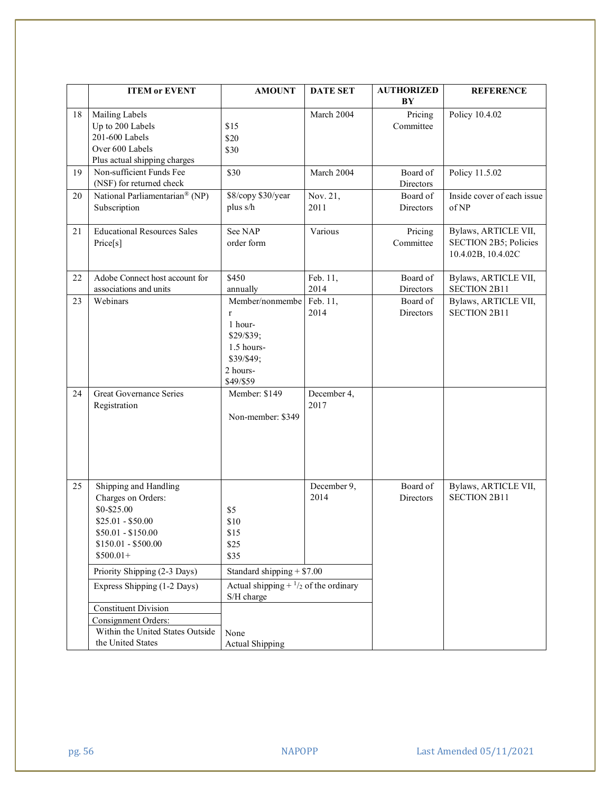|    | <b>ITEM or EVENT</b>                                                                                                                       | <b>AMOUNT</b>                                                                                                 | <b>DATE SET</b>     | <b>AUTHORIZED</b><br>BY      | <b>REFERENCE</b>                                                           |
|----|--------------------------------------------------------------------------------------------------------------------------------------------|---------------------------------------------------------------------------------------------------------------|---------------------|------------------------------|----------------------------------------------------------------------------|
| 18 | Mailing Labels<br>Up to 200 Labels<br>201-600 Labels<br>Over 600 Labels<br>Plus actual shipping charges                                    | \$15<br>\$20<br>\$30                                                                                          | March 2004          | Pricing<br>Committee         | Policy 10.4.02                                                             |
| 19 | Non-sufficient Funds Fee<br>(NSF) for returned check                                                                                       | \$30                                                                                                          | March 2004          | Board of<br>Directors        | Policy 11.5.02                                                             |
| 20 | National Parliamentarian® (NP)<br>Subscription                                                                                             | \$8/copy \$30/year<br>plus s/h                                                                                | Nov. 21,<br>2011    | Board of<br>Directors        | Inside cover of each issue<br>of NP                                        |
| 21 | <b>Educational Resources Sales</b><br>Price[s]                                                                                             | See NAP<br>order form                                                                                         | Various             | Pricing<br>Committee         | Bylaws, ARTICLE VII,<br><b>SECTION 2B5; Policies</b><br>10.4.02B, 10.4.02C |
| 22 | Adobe Connect host account for<br>associations and units                                                                                   | \$450<br>annually                                                                                             | Feb. 11,<br>2014    | Board of<br>Directors        | Bylaws, ARTICLE VII,<br><b>SECTION 2B11</b>                                |
| 23 | Webinars                                                                                                                                   | Member/nonmembe<br>$\mathbf{r}$<br>1 hour-<br>\$29/\$39;<br>1.5 hours-<br>\$39/\$49;<br>2 hours-<br>\$49/\$59 | Feb. 11,<br>2014    | Board of<br><b>Directors</b> | Bylaws, ARTICLE VII,<br><b>SECTION 2B11</b>                                |
| 24 | <b>Great Governance Series</b><br>Registration                                                                                             | Member: \$149<br>Non-member: \$349                                                                            | December 4,<br>2017 |                              |                                                                            |
| 25 | Shipping and Handling<br>Charges on Orders:<br>\$0-\$25.00<br>$$25.01 - $50.00$<br>\$50.01 - \$150.00<br>$$150.01 - $500.00$<br>$$500.01+$ | \$5<br>\$10<br>\$15<br>\$25<br>\$35                                                                           | December 9,<br>2014 | Board of<br>Directors        | Bylaws, ARTICLE VII,<br><b>SECTION 2B11</b>                                |
|    | Priority Shipping (2-3 Days)                                                                                                               | Standard shipping $+ $7.00$                                                                                   |                     |                              |                                                                            |
|    | Express Shipping (1-2 Days)                                                                                                                | Actual shipping $+ \frac{1}{2}$ of the ordinary<br>S/H charge                                                 |                     |                              |                                                                            |
|    | <b>Constituent Division</b><br>Consignment Orders:<br>Within the United States Outside                                                     | None                                                                                                          |                     |                              |                                                                            |
|    | the United States                                                                                                                          | <b>Actual Shipping</b>                                                                                        |                     |                              |                                                                            |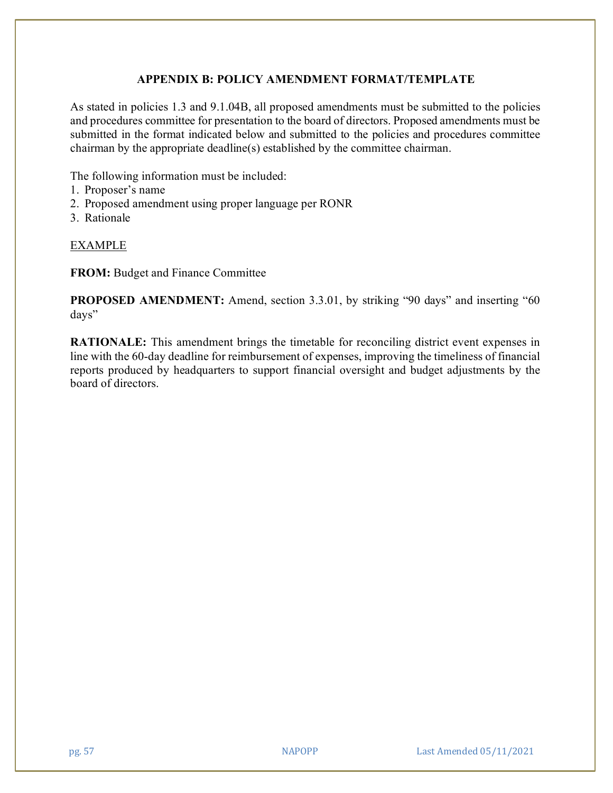#### **APPENDIX B: POLICY AMENDMENT FORMAT/TEMPLATE**

As stated in policies 1.3 and 9.1.04B, all proposed amendments must be submitted to the policies and procedures committee for presentation to the board of directors. Proposed amendments must be submitted in the format indicated below and submitted to the policies and procedures committee chairman by the appropriate deadline(s) established by the committee chairman.

The following information must be included:

- 1. Proposer's name
- 2. Proposed amendment using proper language per RONR
- 3. Rationale

EXAMPLE

**FROM:** Budget and Finance Committee

**PROPOSED AMENDMENT:** Amend, section 3.3.01, by striking "90 days" and inserting "60 days"

**RATIONALE:** This amendment brings the timetable for reconciling district event expenses in line with the 60-day deadline for reimbursement of expenses, improving the timeliness of financial reports produced by headquarters to support financial oversight and budget adjustments by the board of directors.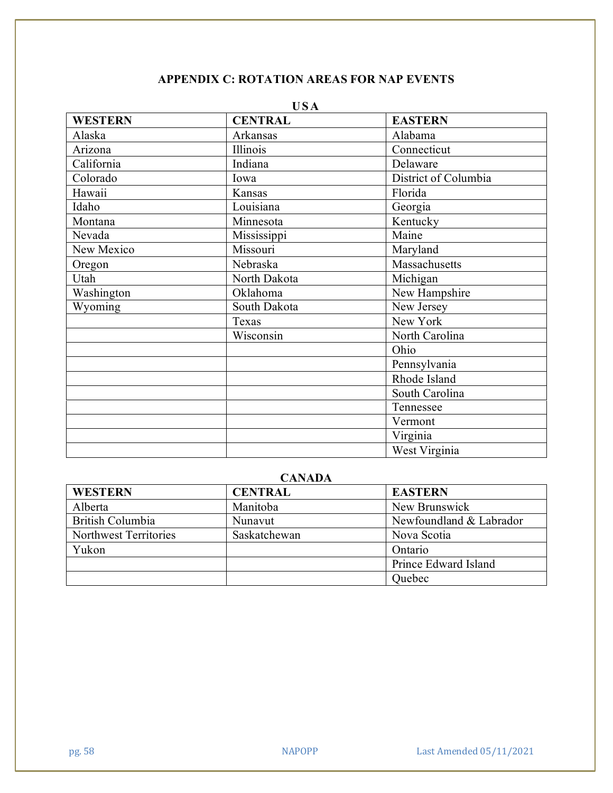# **APPENDIX C: ROTATION AREAS FOR NAP EVENTS**

| <b>WESTERN</b> | <b>CENTRAL</b> | <b>EASTERN</b>       |
|----------------|----------------|----------------------|
| Alaska         | Arkansas       | Alabama              |
| Arizona        | Illinois       | Connecticut          |
| California     | Indiana        | Delaware             |
| Colorado       | Iowa           | District of Columbia |
| Hawaii         | Kansas         | Florida              |
| Idaho          | Louisiana      | Georgia              |
| Montana        | Minnesota      | Kentucky             |
| Nevada         | Mississippi    | Maine                |
| New Mexico     | Missouri       | Maryland             |
| Oregon         | Nebraska       | Massachusetts        |
| Utah           | North Dakota   | Michigan             |
| Washington     | Oklahoma       | New Hampshire        |
| Wyoming        | South Dakota   | New Jersey           |
|                | Texas          | New York             |
|                | Wisconsin      | North Carolina       |
|                |                | Ohio                 |
|                |                | Pennsylvania         |
|                |                | Rhode Island         |
|                |                | South Carolina       |
|                |                | Tennessee            |
|                |                | Vermont              |
|                |                | Virginia             |
|                |                | West Virginia        |

### **CANADA**

| <b>WESTERN</b>        | <b>CENTRAL</b> | <b>EASTERN</b>          |  |
|-----------------------|----------------|-------------------------|--|
| Alberta               | Manitoba       | New Brunswick           |  |
| British Columbia      | Nunavut        | Newfoundland & Labrador |  |
| Northwest Territories | Saskatchewan   | Nova Scotia             |  |
| Yukon                 |                | Ontario                 |  |
|                       |                | Prince Edward Island    |  |
|                       |                | Quebec                  |  |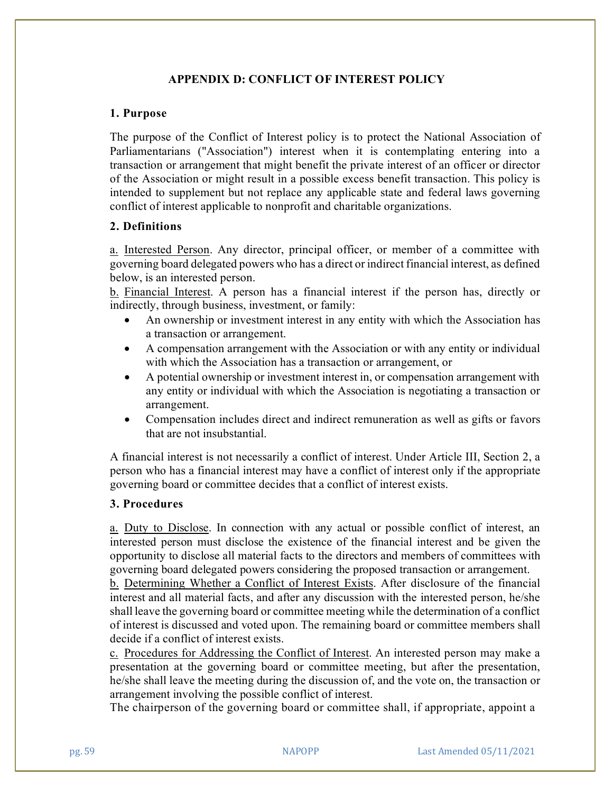# **APPENDIX D: CONFLICT OF INTEREST POLICY**

#### **1. Purpose**

The purpose of the Conflict of Interest policy is to protect the National Association of Parliamentarians ("Association") interest when it is contemplating entering into a transaction or arrangement that might benefit the private interest of an officer or director of the Association or might result in a possible excess benefit transaction. This policy is intended to supplement but not replace any applicable state and federal laws governing conflict of interest applicable to nonprofit and charitable organizations.

#### **2. Definitions**

a. Interested Person. Any director, principal officer, or member of a committee with governing board delegated powers who has a direct or indirect financial interest, as defined below, is an interested person.

b. Financial Interest. A person has a financial interest if the person has, directly or indirectly, through business, investment, or family:

- An ownership or investment interest in any entity with which the Association has a transaction or arrangement.
- A compensation arrangement with the Association or with any entity or individual with which the Association has a transaction or arrangement, or
- A potential ownership or investment interest in, or compensation arrangement with any entity or individual with which the Association is negotiating a transaction or arrangement.
- Compensation includes direct and indirect remuneration as well as gifts or favors that are not insubstantial.

A financial interest is not necessarily a conflict of interest. Under Article III, Section 2, a person who has a financial interest may have a conflict of interest only if the appropriate governing board or committee decides that a conflict of interest exists.

#### **3. Procedures**

a. Duty to Disclose. In connection with any actual or possible conflict of interest, an interested person must disclose the existence of the financial interest and be given the opportunity to disclose all material facts to the directors and members of committees with governing board delegated powers considering the proposed transaction or arrangement.

b. Determining Whether a Conflict of Interest Exists. After disclosure of the financial interest and all material facts, and after any discussion with the interested person, he/she shall leave the governing board or committee meeting while the determination of a conflict of interest is discussed and voted upon. The remaining board or committee members shall decide if a conflict of interest exists.

c. Procedures for Addressing the Conflict of Interest. An interested person may make a presentation at the governing board or committee meeting, but after the presentation, he/she shall leave the meeting during the discussion of, and the vote on, the transaction or arrangement involving the possible conflict of interest.

The chairperson of the governing board or committee shall, if appropriate, appoint a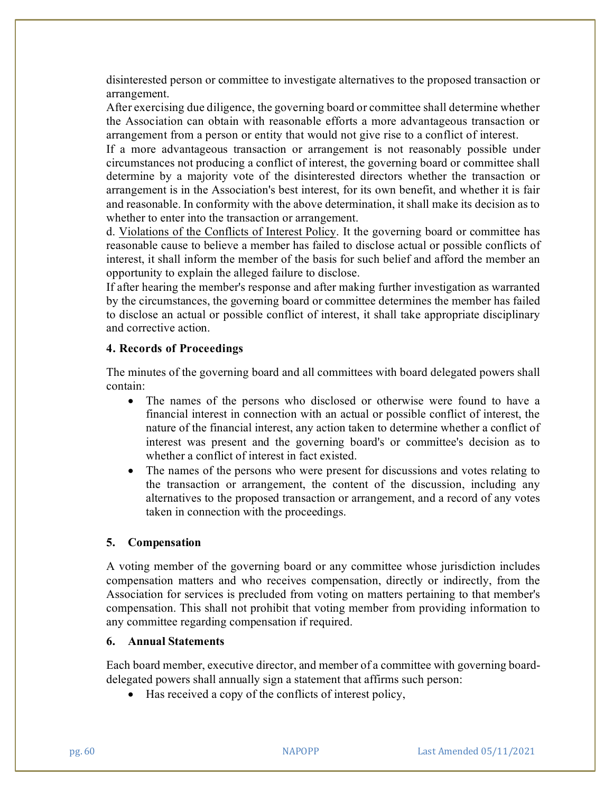disinterested person or committee to investigate alternatives to the proposed transaction or arrangement.

After exercising due diligence, the governing board or committee shall determine whether the Association can obtain with reasonable efforts a more advantageous transaction or arrangement from a person or entity that would not give rise to a conflict of interest.

If a more advantageous transaction or arrangement is not reasonably possible under circumstances not producing a conflict of interest, the governing board or committee shall determine by a majority vote of the disinterested directors whether the transaction or arrangement is in the Association's best interest, for its own benefit, and whether it is fair and reasonable. In conformity with the above determination, it shall make its decision as to whether to enter into the transaction or arrangement.

d. Violations of the Conflicts of Interest Policy. It the governing board or committee has reasonable cause to believe a member has failed to disclose actual or possible conflicts of interest, it shall inform the member of the basis for such belief and afford the member an opportunity to explain the alleged failure to disclose.

If after hearing the member's response and after making further investigation as warranted by the circumstances, the governing board or committee determines the member has failed to disclose an actual or possible conflict of interest, it shall take appropriate disciplinary and corrective action.

#### **4. Records of Proceedings**

The minutes of the governing board and all committees with board delegated powers shall contain:

- The names of the persons who disclosed or otherwise were found to have a financial interest in connection with an actual or possible conflict of interest, the nature of the financial interest, any action taken to determine whether a conflict of interest was present and the governing board's or committee's decision as to whether a conflict of interest in fact existed.
- The names of the persons who were present for discussions and votes relating to the transaction or arrangement, the content of the discussion, including any alternatives to the proposed transaction or arrangement, and a record of any votes taken in connection with the proceedings.

### **5. Compensation**

A voting member of the governing board or any committee whose jurisdiction includes compensation matters and who receives compensation, directly or indirectly, from the Association for services is precluded from voting on matters pertaining to that member's compensation. This shall not prohibit that voting member from providing information to any committee regarding compensation if required.

#### **6. Annual Statements**

Each board member, executive director, and member of a committee with governing boarddelegated powers shall annually sign a statement that affirms such person:

• Has received a copy of the conflicts of interest policy,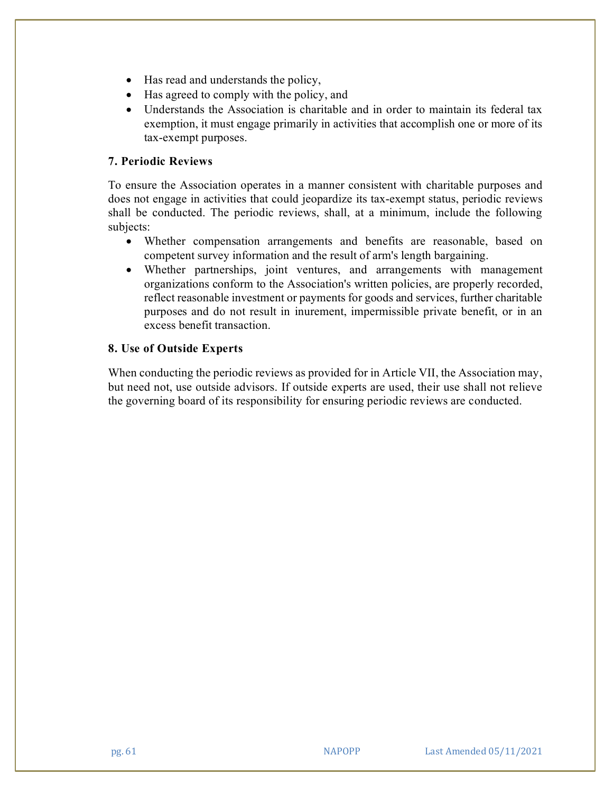- Has read and understands the policy,
- Has agreed to comply with the policy, and
- Understands the Association is charitable and in order to maintain its federal tax exemption, it must engage primarily in activities that accomplish one or more of its tax-exempt purposes.

## **7. Periodic Reviews**

To ensure the Association operates in a manner consistent with charitable purposes and does not engage in activities that could jeopardize its tax-exempt status, periodic reviews shall be conducted. The periodic reviews, shall, at a minimum, include the following subjects:

- Whether compensation arrangements and benefits are reasonable, based on competent survey information and the result of arm's length bargaining.
- Whether partnerships, joint ventures, and arrangements with management organizations conform to the Association's written policies, are properly recorded, reflect reasonable investment or payments for goods and services, further charitable purposes and do not result in inurement, impermissible private benefit, or in an excess benefit transaction.

#### **8. Use of Outside Experts**

When conducting the periodic reviews as provided for in Article VII, the Association may, but need not, use outside advisors. If outside experts are used, their use shall not relieve the governing board of its responsibility for ensuring periodic reviews are conducted.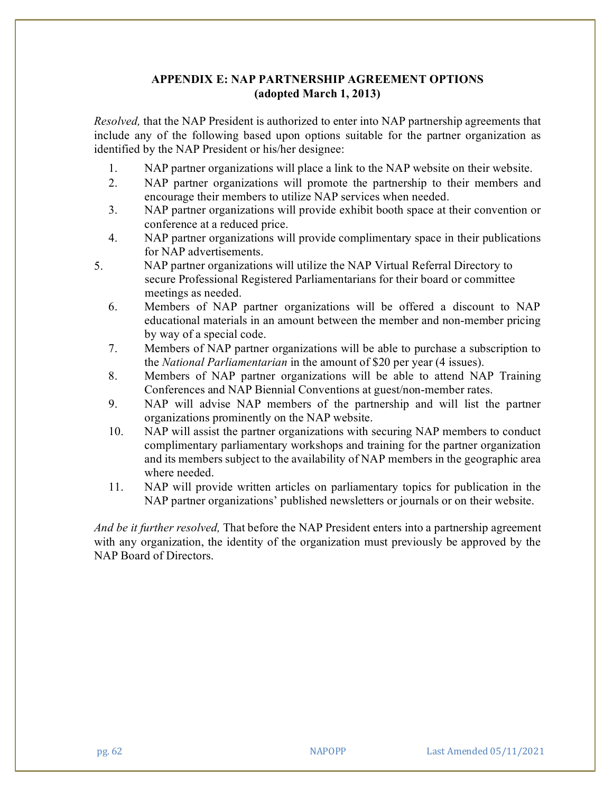# **APPENDIX E: NAP PARTNERSHIP AGREEMENT OPTIONS (adopted March 1, 2013)**

*Resolved,* that the NAP President is authorized to enter into NAP partnership agreements that include any of the following based upon options suitable for the partner organization as identified by the NAP President or his/her designee:

- 1. NAP partner organizations will place a link to the NAP website on their website.
- 2. NAP partner organizations will promote the partnership to their members and encourage their members to utilize NAP services when needed.
- 3. NAP partner organizations will provide exhibit booth space at their convention or conference at a reduced price.
- 4. NAP partner organizations will provide complimentary space in their publications for NAP advertisements.
- 5. NAP partner organizations will utilize the NAP Virtual Referral Directory to secure Professional Registered Parliamentarians for their board or committee meetings as needed.
	- 6. Members of NAP partner organizations will be offered a discount to NAP educational materials in an amount between the member and non-member pricing by way of a special code.
	- 7. Members of NAP partner organizations will be able to purchase a subscription to the *National Parliamentarian* in the amount of \$20 per year (4 issues).
	- 8. Members of NAP partner organizations will be able to attend NAP Training Conferences and NAP Biennial Conventions at guest/non-member rates.
	- 9. NAP will advise NAP members of the partnership and will list the partner organizations prominently on the NAP website.
	- 10. NAP will assist the partner organizations with securing NAP members to conduct complimentary parliamentary workshops and training for the partner organization and its members subject to the availability of NAP members in the geographic area where needed.
	- 11. NAP will provide written articles on parliamentary topics for publication in the NAP partner organizations' published newsletters or journals or on their website.

*And be it further resolved,* That before the NAP President enters into a partnership agreement with any organization, the identity of the organization must previously be approved by the NAP Board of Directors.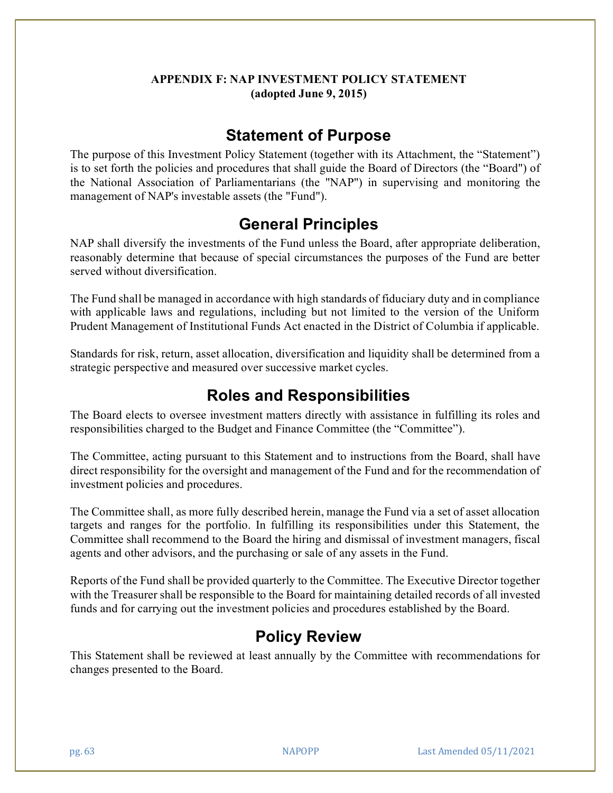# **APPENDIX F: NAP INVESTMENT POLICY STATEMENT (adopted June 9, 2015)**

# **Statement of Purpose**

The purpose of this Investment Policy Statement (together with its Attachment, the "Statement") is to set forth the policies and procedures that shall guide the Board of Directors (the "Board") of the National Association of Parliamentarians (the "NAP") in supervising and monitoring the management of NAP's investable assets (the "Fund").

# **General Principles**

NAP shall diversify the investments of the Fund unless the Board, after appropriate deliberation, reasonably determine that because of special circumstances the purposes of the Fund are better served without diversification.

The Fund shall be managed in accordance with high standards of fiduciary duty and in compliance with applicable laws and regulations, including but not limited to the version of the Uniform Prudent Management of Institutional Funds Act enacted in the District of Columbia if applicable.

Standards for risk, return, asset allocation, diversification and liquidity shall be determined from a strategic perspective and measured over successive market cycles.

# **Roles and Responsibilities**

The Board elects to oversee investment matters directly with assistance in fulfilling its roles and responsibilities charged to the Budget and Finance Committee (the "Committee").

The Committee, acting pursuant to this Statement and to instructions from the Board, shall have direct responsibility for the oversight and management of the Fund and for the recommendation of investment policies and procedures.

The Committee shall, as more fully described herein, manage the Fund via a set of asset allocation targets and ranges for the portfolio. In fulfilling its responsibilities under this Statement, the Committee shall recommend to the Board the hiring and dismissal of investment managers, fiscal agents and other advisors, and the purchasing or sale of any assets in the Fund.

Reports of the Fund shall be provided quarterly to the Committee. The Executive Director together with the Treasurer shall be responsible to the Board for maintaining detailed records of all invested funds and for carrying out the investment policies and procedures established by the Board.

# **Policy Review**

This Statement shall be reviewed at least annually by the Committee with recommendations for changes presented to the Board.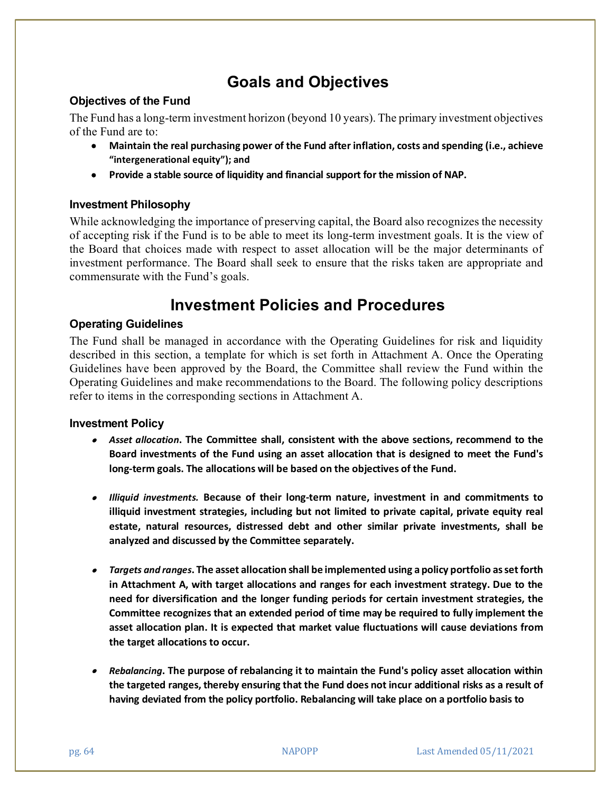# **Goals and Objectives**

## **Objectives of the Fund**

The Fund has a long-term investment horizon (beyond 10 years). The primary investment objectives of the Fund are to:

- **Maintain the real purchasing power of the Fund after inflation, costs and spending (i.e., achieve "intergenerational equity"); and**
- **Provide a stable source of liquidity and financial support for the mission of NAP.**

## **Investment Philosophy**

While acknowledging the importance of preserving capital, the Board also recognizes the necessity of accepting risk if the Fund is to be able to meet its long-term investment goals. It is the view of the Board that choices made with respect to asset allocation will be the major determinants of investment performance. The Board shall seek to ensure that the risks taken are appropriate and commensurate with the Fund's goals.

# **Investment Policies and Procedures**

### **Operating Guidelines**

The Fund shall be managed in accordance with the Operating Guidelines for risk and liquidity described in this section, a template for which is set forth in Attachment A. Once the Operating Guidelines have been approved by the Board, the Committee shall review the Fund within the Operating Guidelines and make recommendations to the Board. The following policy descriptions refer to items in the corresponding sections in Attachment A.

### **Investment Policy**

- *Asset allocation***. The Committee shall, consistent with the above sections, recommend to the Board investments of the Fund using an asset allocation that is designed to meet the Fund's long-term goals. The allocations will be based on the objectives of the Fund.**
- *Illiquid investments.* **Because of their long-term nature, investment in and commitments to illiquid investment strategies, including but not limited to private capital, private equity real estate, natural resources, distressed debt and other similar private investments, shall be analyzed and discussed by the Committee separately.**
- *Targets and ranges***. The asset allocation shall be implemented using a policy portfolio as set forth in Attachment A, with target allocations and ranges for each investment strategy. Due to the need for diversification and the longer funding periods for certain investment strategies, the Committee recognizes that an extended period of time may be required to fully implement the asset allocation plan. It is expected that market value fluctuations will cause deviations from the target allocations to occur.**
- *Rebalancing***. The purpose of rebalancing it to maintain the Fund's policy asset allocation within the targeted ranges, thereby ensuring that the Fund does not incur additional risks as a result of having deviated from the policy portfolio. Rebalancing will take place on a portfolio basis to**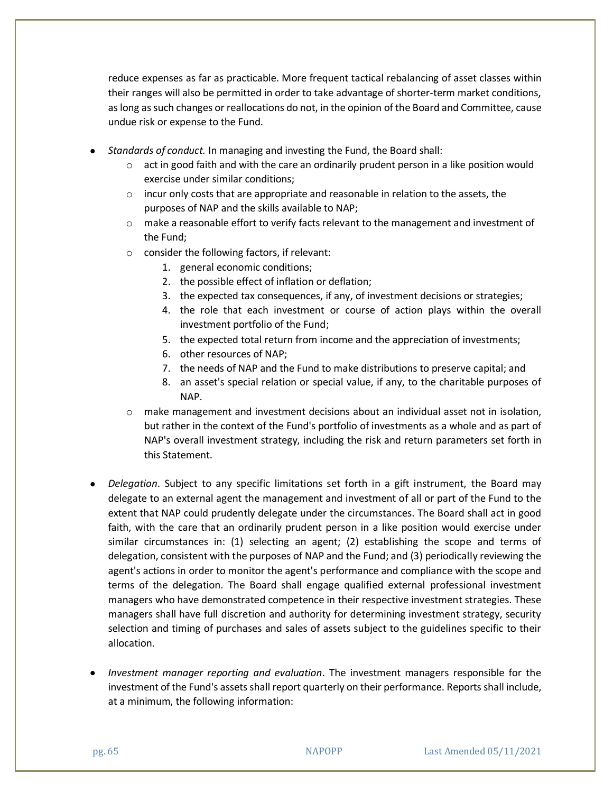reduce expenses as far as practicable. More frequent tactical rebalancing of asset classes within their ranges will also be permitted in order to take advantage of shorter-term market conditions, as long as such changes or reallocations do not, in the opinion of the Board and Committee, cause undue risk or expense to the Fund.

- *Standards of conduct.* In managing and investing the Fund, the Board shall:
	- $\circ$  act in good faith and with the care an ordinarily prudent person in a like position would exercise under similar conditions;
	- $\circ$  incur only costs that are appropriate and reasonable in relation to the assets, the purposes of NAP and the skills available to NAP;
	- $\circ$  make a reasonable effort to verify facts relevant to the management and investment of the Fund;
	- o consider the following factors, if relevant:
		- 1. general economic conditions;
		- 2. the possible effect of inflation or deflation;
		- 3. the expected tax consequences, if any, of investment decisions or strategies;
		- 4. the role that each investment or course of action plays within the overall investment portfolio of the Fund;
		- 5. the expected total return from income and the appreciation of investments;
		- 6. other resources of NAP;
		- 7. the needs of NAP and the Fund to make distributions to preserve capital; and
		- 8. an asset's special relation or special value, if any, to the charitable purposes of NAP.
	- $\circ$  make management and investment decisions about an individual asset not in isolation, but rather in the context of the Fund's portfolio of investments as a whole and as part of NAP's overall investment strategy, including the risk and return parameters set forth in this Statement.
- *Delegation*. Subject to any specific limitations set forth in a gift instrument, the Board may delegate to an external agent the management and investment of all or part of the Fund to the extent that NAP could prudently delegate under the circumstances. The Board shall act in good faith, with the care that an ordinarily prudent person in a like position would exercise under similar circumstances in: (1) selecting an agent; (2) establishing the scope and terms of delegation, consistent with the purposes of NAP and the Fund; and (3) periodically reviewing the agent's actions in order to monitor the agent's performance and compliance with the scope and terms of the delegation. The Board shall engage qualified external professional investment managers who have demonstrated competence in their respective investment strategies. These managers shall have full discretion and authority for determining investment strategy, security selection and timing of purchases and sales of assets subject to the guidelines specific to their allocation.
- *Investment manager reporting and evaluation*. The investment managers responsible for the investment of the Fund's assets shall report quarterly on their performance. Reports shall include, at a minimum, the following information: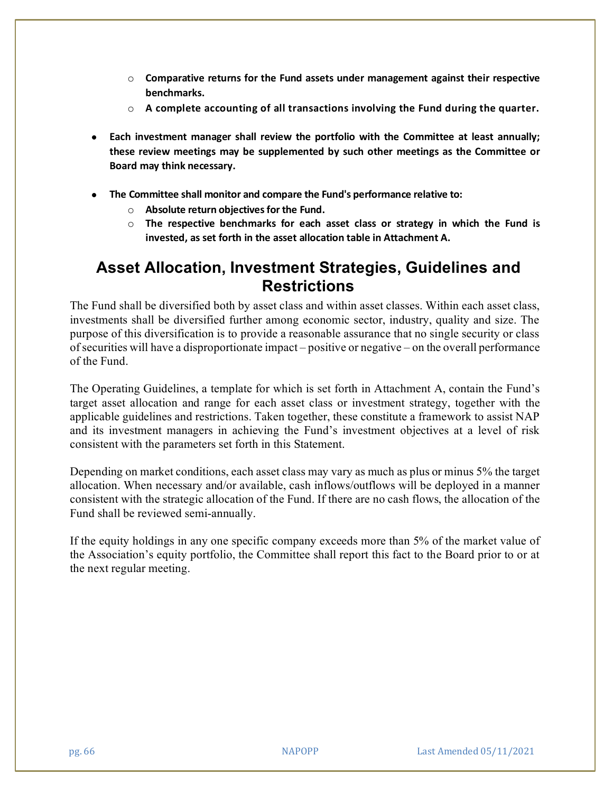- o **Comparative returns for the Fund assets under management against their respective benchmarks.**
- o **A complete accounting of all transactions involving the Fund during the quarter.**
- **Each investment manager shall review the portfolio with the Committee at least annually; these review meetings may be supplemented by such other meetings as the Committee or Board may think necessary.**
- **The Committee shall monitor and compare the Fund's performance relative to:**
	- o **Absolute return objectives for the Fund.**
	- o **The respective benchmarks for each asset class or strategy in which the Fund is invested, as set forth in the asset allocation table in Attachment A.**

# **Asset Allocation, Investment Strategies, Guidelines and Restrictions**

The Fund shall be diversified both by asset class and within asset classes. Within each asset class, investments shall be diversified further among economic sector, industry, quality and size. The purpose of this diversification is to provide a reasonable assurance that no single security or class of securities will have a disproportionate impact – positive or negative – on the overall performance of the Fund.

The Operating Guidelines, a template for which is set forth in Attachment A, contain the Fund's target asset allocation and range for each asset class or investment strategy, together with the applicable guidelines and restrictions. Taken together, these constitute a framework to assist NAP and its investment managers in achieving the Fund's investment objectives at a level of risk consistent with the parameters set forth in this Statement.

Depending on market conditions, each asset class may vary as much as plus or minus 5% the target allocation. When necessary and/or available, cash inflows/outflows will be deployed in a manner consistent with the strategic allocation of the Fund. If there are no cash flows, the allocation of the Fund shall be reviewed semi-annually.

If the equity holdings in any one specific company exceeds more than 5% of the market value of the Association's equity portfolio, the Committee shall report this fact to the Board prior to or at the next regular meeting.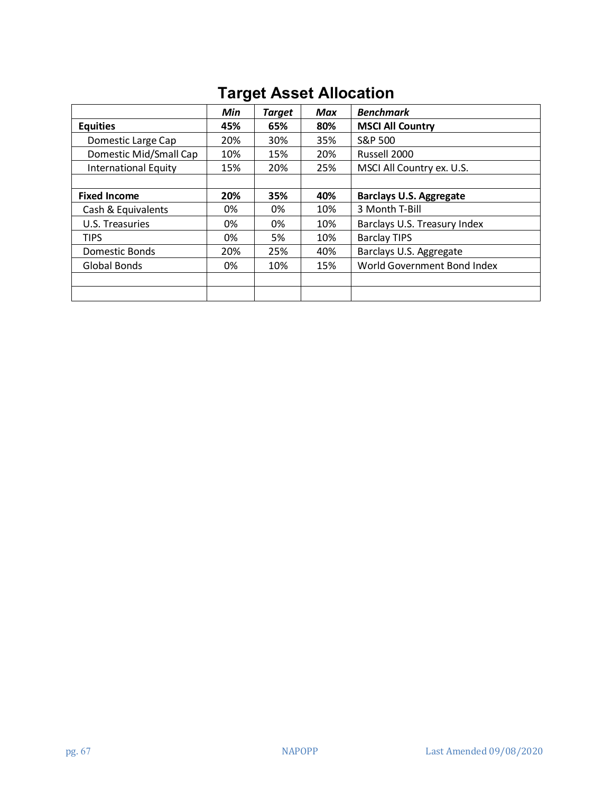|                             | Min | <b>Target</b> | <b>Max</b> | <b>Benchmark</b>               |
|-----------------------------|-----|---------------|------------|--------------------------------|
| <b>Equities</b>             | 45% | 65%           | 80%        | <b>MSCI All Country</b>        |
| Domestic Large Cap          | 20% | 30%           | 35%        | S&P 500                        |
| Domestic Mid/Small Cap      | 10% | 15%           | 20%        | Russell 2000                   |
| <b>International Equity</b> | 15% | 20%           | 25%        | MSCI All Country ex. U.S.      |
|                             |     |               |            |                                |
| <b>Fixed Income</b>         | 20% | 35%           | 40%        | <b>Barclays U.S. Aggregate</b> |
| Cash & Equivalents          | 0%  | 0%            | 10%        | 3 Month T-Bill                 |
| U.S. Treasuries             | 0%  | 0%            | 10%        | Barclays U.S. Treasury Index   |
| <b>TIPS</b>                 | 0%  | 5%            | 10%        | <b>Barclay TIPS</b>            |
| Domestic Bonds              | 20% | 25%           | 40%        | Barclays U.S. Aggregate        |
| Global Bonds                | 0%  | 10%           | 15%        | World Government Bond Index    |
|                             |     |               |            |                                |
|                             |     |               |            |                                |

# **Target Asset Allocation**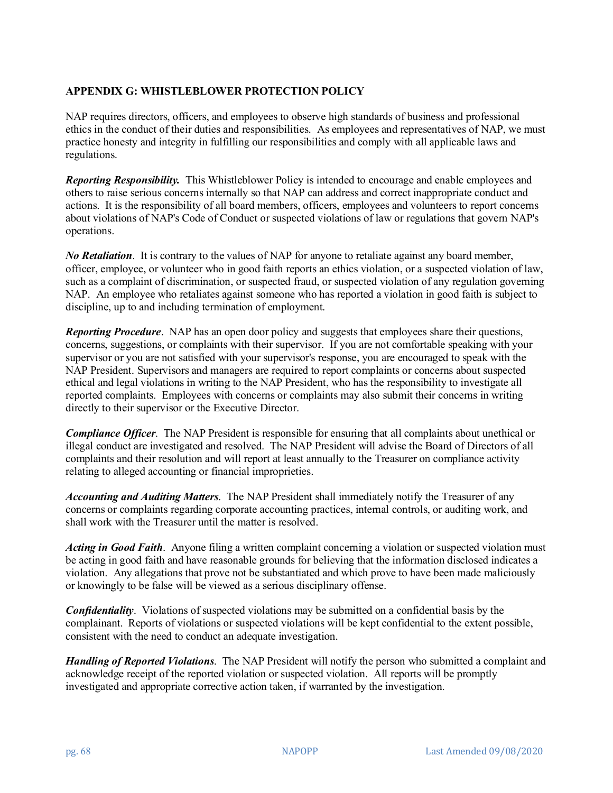# **APPENDIX G: WHISTLEBLOWER PROTECTION POLICY**

NAP requires directors, officers, and employees to observe high standards of business and professional ethics in the conduct of their duties and responsibilities. As employees and representatives of NAP, we must practice honesty and integrity in fulfilling our responsibilities and comply with all applicable laws and regulations.

*Reporting Responsibility.* This Whistleblower Policy is intended to encourage and enable employees and others to raise serious concerns internally so that NAP can address and correct inappropriate conduct and actions. It is the responsibility of all board members, officers, employees and volunteers to report concerns about violations of NAP's Code of Conduct or suspected violations of law or regulations that govern NAP's operations.

*No Retaliation*. It is contrary to the values of NAP for anyone to retaliate against any board member, officer, employee, or volunteer who in good faith reports an ethics violation, or a suspected violation of law, such as a complaint of discrimination, or suspected fraud, or suspected violation of any regulation governing NAP. An employee who retaliates against someone who has reported a violation in good faith is subject to discipline, up to and including termination of employment.

*Reporting Procedure*. NAP has an open door policy and suggests that employees share their questions, concerns, suggestions, or complaints with their supervisor. If you are not comfortable speaking with your supervisor or you are not satisfied with your supervisor's response, you are encouraged to speak with the NAP President. Supervisors and managers are required to report complaints or concerns about suspected ethical and legal violations in writing to the NAP President, who has the responsibility to investigate all reported complaints. Employees with concerns or complaints may also submit their concerns in writing directly to their supervisor or the Executive Director.

*Compliance Officer*. The NAP President is responsible for ensuring that all complaints about unethical or illegal conduct are investigated and resolved. The NAP President will advise the Board of Directors of all complaints and their resolution and will report at least annually to the Treasurer on compliance activity relating to alleged accounting or financial improprieties.

*Accounting and Auditing Matters*. The NAP President shall immediately notify the Treasurer of any concerns or complaints regarding corporate accounting practices, internal controls, or auditing work, and shall work with the Treasurer until the matter is resolved.

*Acting in Good Faith*. Anyone filing a written complaint concerning a violation or suspected violation must be acting in good faith and have reasonable grounds for believing that the information disclosed indicates a violation. Any allegations that prove not be substantiated and which prove to have been made maliciously or knowingly to be false will be viewed as a serious disciplinary offense.

*Confidentiality*. Violations of suspected violations may be submitted on a confidential basis by the complainant. Reports of violations or suspected violations will be kept confidential to the extent possible, consistent with the need to conduct an adequate investigation.

*Handling of Reported Violations*. The NAP President will notify the person who submitted a complaint and acknowledge receipt of the reported violation or suspected violation. All reports will be promptly investigated and appropriate corrective action taken, if warranted by the investigation.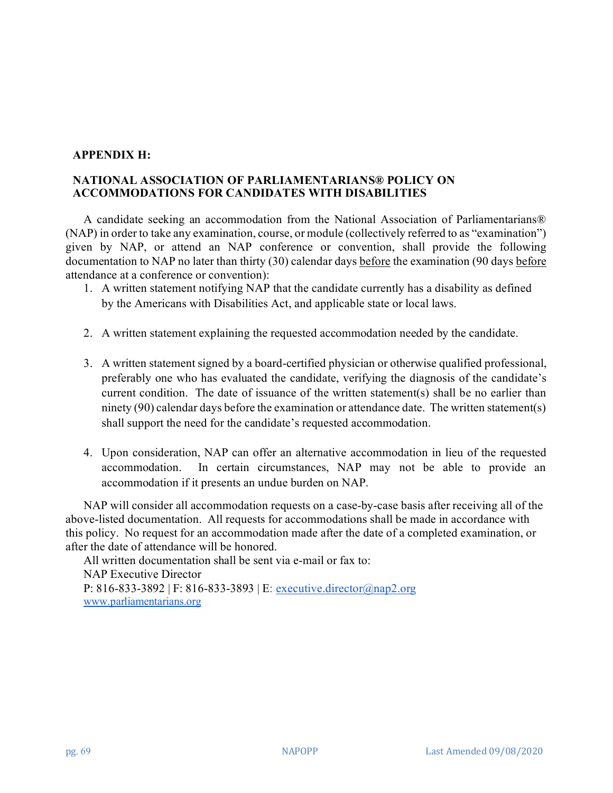## **APPENDIX H:**

### **NATIONAL ASSOCIATION OF PARLIAMENTARIANS® POLICY ON ACCOMMODATIONS FOR CANDIDATES WITH DISABILITIES**

A candidate seeking an accommodation from the National Association of Parliamentarians® (NAP) in order to take any examination, course, or module (collectively referred to as "examination") given by NAP, or attend an NAP conference or convention, shall provide the following documentation to NAP no later than thirty (30) calendar days before the examination (90 days before attendance at a conference or convention):

- 1. A written statement notifying NAP that the candidate currently has a disability as defined by the Americans with Disabilities Act, and applicable state or local laws.
- 2. A written statement explaining the requested accommodation needed by the candidate.
- 3. A written statement signed by a board-certified physician or otherwise qualified professional, preferably one who has evaluated the candidate, verifying the diagnosis of the candidate's current condition. The date of issuance of the written statement(s) shall be no earlier than ninety (90) calendar days before the examination or attendance date. The written statement(s) shall support the need for the candidate's requested accommodation.
- 4. Upon consideration, NAP can offer an alternative accommodation in lieu of the requested accommodation. In certain circumstances, NAP may not be able to provide an accommodation if it presents an undue burden on NAP.

NAP will consider all accommodation requests on a case-by-case basis after receiving all of the above-listed documentation. All requests for accommodations shall be made in accordance with this policy. No request for an accommodation made after the date of a completed examination, or after the date of attendance will be honored.

All written documentation shall be sent via e-mail or fax to: NAP Executive Director P: 816-833-3892 | F: 816-833-3893 | E: [executive.director@nap2.org](mailto:executive.director@nap2.org) [www.parliamentarians.org](http://www.parliamentarians.org/)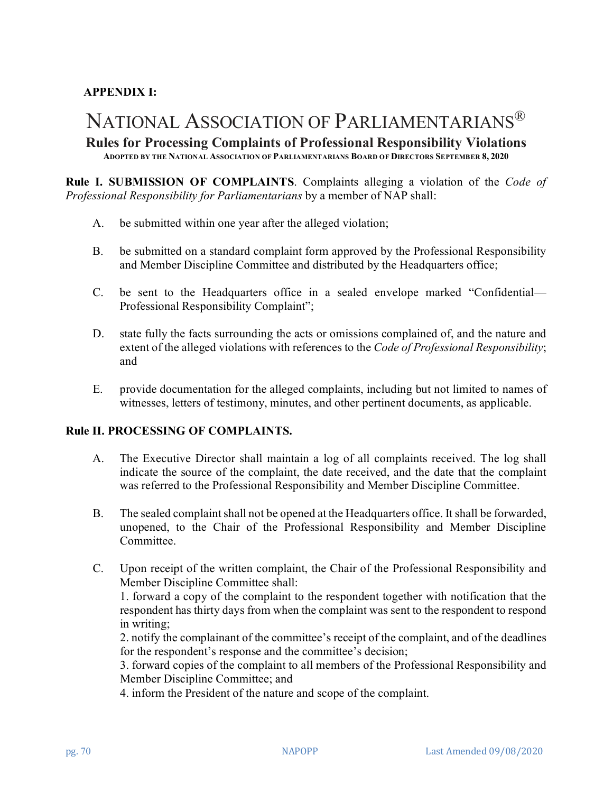## **APPENDIX I:**

# NATIONAL ASSOCIATION OF PARLIAMENTARIANS®

**Rules for Processing Complaints of Professional Responsibility Violations ADOPTED BY THE NATIONAL ASSOCIATION OF PARLIAMENTARIANS BOARD OF DIRECTORS SEPTEMBER 8, 2020**

**Rule I. SUBMISSION OF COMPLAINTS**. Complaints alleging a violation of the *Code of Professional Responsibility for Parliamentarians* by a member of NAP shall:

- A. be submitted within one year after the alleged violation;
- B. be submitted on a standard complaint form approved by the Professional Responsibility and Member Discipline Committee and distributed by the Headquarters office;
- C. be sent to the Headquarters office in a sealed envelope marked "Confidential— Professional Responsibility Complaint";
- D. state fully the facts surrounding the acts or omissions complained of, and the nature and extent of the alleged violations with references to the *Code of Professional Responsibility*; and
- E. provide documentation for the alleged complaints, including but not limited to names of witnesses, letters of testimony, minutes, and other pertinent documents, as applicable.

#### **Rule II. PROCESSING OF COMPLAINTS.**

- A. The Executive Director shall maintain a log of all complaints received. The log shall indicate the source of the complaint, the date received, and the date that the complaint was referred to the Professional Responsibility and Member Discipline Committee.
- B. The sealed complaintshall not be opened at the Headquarters office. It shall be forwarded, unopened, to the Chair of the Professional Responsibility and Member Discipline Committee.
- C. Upon receipt of the written complaint, the Chair of the Professional Responsibility and Member Discipline Committee shall:

1. forward a copy of the complaint to the respondent together with notification that the respondent has thirty days from when the complaint was sent to the respondent to respond in writing;

2. notify the complainant of the committee's receipt of the complaint, and of the deadlines for the respondent's response and the committee's decision;

3. forward copies of the complaint to all members of the Professional Responsibility and Member Discipline Committee; and

4. inform the President of the nature and scope of the complaint.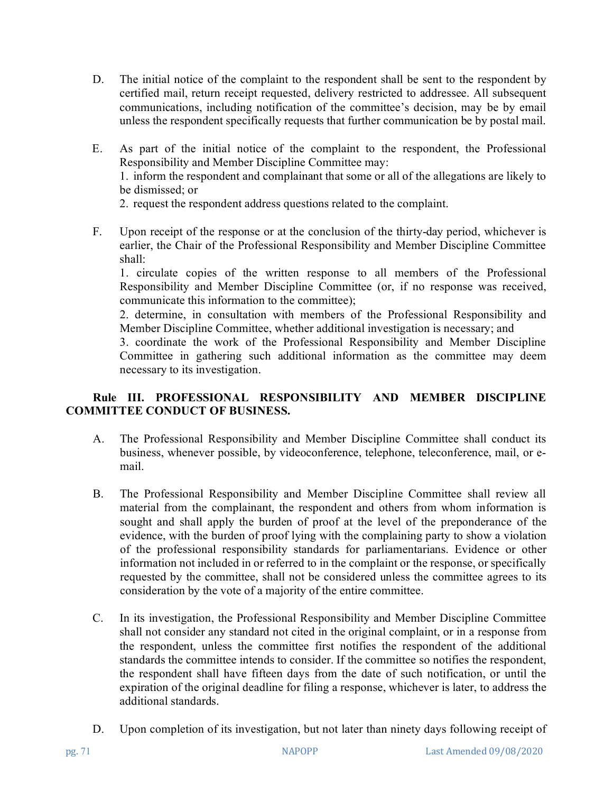- D. The initial notice of the complaint to the respondent shall be sent to the respondent by certified mail, return receipt requested, delivery restricted to addressee. All subsequent communications, including notification of the committee's decision, may be by email unless the respondent specifically requests that further communication be by postal mail.
- E. As part of the initial notice of the complaint to the respondent, the Professional Responsibility and Member Discipline Committee may: 1. inform the respondent and complainant that some or all of the allegations are likely to be dismissed; or

2. request the respondent address questions related to the complaint.

F. Upon receipt of the response or at the conclusion of the thirty-day period, whichever is earlier, the Chair of the Professional Responsibility and Member Discipline Committee shall:

1. circulate copies of the written response to all members of the Professional Responsibility and Member Discipline Committee (or, if no response was received, communicate this information to the committee);

2. determine, in consultation with members of the Professional Responsibility and Member Discipline Committee, whether additional investigation is necessary; and

3. coordinate the work of the Professional Responsibility and Member Discipline Committee in gathering such additional information as the committee may deem necessary to its investigation.

# **Rule III. PROFESSIONAL RESPONSIBILITY AND MEMBER DISCIPLINE COMMITTEE CONDUCT OF BUSINESS.**

- A. The Professional Responsibility and Member Discipline Committee shall conduct its business, whenever possible, by videoconference, telephone, teleconference, mail, or email.
- B. The Professional Responsibility and Member Discipline Committee shall review all material from the complainant, the respondent and others from whom information is sought and shall apply the burden of proof at the level of the preponderance of the evidence, with the burden of proof lying with the complaining party to show a violation of the professional responsibility standards for parliamentarians. Evidence or other information not included in or referred to in the complaint or the response, or specifically requested by the committee, shall not be considered unless the committee agrees to its consideration by the vote of a majority of the entire committee.
- C. In its investigation, the Professional Responsibility and Member Discipline Committee shall not consider any standard not cited in the original complaint, or in a response from the respondent, unless the committee first notifies the respondent of the additional standards the committee intends to consider. If the committee so notifies the respondent, the respondent shall have fifteen days from the date of such notification, or until the expiration of the original deadline for filing a response, whichever is later, to address the additional standards.
- D. Upon completion of its investigation, but not later than ninety days following receipt of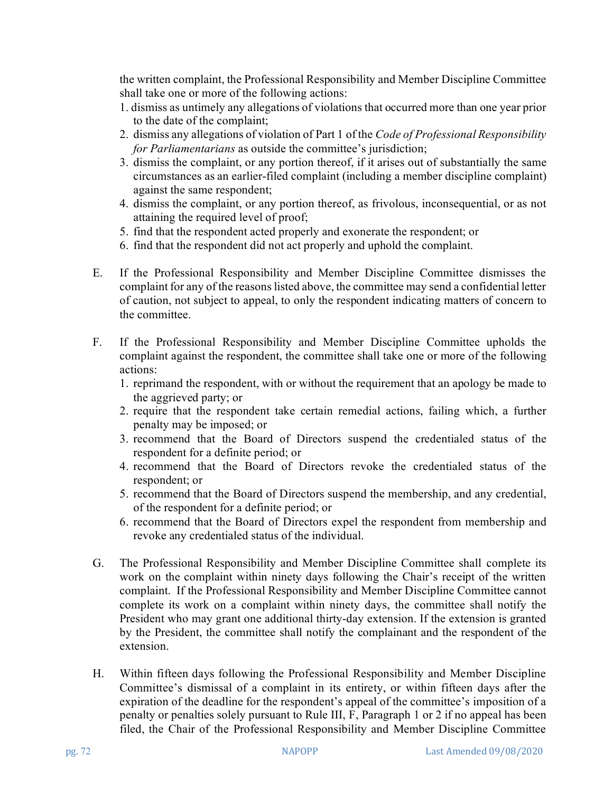the written complaint, the Professional Responsibility and Member Discipline Committee shall take one or more of the following actions:

- 1. dismiss as untimely any allegations of violations that occurred more than one year prior to the date of the complaint;
- 2. dismiss any allegations of violation of Part 1 of the *Code of Professional Responsibility for Parliamentarians* as outside the committee's jurisdiction;
- 3. dismiss the complaint, or any portion thereof, if it arises out of substantially the same circumstances as an earlier-filed complaint (including a member discipline complaint) against the same respondent;
- 4. dismiss the complaint, or any portion thereof, as frivolous, inconsequential, or as not attaining the required level of proof;
- 5. find that the respondent acted properly and exonerate the respondent; or
- 6. find that the respondent did not act properly and uphold the complaint.
- E. If the Professional Responsibility and Member Discipline Committee dismisses the complaint for any of the reasons listed above, the committee may send a confidential letter of caution, not subject to appeal, to only the respondent indicating matters of concern to the committee.
- F. If the Professional Responsibility and Member Discipline Committee upholds the complaint against the respondent, the committee shall take one or more of the following actions:
	- 1. reprimand the respondent, with or without the requirement that an apology be made to the aggrieved party; or
	- 2. require that the respondent take certain remedial actions, failing which, a further penalty may be imposed; or
	- 3. recommend that the Board of Directors suspend the credentialed status of the respondent for a definite period; or
	- 4. recommend that the Board of Directors revoke the credentialed status of the respondent; or
	- 5. recommend that the Board of Directors suspend the membership, and any credential, of the respondent for a definite period; or
	- 6. recommend that the Board of Directors expel the respondent from membership and revoke any credentialed status of the individual.
- G. The Professional Responsibility and Member Discipline Committee shall complete its work on the complaint within ninety days following the Chair's receipt of the written complaint. If the Professional Responsibility and Member Discipline Committee cannot complete its work on a complaint within ninety days, the committee shall notify the President who may grant one additional thirty-day extension. If the extension is granted by the President, the committee shall notify the complainant and the respondent of the extension.
- H. Within fifteen days following the Professional Responsibility and Member Discipline Committee's dismissal of a complaint in its entirety, or within fifteen days after the expiration of the deadline for the respondent's appeal of the committee's imposition of a penalty or penalties solely pursuant to Rule III, F, Paragraph 1 or 2 if no appeal has been filed, the Chair of the Professional Responsibility and Member Discipline Committee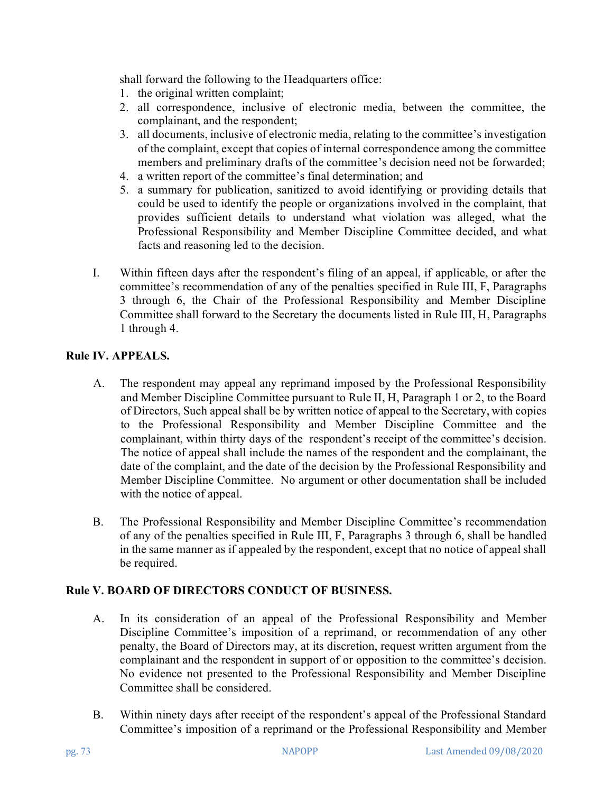shall forward the following to the Headquarters office:

- 1. the original written complaint;
- 2. all correspondence, inclusive of electronic media, between the committee, the complainant, and the respondent;
- 3. all documents, inclusive of electronic media, relating to the committee's investigation of the complaint, except that copies of internal correspondence among the committee members and preliminary drafts of the committee's decision need not be forwarded;
- 4. a written report of the committee's final determination; and
- 5. a summary for publication, sanitized to avoid identifying or providing details that could be used to identify the people or organizations involved in the complaint, that provides sufficient details to understand what violation was alleged, what the Professional Responsibility and Member Discipline Committee decided, and what facts and reasoning led to the decision.
- I. Within fifteen days after the respondent's filing of an appeal, if applicable, or after the committee's recommendation of any of the penalties specified in Rule III, F, Paragraphs 3 through 6, the Chair of the Professional Responsibility and Member Discipline Committee shall forward to the Secretary the documents listed in Rule III, H, Paragraphs 1 through 4.

# **Rule IV. APPEALS.**

- A. The respondent may appeal any reprimand imposed by the Professional Responsibility and Member Discipline Committee pursuant to Rule II, H, Paragraph 1 or 2, to the Board of Directors, Such appeal shall be by written notice of appeal to the Secretary, with copies to the Professional Responsibility and Member Discipline Committee and the complainant, within thirty days of the respondent's receipt of the committee's decision. The notice of appeal shall include the names of the respondent and the complainant, the date of the complaint, and the date of the decision by the Professional Responsibility and Member Discipline Committee. No argument or other documentation shall be included with the notice of appeal.
- B. The Professional Responsibility and Member Discipline Committee's recommendation of any of the penalties specified in Rule III, F, Paragraphs 3 through 6, shall be handled in the same manner as if appealed by the respondent, except that no notice of appeal shall be required.

# **Rule V. BOARD OF DIRECTORS CONDUCT OF BUSINESS.**

- A. In its consideration of an appeal of the Professional Responsibility and Member Discipline Committee's imposition of a reprimand, or recommendation of any other penalty, the Board of Directors may, at its discretion, request written argument from the complainant and the respondent in support of or opposition to the committee's decision. No evidence not presented to the Professional Responsibility and Member Discipline Committee shall be considered.
- B. Within ninety days after receipt of the respondent's appeal of the Professional Standard Committee's imposition of a reprimand or the Professional Responsibility and Member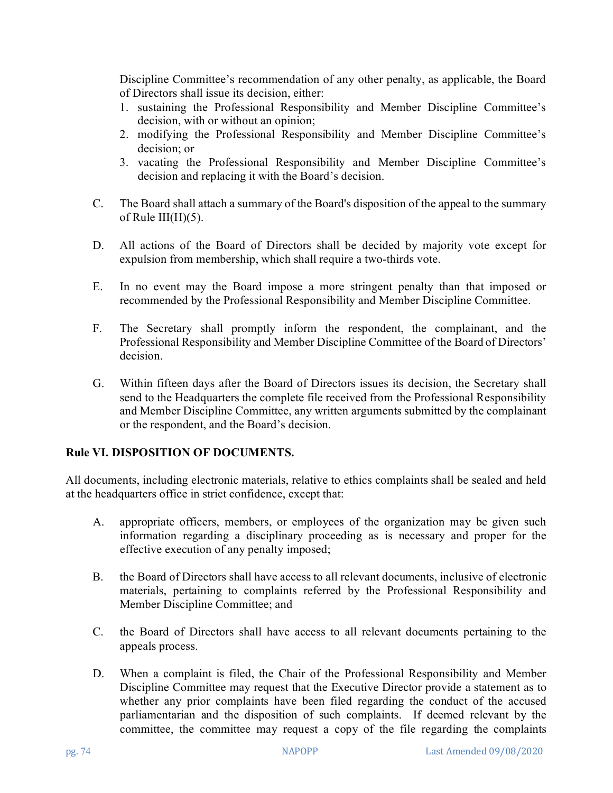Discipline Committee's recommendation of any other penalty, as applicable, the Board of Directors shall issue its decision, either:

- 1. sustaining the Professional Responsibility and Member Discipline Committee's decision, with or without an opinion;
- 2. modifying the Professional Responsibility and Member Discipline Committee's decision; or
- 3. vacating the Professional Responsibility and Member Discipline Committee's decision and replacing it with the Board's decision.
- C. The Board shall attach a summary of the Board's disposition of the appeal to the summary of Rule  $III(H)(5)$ .
- D. All actions of the Board of Directors shall be decided by majority vote except for expulsion from membership, which shall require a two-thirds vote.
- E. In no event may the Board impose a more stringent penalty than that imposed or recommended by the Professional Responsibility and Member Discipline Committee.
- F. The Secretary shall promptly inform the respondent, the complainant, and the Professional Responsibility and Member Discipline Committee of the Board of Directors' decision.
- G. Within fifteen days after the Board of Directors issues its decision, the Secretary shall send to the Headquarters the complete file received from the Professional Responsibility and Member Discipline Committee, any written arguments submitted by the complainant or the respondent, and the Board's decision.

# **Rule VI. DISPOSITION OF DOCUMENTS.**

All documents, including electronic materials, relative to ethics complaints shall be sealed and held at the headquarters office in strict confidence, except that:

- A. appropriate officers, members, or employees of the organization may be given such information regarding a disciplinary proceeding as is necessary and proper for the effective execution of any penalty imposed;
- B. the Board of Directors shall have access to all relevant documents, inclusive of electronic materials, pertaining to complaints referred by the Professional Responsibility and Member Discipline Committee; and
- C. the Board of Directors shall have access to all relevant documents pertaining to the appeals process.
- D. When a complaint is filed, the Chair of the Professional Responsibility and Member Discipline Committee may request that the Executive Director provide a statement as to whether any prior complaints have been filed regarding the conduct of the accused parliamentarian and the disposition of such complaints. If deemed relevant by the committee, the committee may request a copy of the file regarding the complaints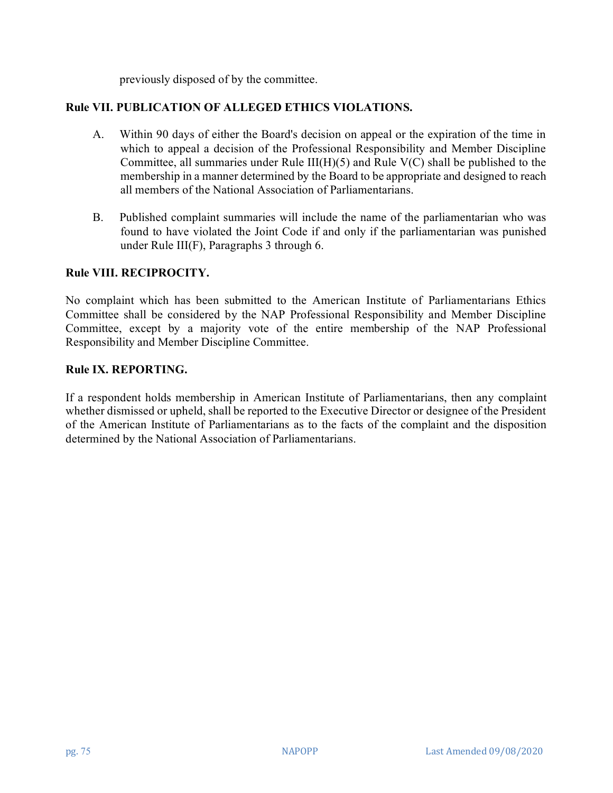previously disposed of by the committee.

# **Rule VII. PUBLICATION OF ALLEGED ETHICS VIOLATIONS.**

- A. Within 90 days of either the Board's decision on appeal or the expiration of the time in which to appeal a decision of the Professional Responsibility and Member Discipline Committee, all summaries under Rule  $III(H)(5)$  and Rule  $V(C)$  shall be published to the membership in a manner determined by the Board to be appropriate and designed to reach all members of the National Association of Parliamentarians.
- B. Published complaint summaries will include the name of the parliamentarian who was found to have violated the Joint Code if and only if the parliamentarian was punished under Rule III(F), Paragraphs 3 through 6.

# **Rule VIII. RECIPROCITY.**

No complaint which has been submitted to the American Institute of Parliamentarians Ethics Committee shall be considered by the NAP Professional Responsibility and Member Discipline Committee, except by a majority vote of the entire membership of the NAP Professional Responsibility and Member Discipline Committee.

# **Rule IX. REPORTING.**

If a respondent holds membership in American Institute of Parliamentarians, then any complaint whether dismissed or upheld, shall be reported to the Executive Director or designee of the President of the American Institute of Parliamentarians as to the facts of the complaint and the disposition determined by the National Association of Parliamentarians.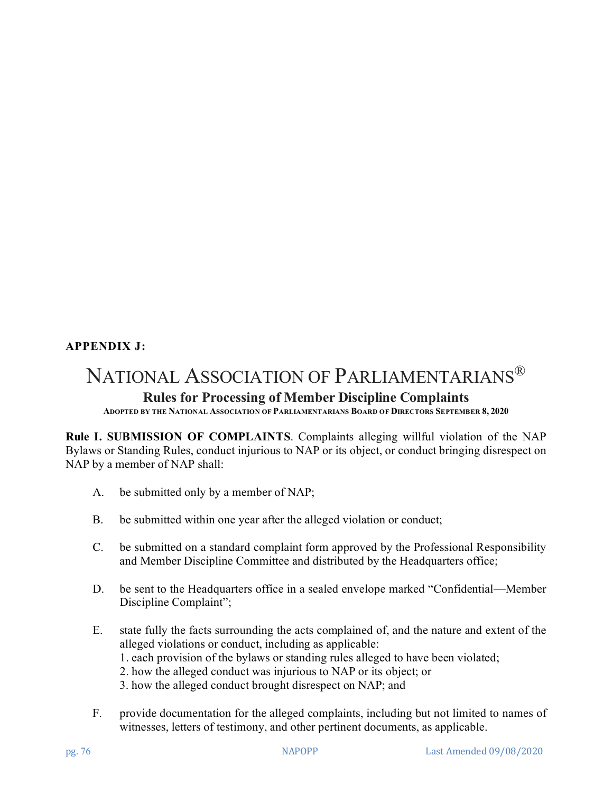# **APPENDIX J:**

# NATIONAL ASSOCIATION OF PARLIAMENTARIANS®

#### **Rules for Processing of Member Discipline Complaints**

**ADOPTED BY THE NATIONAL ASSOCIATION OF PARLIAMENTARIANS BOARD OF DIRECTORS SEPTEMBER 8, 2020**

**Rule I. SUBMISSION OF COMPLAINTS**. Complaints alleging willful violation of the NAP Bylaws or Standing Rules, conduct injurious to NAP or its object, or conduct bringing disrespect on NAP by a member of NAP shall:

- A. be submitted only by a member of NAP;
- B. be submitted within one year after the alleged violation or conduct;
- C. be submitted on a standard complaint form approved by the Professional Responsibility and Member Discipline Committee and distributed by the Headquarters office;
- D. be sent to the Headquarters office in a sealed envelope marked "Confidential—Member Discipline Complaint";
- E. state fully the facts surrounding the acts complained of, and the nature and extent of the alleged violations or conduct, including as applicable: 1. each provision of the bylaws or standing rules alleged to have been violated; 2. how the alleged conduct was injurious to NAP or its object; or 3. how the alleged conduct brought disrespect on NAP; and
- F. provide documentation for the alleged complaints, including but not limited to names of witnesses, letters of testimony, and other pertinent documents, as applicable.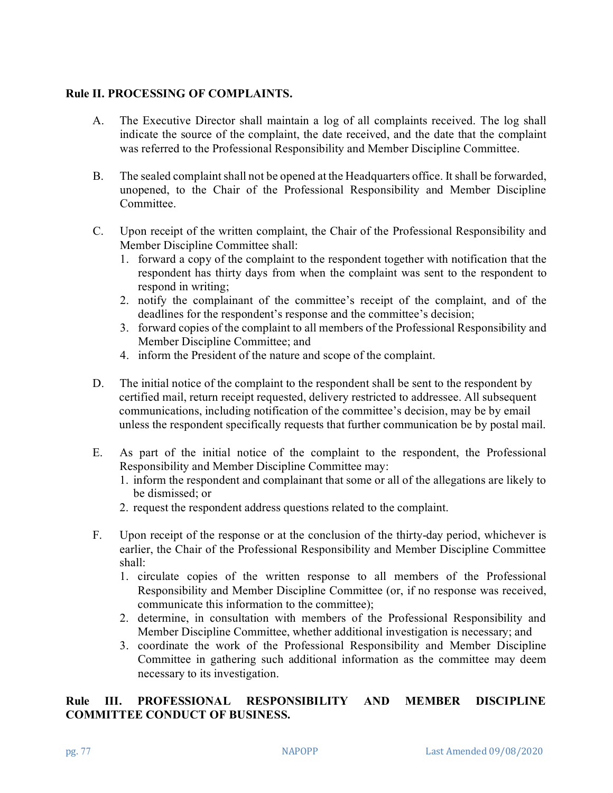# **Rule II. PROCESSING OF COMPLAINTS.**

- A. The Executive Director shall maintain a log of all complaints received. The log shall indicate the source of the complaint, the date received, and the date that the complaint was referred to the Professional Responsibility and Member Discipline Committee.
- B. The sealed complaint shall not be opened at the Headquarters office. It shall be forwarded, unopened, to the Chair of the Professional Responsibility and Member Discipline Committee.
- C. Upon receipt of the written complaint, the Chair of the Professional Responsibility and Member Discipline Committee shall:
	- 1. forward a copy of the complaint to the respondent together with notification that the respondent has thirty days from when the complaint was sent to the respondent to respond in writing;
	- 2. notify the complainant of the committee's receipt of the complaint, and of the deadlines for the respondent's response and the committee's decision;
	- 3. forward copies of the complaint to all members of the Professional Responsibility and Member Discipline Committee; and
	- 4. inform the President of the nature and scope of the complaint.
- D. The initial notice of the complaint to the respondent shall be sent to the respondent by certified mail, return receipt requested, delivery restricted to addressee. All subsequent communications, including notification of the committee's decision, may be by email unless the respondent specifically requests that further communication be by postal mail.
- E. As part of the initial notice of the complaint to the respondent, the Professional Responsibility and Member Discipline Committee may:
	- 1. inform the respondent and complainant that some or all of the allegations are likely to be dismissed; or
	- 2. request the respondent address questions related to the complaint.
- F. Upon receipt of the response or at the conclusion of the thirty-day period, whichever is earlier, the Chair of the Professional Responsibility and Member Discipline Committee shall:
	- 1. circulate copies of the written response to all members of the Professional Responsibility and Member Discipline Committee (or, if no response was received, communicate this information to the committee);
	- 2. determine, in consultation with members of the Professional Responsibility and Member Discipline Committee, whether additional investigation is necessary; and
	- 3. coordinate the work of the Professional Responsibility and Member Discipline Committee in gathering such additional information as the committee may deem necessary to its investigation.

# **Rule III. PROFESSIONAL RESPONSIBILITY AND MEMBER DISCIPLINE COMMITTEE CONDUCT OF BUSINESS.**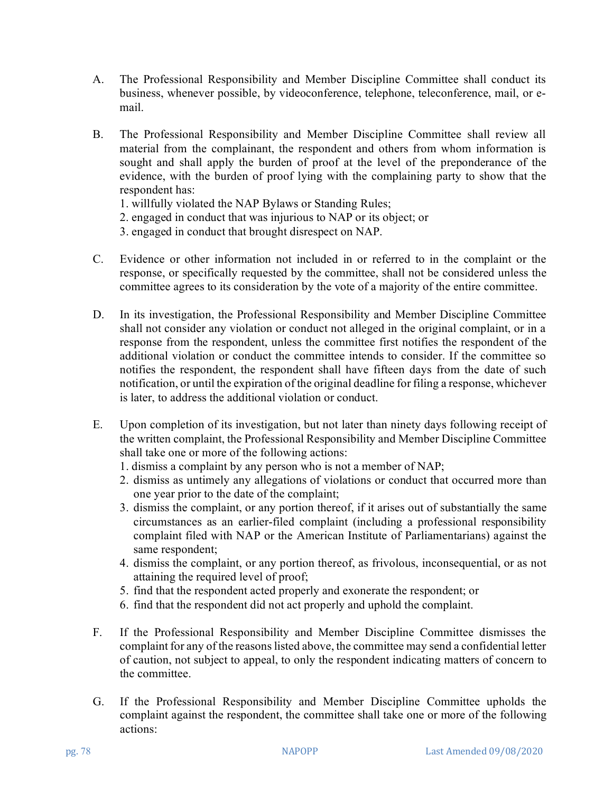- A. The Professional Responsibility and Member Discipline Committee shall conduct its business, whenever possible, by videoconference, telephone, teleconference, mail, or email.
- B. The Professional Responsibility and Member Discipline Committee shall review all material from the complainant, the respondent and others from whom information is sought and shall apply the burden of proof at the level of the preponderance of the evidence, with the burden of proof lying with the complaining party to show that the respondent has:
	- 1. willfully violated the NAP Bylaws or Standing Rules;
	- 2. engaged in conduct that was injurious to NAP or its object; or
	- 3. engaged in conduct that brought disrespect on NAP.
- C. Evidence or other information not included in or referred to in the complaint or the response, or specifically requested by the committee, shall not be considered unless the committee agrees to its consideration by the vote of a majority of the entire committee.
- D. In its investigation, the Professional Responsibility and Member Discipline Committee shall not consider any violation or conduct not alleged in the original complaint, or in a response from the respondent, unless the committee first notifies the respondent of the additional violation or conduct the committee intends to consider. If the committee so notifies the respondent, the respondent shall have fifteen days from the date of such notification, or until the expiration of the original deadline for filing a response, whichever is later, to address the additional violation or conduct.
- E. Upon completion of its investigation, but not later than ninety days following receipt of the written complaint, the Professional Responsibility and Member Discipline Committee shall take one or more of the following actions:
	- 1. dismiss a complaint by any person who is not a member of NAP;
	- 2. dismiss as untimely any allegations of violations or conduct that occurred more than one year prior to the date of the complaint;
	- 3. dismiss the complaint, or any portion thereof, if it arises out of substantially the same circumstances as an earlier-filed complaint (including a professional responsibility complaint filed with NAP or the American Institute of Parliamentarians) against the same respondent;
	- 4. dismiss the complaint, or any portion thereof, as frivolous, inconsequential, or as not attaining the required level of proof;
	- 5. find that the respondent acted properly and exonerate the respondent; or
	- 6. find that the respondent did not act properly and uphold the complaint.
- F. If the Professional Responsibility and Member Discipline Committee dismisses the complaint for any of the reasons listed above, the committee may send a confidential letter of caution, not subject to appeal, to only the respondent indicating matters of concern to the committee.
- G. If the Professional Responsibility and Member Discipline Committee upholds the complaint against the respondent, the committee shall take one or more of the following actions: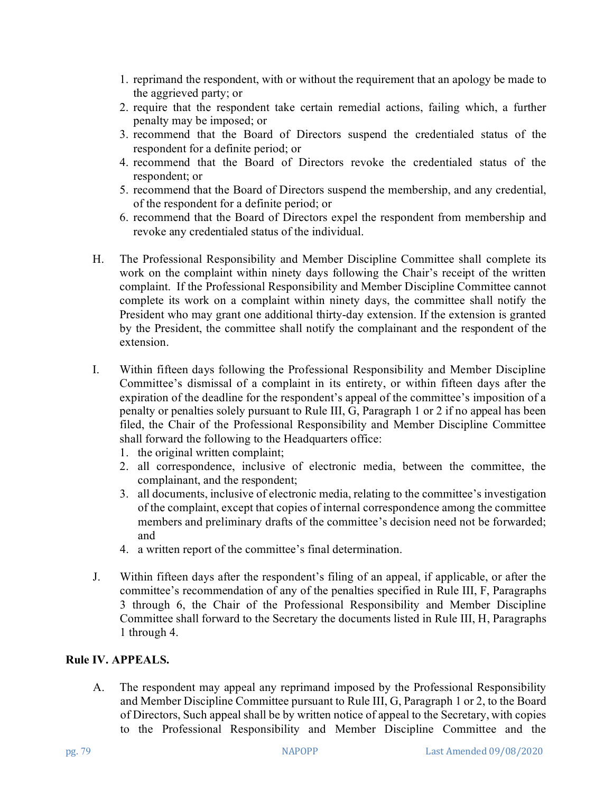- 1. reprimand the respondent, with or without the requirement that an apology be made to the aggrieved party; or
- 2. require that the respondent take certain remedial actions, failing which, a further penalty may be imposed; or
- 3. recommend that the Board of Directors suspend the credentialed status of the respondent for a definite period; or
- 4. recommend that the Board of Directors revoke the credentialed status of the respondent; or
- 5. recommend that the Board of Directors suspend the membership, and any credential, of the respondent for a definite period; or
- 6. recommend that the Board of Directors expel the respondent from membership and revoke any credentialed status of the individual.
- H. The Professional Responsibility and Member Discipline Committee shall complete its work on the complaint within ninety days following the Chair's receipt of the written complaint. If the Professional Responsibility and Member Discipline Committee cannot complete its work on a complaint within ninety days, the committee shall notify the President who may grant one additional thirty-day extension. If the extension is granted by the President, the committee shall notify the complainant and the respondent of the extension.
- I. Within fifteen days following the Professional Responsibility and Member Discipline Committee's dismissal of a complaint in its entirety, or within fifteen days after the expiration of the deadline for the respondent's appeal of the committee's imposition of a penalty or penalties solely pursuant to Rule III, G, Paragraph 1 or 2 if no appeal has been filed, the Chair of the Professional Responsibility and Member Discipline Committee shall forward the following to the Headquarters office:
	- 1. the original written complaint;
	- 2. all correspondence, inclusive of electronic media, between the committee, the complainant, and the respondent;
	- 3. all documents, inclusive of electronic media, relating to the committee's investigation of the complaint, except that copies of internal correspondence among the committee members and preliminary drafts of the committee's decision need not be forwarded; and
	- 4. a written report of the committee's final determination.
- J. Within fifteen days after the respondent's filing of an appeal, if applicable, or after the committee's recommendation of any of the penalties specified in Rule III, F, Paragraphs 3 through 6, the Chair of the Professional Responsibility and Member Discipline Committee shall forward to the Secretary the documents listed in Rule III, H, Paragraphs 1 through 4.

# **Rule IV. APPEALS.**

A. The respondent may appeal any reprimand imposed by the Professional Responsibility and Member Discipline Committee pursuant to Rule III, G, Paragraph 1 or 2, to the Board of Directors, Such appeal shall be by written notice of appeal to the Secretary, with copies to the Professional Responsibility and Member Discipline Committee and the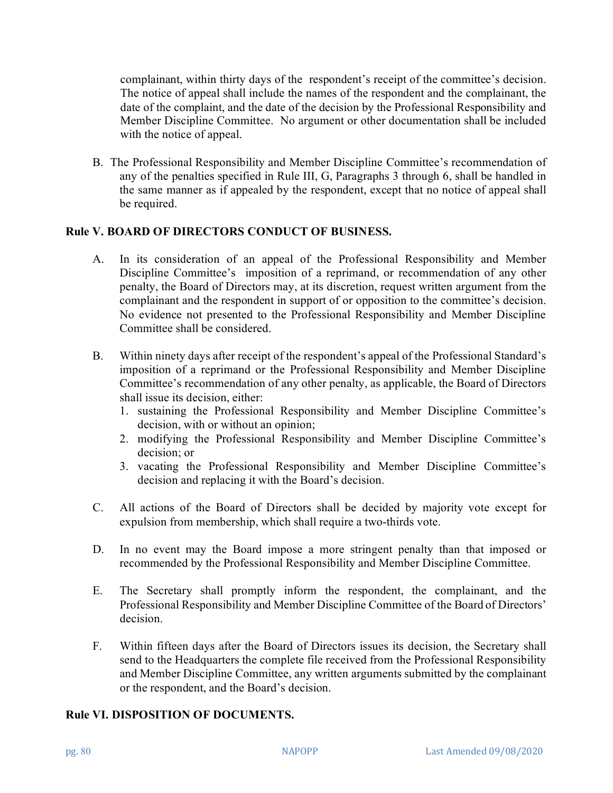complainant, within thirty days of the respondent's receipt of the committee's decision. The notice of appeal shall include the names of the respondent and the complainant, the date of the complaint, and the date of the decision by the Professional Responsibility and Member Discipline Committee. No argument or other documentation shall be included with the notice of appeal.

B. The Professional Responsibility and Member Discipline Committee's recommendation of any of the penalties specified in Rule III, G, Paragraphs 3 through 6, shall be handled in the same manner as if appealed by the respondent, except that no notice of appeal shall be required.

#### **Rule V. BOARD OF DIRECTORS CONDUCT OF BUSINESS.**

- A. In its consideration of an appeal of the Professional Responsibility and Member Discipline Committee's imposition of a reprimand, or recommendation of any other penalty, the Board of Directors may, at its discretion, request written argument from the complainant and the respondent in support of or opposition to the committee's decision. No evidence not presented to the Professional Responsibility and Member Discipline Committee shall be considered.
- B. Within ninety days after receipt of the respondent's appeal of the Professional Standard's imposition of a reprimand or the Professional Responsibility and Member Discipline Committee's recommendation of any other penalty, as applicable, the Board of Directors shall issue its decision, either:
	- 1. sustaining the Professional Responsibility and Member Discipline Committee's decision, with or without an opinion;
	- 2. modifying the Professional Responsibility and Member Discipline Committee's decision; or
	- 3. vacating the Professional Responsibility and Member Discipline Committee's decision and replacing it with the Board's decision.
- C. All actions of the Board of Directors shall be decided by majority vote except for expulsion from membership, which shall require a two-thirds vote.
- D. In no event may the Board impose a more stringent penalty than that imposed or recommended by the Professional Responsibility and Member Discipline Committee.
- E. The Secretary shall promptly inform the respondent, the complainant, and the Professional Responsibility and Member Discipline Committee of the Board of Directors' decision.
- F. Within fifteen days after the Board of Directors issues its decision, the Secretary shall send to the Headquarters the complete file received from the Professional Responsibility and Member Discipline Committee, any written arguments submitted by the complainant or the respondent, and the Board's decision.

# **Rule VI. DISPOSITION OF DOCUMENTS.**